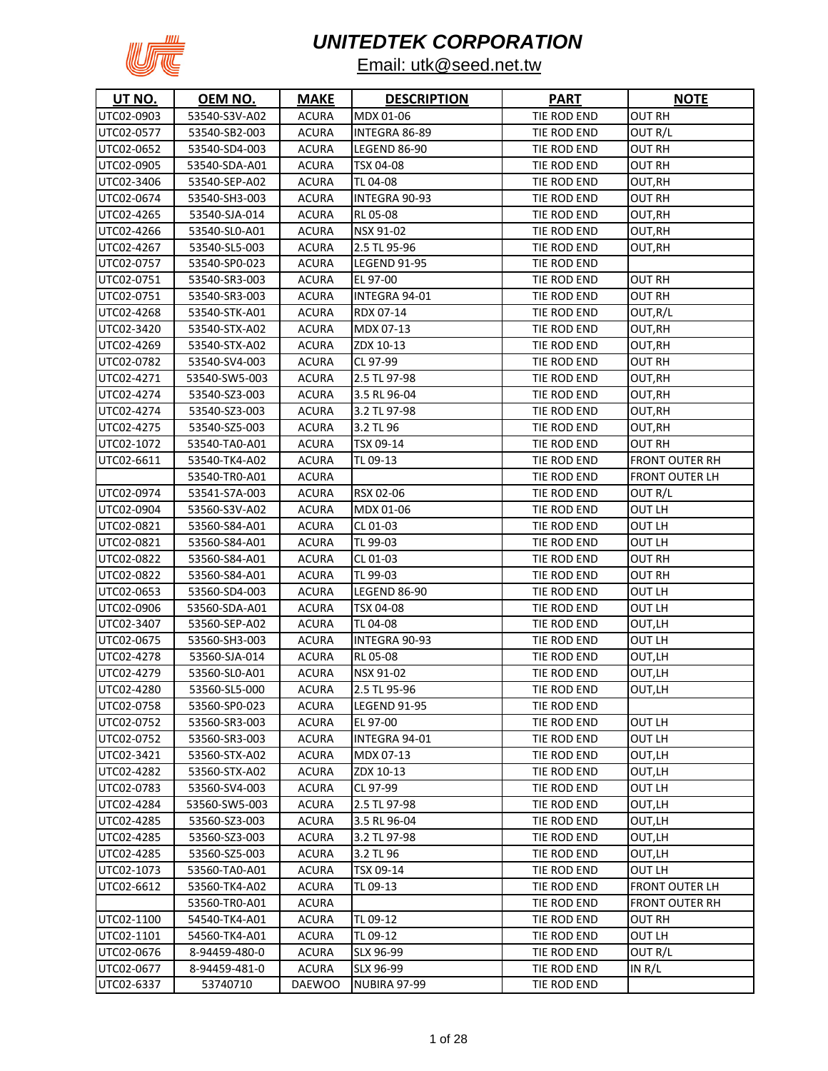

| <b>UT NO.</b> | OEM NO.       | <b>MAKE</b>   | <b>DESCRIPTION</b>  | <b>PART</b> | <b>NOTE</b>           |
|---------------|---------------|---------------|---------------------|-------------|-----------------------|
| UTC02-0903    | 53540-S3V-A02 | <b>ACURA</b>  | MDX 01-06           | TIE ROD END | <b>OUT RH</b>         |
| UTC02-0577    | 53540-SB2-003 | <b>ACURA</b>  | INTEGRA 86-89       | TIE ROD END | OUT R/L               |
| UTC02-0652    | 53540-SD4-003 | <b>ACURA</b>  | <b>LEGEND 86-90</b> | TIE ROD END | <b>OUT RH</b>         |
| UTC02-0905    | 53540-SDA-A01 | <b>ACURA</b>  | TSX 04-08           | TIE ROD END | <b>OUT RH</b>         |
| UTC02-3406    | 53540-SEP-A02 | <b>ACURA</b>  | TL 04-08            | TIE ROD END | OUT,RH                |
| UTC02-0674    | 53540-SH3-003 | ACURA         | INTEGRA 90-93       | TIE ROD END | <b>OUT RH</b>         |
| UTC02-4265    | 53540-SJA-014 | ACURA         | RL 05-08            | TIE ROD END | OUT,RH                |
| UTC02-4266    | 53540-SL0-A01 | ACURA         | NSX 91-02           | TIE ROD END | OUT,RH                |
| UTC02-4267    | 53540-SL5-003 | ACURA         | 2.5 TL 95-96        | TIE ROD END | OUT,RH                |
| UTC02-0757    | 53540-SP0-023 | <b>ACURA</b>  | <b>LEGEND 91-95</b> | TIE ROD END |                       |
| UTC02-0751    | 53540-SR3-003 | <b>ACURA</b>  | EL 97-00            | TIE ROD END | OUT RH                |
| UTC02-0751    | 53540-SR3-003 | ACURA         | INTEGRA 94-01       | TIE ROD END | <b>OUT RH</b>         |
| UTC02-4268    | 53540-STK-A01 | <b>ACURA</b>  | RDX 07-14           | TIE ROD END | OUT,R/L               |
| UTC02-3420    | 53540-STX-A02 | ACURA         | MDX 07-13           | TIE ROD END | OUT,RH                |
| UTC02-4269    | 53540-STX-A02 | <b>ACURA</b>  | ZDX 10-13           | TIE ROD END | OUT, RH               |
| UTC02-0782    | 53540-SV4-003 | <b>ACURA</b>  | CL 97-99            | TIE ROD END | OUT RH                |
| UTC02-4271    | 53540-SW5-003 | <b>ACURA</b>  | 2.5 TL 97-98        | TIE ROD END | OUT, RH               |
| UTC02-4274    | 53540-SZ3-003 | <b>ACURA</b>  | 3.5 RL 96-04        | TIE ROD END | OUT, RH               |
| UTC02-4274    | 53540-SZ3-003 | <b>ACURA</b>  | 3.2 TL 97-98        | TIE ROD END | OUT,RH                |
| UTC02-4275    | 53540-SZ5-003 | <b>ACURA</b>  | 3.2 TL 96           | TIE ROD END | OUT,RH                |
| UTC02-1072    | 53540-TA0-A01 | <b>ACURA</b>  | TSX 09-14           | TIE ROD END | OUT RH                |
| UTC02-6611    | 53540-TK4-A02 | <b>ACURA</b>  | TL 09-13            | TIE ROD END | <b>FRONT OUTER RH</b> |
|               | 53540-TR0-A01 | <b>ACURA</b>  |                     | TIE ROD END | <b>FRONT OUTER LH</b> |
| UTC02-0974    | 53541-S7A-003 | <b>ACURA</b>  | RSX 02-06           | TIE ROD END | OUT R/L               |
| UTC02-0904    | 53560-S3V-A02 | <b>ACURA</b>  | MDX 01-06           | TIE ROD END | OUT LH                |
| UTC02-0821    | 53560-S84-A01 | ACURA         | CL 01-03            | TIE ROD END | OUT LH                |
| UTC02-0821    | 53560-S84-A01 | <b>ACURA</b>  | TL 99-03            | TIE ROD END | OUT LH                |
| UTC02-0822    | 53560-S84-A01 | <b>ACURA</b>  | CL 01-03            | TIE ROD END | OUT RH                |
| UTC02-0822    | 53560-S84-A01 | ACURA         | TL 99-03            | TIE ROD END | OUT RH                |
| UTC02-0653    | 53560-SD4-003 | ACURA         | <b>LEGEND 86-90</b> | TIE ROD END | OUT LH                |
| UTC02-0906    | 53560-SDA-A01 | <b>ACURA</b>  | TSX 04-08           | TIE ROD END | OUT LH                |
| UTC02-3407    | 53560-SEP-A02 | <b>ACURA</b>  | TL 04-08            | TIE ROD END | OUT,LH                |
| UTC02-0675    | 53560-SH3-003 | ACURA         | INTEGRA 90-93       | TIE ROD END | OUT LH                |
| UTC02-4278    | 53560-SJA-014 | ACURA         | RL 05-08            | TIE ROD END | OUT,LH                |
| UTC02-4279    | 53560-SL0-A01 | <b>ACURA</b>  | NSX 91-02           | TIE ROD END | OUT,LH                |
| UTC02-4280    | 53560-SL5-000 | <b>ACURA</b>  | 2.5 TL 95-96        | TIE ROD END | OUT,LH                |
| UTC02-0758    | 53560-SP0-023 | <b>ACURA</b>  | <b>LEGEND 91-95</b> | TIE ROD END |                       |
| UTC02-0752    | 53560-SR3-003 | <b>ACURA</b>  | EL 97-00            | TIE ROD END | OUT LH                |
| UTC02-0752    | 53560-SR3-003 | <b>ACURA</b>  | INTEGRA 94-01       | TIE ROD END | OUT LH                |
| UTC02-3421    | 53560-STX-A02 | <b>ACURA</b>  | MDX 07-13           | TIE ROD END | OUT,LH                |
| UTC02-4282    | 53560-STX-A02 | <b>ACURA</b>  | ZDX 10-13           | TIE ROD END | OUT,LH                |
| UTC02-0783    | 53560-SV4-003 | <b>ACURA</b>  | CL 97-99            | TIE ROD END | OUT LH                |
| UTC02-4284    | 53560-SW5-003 | <b>ACURA</b>  | 2.5 TL 97-98        | TIE ROD END | OUT,LH                |
| UTC02-4285    | 53560-SZ3-003 | <b>ACURA</b>  | 3.5 RL 96-04        | TIE ROD END | OUT,LH                |
| UTC02-4285    | 53560-SZ3-003 | <b>ACURA</b>  | 3.2 TL 97-98        | TIE ROD END | OUT,LH                |
| UTC02-4285    | 53560-SZ5-003 | <b>ACURA</b>  | 3.2 TL 96           | TIE ROD END | OUT,LH                |
| UTC02-1073    | 53560-TA0-A01 | <b>ACURA</b>  | TSX 09-14           | TIE ROD END | OUT LH                |
| UTC02-6612    | 53560-TK4-A02 | <b>ACURA</b>  | TL 09-13            | TIE ROD END | <b>FRONT OUTER LH</b> |
|               | 53560-TR0-A01 | <b>ACURA</b>  |                     | TIE ROD END | <b>FRONT OUTER RH</b> |
| UTC02-1100    | 54540-TK4-A01 | ACURA         | TL 09-12            | TIE ROD END | <b>OUT RH</b>         |
| UTC02-1101    | 54560-TK4-A01 | ACURA         | TL 09-12            | TIE ROD END | OUT LH                |
| UTC02-0676    | 8-94459-480-0 | <b>ACURA</b>  | SLX 96-99           | TIE ROD END | OUT R/L               |
| UTC02-0677    | 8-94459-481-0 | ACURA         | SLX 96-99           | TIE ROD END | IN R/L                |
| UTC02-6337    | 53740710      | <b>DAEWOO</b> | NUBIRA 97-99        | TIE ROD END |                       |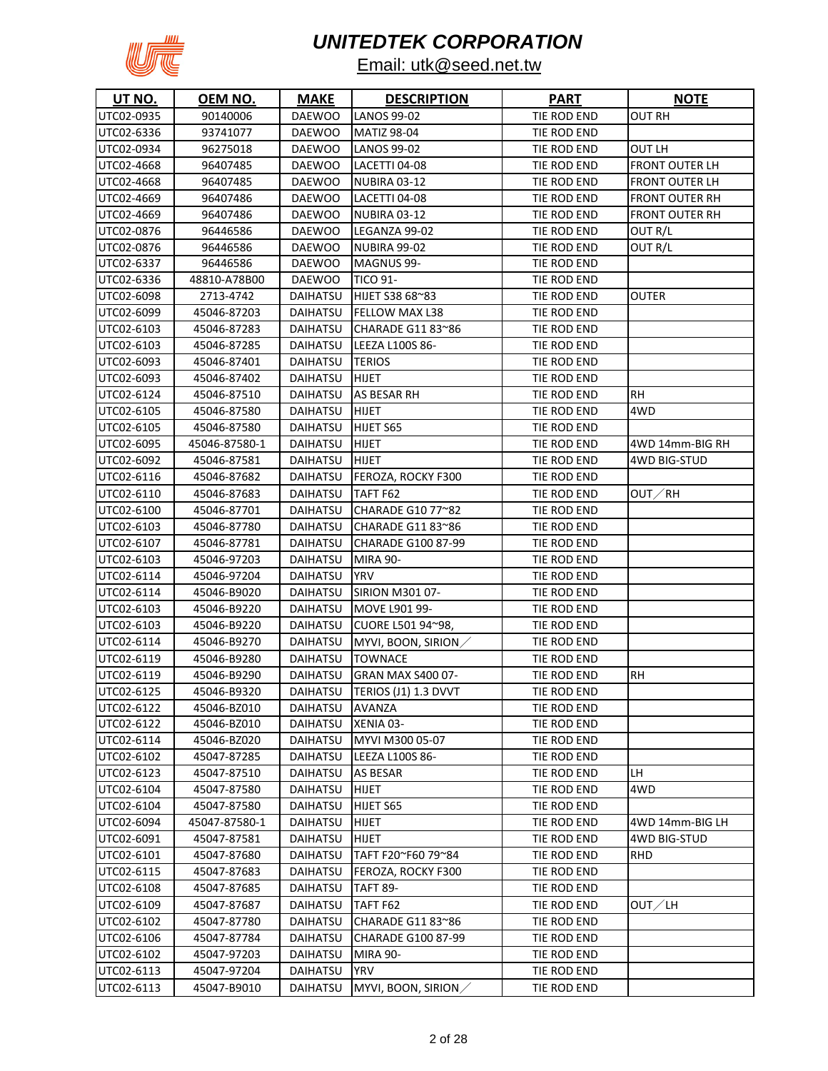

| 90140006<br><b>DAEWOO</b><br><b>LANOS 99-02</b><br>TIE ROD END<br>OUT RH<br>UTC02-0935<br>UTC02-6336<br>93741077<br>TIE ROD END<br><b>DAEWOO</b><br><b>MATIZ 98-04</b><br>UTC02-0934<br>96275018<br>LANOS 99-02<br>TIE ROD END<br>OUT LH<br><b>DAEWOO</b><br>UTC02-4668<br><b>FRONT OUTER LH</b><br>96407485<br><b>DAEWOO</b><br>LACETTI 04-08<br>TIE ROD END<br>UTC02-4668<br>TIE ROD END<br>FRONT OUTER LH<br>96407485<br><b>DAEWOO</b><br>NUBIRA 03-12<br>UTC02-4669<br>96407486<br>TIE ROD END<br>FRONT OUTER RH<br><b>DAEWOO</b><br>LACETTI 04-08<br>UTC02-4669<br>96407486<br><b>DAEWOO</b><br>NUBIRA 03-12<br>TIE ROD END<br><b>FRONT OUTER RH</b><br>UTC02-0876<br>96446586<br><b>DAEWOO</b><br>LEGANZA 99-02<br>TIE ROD END<br>OUT R/L<br>UTC02-0876<br>96446586<br><b>DAEWOO</b><br><b>NUBIRA 99-02</b><br>TIE ROD END<br>OUT R/L<br>UTC02-6337<br>TIE ROD END<br>96446586<br><b>DAEWOO</b><br>MAGNUS 99-<br>UTC02-6336<br>48810-A78B00<br><b>DAEWOO</b><br><b>TICO 91-</b><br>TIE ROD END<br>UTC02-6098<br>2713-4742<br><b>DAIHATSU</b><br>HIJET S38 68~83<br>TIE ROD END<br>OUTER<br>UTC02-6099<br>45046-87203<br>FELLOW MAX L38<br>TIE ROD END<br><b>DAIHATSU</b><br>UTC02-6103<br>45046-87283<br>CHARADE G11 83~86<br>TIE ROD END<br>DAIHATSU<br>UTC02-6103<br>45046-87285<br>LEEZA L100S 86-<br>TIE ROD END<br>DAIHATSU<br>UTC02-6093<br><b>TERIOS</b><br>TIE ROD END<br>45046-87401<br>DAIHATSU<br>UTC02-6093<br>HIJET<br>45046-87402<br><b>DAIHATSU</b><br>TIE ROD END<br><b>RH</b><br>UTC02-6124<br>DAIHATSU<br>AS BESAR RH<br>TIE ROD END<br>45046-87510<br>4WD<br>UTC02-6105<br>HIJET<br>TIE ROD END<br>45046-87580<br>DAIHATSU<br>UTC02-6105<br>45046-87580<br>DAIHATSU<br>HIJET S65<br>TIE ROD END<br>UTC02-6095<br>45046-87580-1<br>DAIHATSU<br><b>HIJET</b><br>TIE ROD END<br>4WD 14mm-BIG RH<br>UTC02-6092<br><b>DAIHATSU</b><br><b>HIJET</b><br>TIE ROD END<br>4WD BIG-STUD<br>45046-87581<br>UTC02-6116<br>45046-87682<br><b>DAIHATSU</b><br>FEROZA, ROCKY F300<br>TIE ROD END<br>UTC02-6110<br>TIE ROD END<br>45046-87683<br><b>DAIHATSU</b><br>TAFT F62<br>OUT∕RH<br>CHARADE G10 77~82<br>UTC02-6100<br>45046-87701<br>TIE ROD END<br>DAIHATSU<br>UTC02-6103<br>45046-87780<br>CHARADE G11 83~86<br>TIE ROD END<br>DAIHATSU<br>UTC02-6107<br>45046-87781<br><b>CHARADE G100 87-99</b><br>TIE ROD END<br>DAIHATSU<br>UTC02-6103<br>45046-97203<br>TIE ROD END<br>DAIHATSU<br>MIRA 90-<br>UTC02-6114<br>45046-97204<br>YRV<br>TIE ROD END<br>DAIHATSU<br>UTC02-6114<br>45046-B9020<br>DAIHATSU<br>SIRION M301 07-<br>TIE ROD END<br>UTC02-6103<br>45046-B9220<br><b>DAIHATSU</b><br>MOVE L901 99-<br>TIE ROD END<br>UTC02-6103<br>CUORE L501 94~98,<br>TIE ROD END<br>45046-B9220<br>DAIHATSU<br>UTC02-6114<br>45046-B9270<br><b>DAIHATSU</b><br>MYVI, BOON, SIRION/<br>TIE ROD END<br>UTC02-6119<br><b>TOWNACE</b><br>TIE ROD END<br>45046-B9280<br>DAIHATSU<br>UTC02-6119<br>45046-B9290<br><b>DAIHATSU</b><br>GRAN MAX S400 07-<br>TIE ROD END<br><b>RH</b><br>UTC02-6125<br><b>DAIHATSU</b><br>TERIOS (J1) 1.3 DVVT<br>TIE ROD END<br>45046-B9320<br>UTC02-6122<br>45046-BZ010<br><b>DAIHATSU</b><br>TIE ROD END<br>AVANZA<br>XENIA 03-<br>UTC02-6122<br>45046-BZ010<br><b>DAIHATSU</b><br>TIE ROD END<br>DAIHATSU<br>MYVI M300 05-07<br>UTC02-6114<br>45046-BZ020<br>TIE ROD END<br>UTC02-6102<br>45047-87285<br><b>DAIHATSU</b><br>LEEZA L100S 86-<br>TIE ROD END<br>UTC02-6123<br>45047-87510<br>DAIHATSU<br>AS BESAR<br>TIE ROD END<br>LH<br>UTC02-6104<br>45047-87580<br><b>DAIHATSU</b><br><b>HIJET</b><br>TIE ROD END<br>4WD<br>UTC02-6104<br>45047-87580<br>DAIHATSU<br>HIJET S65<br>TIE ROD END<br>UTC02-6094<br>DAIHATSU<br><b>HIJET</b><br>TIE ROD END<br>4WD 14mm-BIG LH<br>45047-87580-1<br>UTC02-6091<br>45047-87581<br><b>DAIHATSU</b><br>HIJET<br>TIE ROD END<br>4WD BIG-STUD<br>UTC02-6101<br>45047-87680<br>DAIHATSU<br>TAFT F20~F60 79~84<br>TIE ROD END<br>RHD<br>UTC02-6115<br>45047-87683<br>FEROZA, ROCKY F300<br>DAIHATSU<br>TIE ROD END<br>UTC02-6108<br>45047-87685<br><b>DAIHATSU</b><br><b>TAFT 89-</b><br>TIE ROD END<br>UTC02-6109<br><b>DAIHATSU</b><br>TAFT F62<br>45047-87687<br>TIE ROD END<br>OUT∕LH<br>UTC02-6102<br>CHARADE G11 83~86<br>45047-87780<br>DAIHATSU<br>TIE ROD END<br>UTC02-6106<br><b>DAIHATSU</b><br><b>CHARADE G100 87-99</b><br>45047-87784<br>TIE ROD END<br>UTC02-6102<br><b>DAIHATSU</b><br><b>MIRA 90-</b><br>TIE ROD END<br>45047-97203<br>UTC02-6113<br><b>DAIHATSU</b><br>YRV<br>TIE ROD END<br>45047-97204 | <u>UT NO.</u> | OEM NO.     | <b>MAKE</b>     | <b>DESCRIPTION</b> | <b>PART</b> | <u>NOTE</u> |
|---------------------------------------------------------------------------------------------------------------------------------------------------------------------------------------------------------------------------------------------------------------------------------------------------------------------------------------------------------------------------------------------------------------------------------------------------------------------------------------------------------------------------------------------------------------------------------------------------------------------------------------------------------------------------------------------------------------------------------------------------------------------------------------------------------------------------------------------------------------------------------------------------------------------------------------------------------------------------------------------------------------------------------------------------------------------------------------------------------------------------------------------------------------------------------------------------------------------------------------------------------------------------------------------------------------------------------------------------------------------------------------------------------------------------------------------------------------------------------------------------------------------------------------------------------------------------------------------------------------------------------------------------------------------------------------------------------------------------------------------------------------------------------------------------------------------------------------------------------------------------------------------------------------------------------------------------------------------------------------------------------------------------------------------------------------------------------------------------------------------------------------------------------------------------------------------------------------------------------------------------------------------------------------------------------------------------------------------------------------------------------------------------------------------------------------------------------------------------------------------------------------------------------------------------------------------------------------------------------------------------------------------------------------------------------------------------------------------------------------------------------------------------------------------------------------------------------------------------------------------------------------------------------------------------------------------------------------------------------------------------------------------------------------------------------------------------------------------------------------------------------------------------------------------------------------------------------------------------------------------------------------------------------------------------------------------------------------------------------------------------------------------------------------------------------------------------------------------------------------------------------------------------------------------------------------------------------------------------------------------------------------------------------------------------------------------------------------------------------------------------------------------------------------------------------------------------------------------------------------------------------------------------------------------------------------------------------------------------------------------------------------------------------------------------------------------------------------------------------------------------------------------------------------------------------------------------------------------------------------------------------------------------------------------------------------------------------------------------------------------------------------------------------------------------------------------------------------------------------------------------------|---------------|-------------|-----------------|--------------------|-------------|-------------|
|                                                                                                                                                                                                                                                                                                                                                                                                                                                                                                                                                                                                                                                                                                                                                                                                                                                                                                                                                                                                                                                                                                                                                                                                                                                                                                                                                                                                                                                                                                                                                                                                                                                                                                                                                                                                                                                                                                                                                                                                                                                                                                                                                                                                                                                                                                                                                                                                                                                                                                                                                                                                                                                                                                                                                                                                                                                                                                                                                                                                                                                                                                                                                                                                                                                                                                                                                                                                                                                                                                                                                                                                                                                                                                                                                                                                                                                                                                                                                                                                                                                                                                                                                                                                                                                                                                                                                                                                                                                                                                         |               |             |                 |                    |             |             |
|                                                                                                                                                                                                                                                                                                                                                                                                                                                                                                                                                                                                                                                                                                                                                                                                                                                                                                                                                                                                                                                                                                                                                                                                                                                                                                                                                                                                                                                                                                                                                                                                                                                                                                                                                                                                                                                                                                                                                                                                                                                                                                                                                                                                                                                                                                                                                                                                                                                                                                                                                                                                                                                                                                                                                                                                                                                                                                                                                                                                                                                                                                                                                                                                                                                                                                                                                                                                                                                                                                                                                                                                                                                                                                                                                                                                                                                                                                                                                                                                                                                                                                                                                                                                                                                                                                                                                                                                                                                                                                         |               |             |                 |                    |             |             |
|                                                                                                                                                                                                                                                                                                                                                                                                                                                                                                                                                                                                                                                                                                                                                                                                                                                                                                                                                                                                                                                                                                                                                                                                                                                                                                                                                                                                                                                                                                                                                                                                                                                                                                                                                                                                                                                                                                                                                                                                                                                                                                                                                                                                                                                                                                                                                                                                                                                                                                                                                                                                                                                                                                                                                                                                                                                                                                                                                                                                                                                                                                                                                                                                                                                                                                                                                                                                                                                                                                                                                                                                                                                                                                                                                                                                                                                                                                                                                                                                                                                                                                                                                                                                                                                                                                                                                                                                                                                                                                         |               |             |                 |                    |             |             |
|                                                                                                                                                                                                                                                                                                                                                                                                                                                                                                                                                                                                                                                                                                                                                                                                                                                                                                                                                                                                                                                                                                                                                                                                                                                                                                                                                                                                                                                                                                                                                                                                                                                                                                                                                                                                                                                                                                                                                                                                                                                                                                                                                                                                                                                                                                                                                                                                                                                                                                                                                                                                                                                                                                                                                                                                                                                                                                                                                                                                                                                                                                                                                                                                                                                                                                                                                                                                                                                                                                                                                                                                                                                                                                                                                                                                                                                                                                                                                                                                                                                                                                                                                                                                                                                                                                                                                                                                                                                                                                         |               |             |                 |                    |             |             |
|                                                                                                                                                                                                                                                                                                                                                                                                                                                                                                                                                                                                                                                                                                                                                                                                                                                                                                                                                                                                                                                                                                                                                                                                                                                                                                                                                                                                                                                                                                                                                                                                                                                                                                                                                                                                                                                                                                                                                                                                                                                                                                                                                                                                                                                                                                                                                                                                                                                                                                                                                                                                                                                                                                                                                                                                                                                                                                                                                                                                                                                                                                                                                                                                                                                                                                                                                                                                                                                                                                                                                                                                                                                                                                                                                                                                                                                                                                                                                                                                                                                                                                                                                                                                                                                                                                                                                                                                                                                                                                         |               |             |                 |                    |             |             |
|                                                                                                                                                                                                                                                                                                                                                                                                                                                                                                                                                                                                                                                                                                                                                                                                                                                                                                                                                                                                                                                                                                                                                                                                                                                                                                                                                                                                                                                                                                                                                                                                                                                                                                                                                                                                                                                                                                                                                                                                                                                                                                                                                                                                                                                                                                                                                                                                                                                                                                                                                                                                                                                                                                                                                                                                                                                                                                                                                                                                                                                                                                                                                                                                                                                                                                                                                                                                                                                                                                                                                                                                                                                                                                                                                                                                                                                                                                                                                                                                                                                                                                                                                                                                                                                                                                                                                                                                                                                                                                         |               |             |                 |                    |             |             |
|                                                                                                                                                                                                                                                                                                                                                                                                                                                                                                                                                                                                                                                                                                                                                                                                                                                                                                                                                                                                                                                                                                                                                                                                                                                                                                                                                                                                                                                                                                                                                                                                                                                                                                                                                                                                                                                                                                                                                                                                                                                                                                                                                                                                                                                                                                                                                                                                                                                                                                                                                                                                                                                                                                                                                                                                                                                                                                                                                                                                                                                                                                                                                                                                                                                                                                                                                                                                                                                                                                                                                                                                                                                                                                                                                                                                                                                                                                                                                                                                                                                                                                                                                                                                                                                                                                                                                                                                                                                                                                         |               |             |                 |                    |             |             |
|                                                                                                                                                                                                                                                                                                                                                                                                                                                                                                                                                                                                                                                                                                                                                                                                                                                                                                                                                                                                                                                                                                                                                                                                                                                                                                                                                                                                                                                                                                                                                                                                                                                                                                                                                                                                                                                                                                                                                                                                                                                                                                                                                                                                                                                                                                                                                                                                                                                                                                                                                                                                                                                                                                                                                                                                                                                                                                                                                                                                                                                                                                                                                                                                                                                                                                                                                                                                                                                                                                                                                                                                                                                                                                                                                                                                                                                                                                                                                                                                                                                                                                                                                                                                                                                                                                                                                                                                                                                                                                         |               |             |                 |                    |             |             |
|                                                                                                                                                                                                                                                                                                                                                                                                                                                                                                                                                                                                                                                                                                                                                                                                                                                                                                                                                                                                                                                                                                                                                                                                                                                                                                                                                                                                                                                                                                                                                                                                                                                                                                                                                                                                                                                                                                                                                                                                                                                                                                                                                                                                                                                                                                                                                                                                                                                                                                                                                                                                                                                                                                                                                                                                                                                                                                                                                                                                                                                                                                                                                                                                                                                                                                                                                                                                                                                                                                                                                                                                                                                                                                                                                                                                                                                                                                                                                                                                                                                                                                                                                                                                                                                                                                                                                                                                                                                                                                         |               |             |                 |                    |             |             |
|                                                                                                                                                                                                                                                                                                                                                                                                                                                                                                                                                                                                                                                                                                                                                                                                                                                                                                                                                                                                                                                                                                                                                                                                                                                                                                                                                                                                                                                                                                                                                                                                                                                                                                                                                                                                                                                                                                                                                                                                                                                                                                                                                                                                                                                                                                                                                                                                                                                                                                                                                                                                                                                                                                                                                                                                                                                                                                                                                                                                                                                                                                                                                                                                                                                                                                                                                                                                                                                                                                                                                                                                                                                                                                                                                                                                                                                                                                                                                                                                                                                                                                                                                                                                                                                                                                                                                                                                                                                                                                         |               |             |                 |                    |             |             |
|                                                                                                                                                                                                                                                                                                                                                                                                                                                                                                                                                                                                                                                                                                                                                                                                                                                                                                                                                                                                                                                                                                                                                                                                                                                                                                                                                                                                                                                                                                                                                                                                                                                                                                                                                                                                                                                                                                                                                                                                                                                                                                                                                                                                                                                                                                                                                                                                                                                                                                                                                                                                                                                                                                                                                                                                                                                                                                                                                                                                                                                                                                                                                                                                                                                                                                                                                                                                                                                                                                                                                                                                                                                                                                                                                                                                                                                                                                                                                                                                                                                                                                                                                                                                                                                                                                                                                                                                                                                                                                         |               |             |                 |                    |             |             |
|                                                                                                                                                                                                                                                                                                                                                                                                                                                                                                                                                                                                                                                                                                                                                                                                                                                                                                                                                                                                                                                                                                                                                                                                                                                                                                                                                                                                                                                                                                                                                                                                                                                                                                                                                                                                                                                                                                                                                                                                                                                                                                                                                                                                                                                                                                                                                                                                                                                                                                                                                                                                                                                                                                                                                                                                                                                                                                                                                                                                                                                                                                                                                                                                                                                                                                                                                                                                                                                                                                                                                                                                                                                                                                                                                                                                                                                                                                                                                                                                                                                                                                                                                                                                                                                                                                                                                                                                                                                                                                         |               |             |                 |                    |             |             |
|                                                                                                                                                                                                                                                                                                                                                                                                                                                                                                                                                                                                                                                                                                                                                                                                                                                                                                                                                                                                                                                                                                                                                                                                                                                                                                                                                                                                                                                                                                                                                                                                                                                                                                                                                                                                                                                                                                                                                                                                                                                                                                                                                                                                                                                                                                                                                                                                                                                                                                                                                                                                                                                                                                                                                                                                                                                                                                                                                                                                                                                                                                                                                                                                                                                                                                                                                                                                                                                                                                                                                                                                                                                                                                                                                                                                                                                                                                                                                                                                                                                                                                                                                                                                                                                                                                                                                                                                                                                                                                         |               |             |                 |                    |             |             |
|                                                                                                                                                                                                                                                                                                                                                                                                                                                                                                                                                                                                                                                                                                                                                                                                                                                                                                                                                                                                                                                                                                                                                                                                                                                                                                                                                                                                                                                                                                                                                                                                                                                                                                                                                                                                                                                                                                                                                                                                                                                                                                                                                                                                                                                                                                                                                                                                                                                                                                                                                                                                                                                                                                                                                                                                                                                                                                                                                                                                                                                                                                                                                                                                                                                                                                                                                                                                                                                                                                                                                                                                                                                                                                                                                                                                                                                                                                                                                                                                                                                                                                                                                                                                                                                                                                                                                                                                                                                                                                         |               |             |                 |                    |             |             |
|                                                                                                                                                                                                                                                                                                                                                                                                                                                                                                                                                                                                                                                                                                                                                                                                                                                                                                                                                                                                                                                                                                                                                                                                                                                                                                                                                                                                                                                                                                                                                                                                                                                                                                                                                                                                                                                                                                                                                                                                                                                                                                                                                                                                                                                                                                                                                                                                                                                                                                                                                                                                                                                                                                                                                                                                                                                                                                                                                                                                                                                                                                                                                                                                                                                                                                                                                                                                                                                                                                                                                                                                                                                                                                                                                                                                                                                                                                                                                                                                                                                                                                                                                                                                                                                                                                                                                                                                                                                                                                         |               |             |                 |                    |             |             |
|                                                                                                                                                                                                                                                                                                                                                                                                                                                                                                                                                                                                                                                                                                                                                                                                                                                                                                                                                                                                                                                                                                                                                                                                                                                                                                                                                                                                                                                                                                                                                                                                                                                                                                                                                                                                                                                                                                                                                                                                                                                                                                                                                                                                                                                                                                                                                                                                                                                                                                                                                                                                                                                                                                                                                                                                                                                                                                                                                                                                                                                                                                                                                                                                                                                                                                                                                                                                                                                                                                                                                                                                                                                                                                                                                                                                                                                                                                                                                                                                                                                                                                                                                                                                                                                                                                                                                                                                                                                                                                         |               |             |                 |                    |             |             |
|                                                                                                                                                                                                                                                                                                                                                                                                                                                                                                                                                                                                                                                                                                                                                                                                                                                                                                                                                                                                                                                                                                                                                                                                                                                                                                                                                                                                                                                                                                                                                                                                                                                                                                                                                                                                                                                                                                                                                                                                                                                                                                                                                                                                                                                                                                                                                                                                                                                                                                                                                                                                                                                                                                                                                                                                                                                                                                                                                                                                                                                                                                                                                                                                                                                                                                                                                                                                                                                                                                                                                                                                                                                                                                                                                                                                                                                                                                                                                                                                                                                                                                                                                                                                                                                                                                                                                                                                                                                                                                         |               |             |                 |                    |             |             |
|                                                                                                                                                                                                                                                                                                                                                                                                                                                                                                                                                                                                                                                                                                                                                                                                                                                                                                                                                                                                                                                                                                                                                                                                                                                                                                                                                                                                                                                                                                                                                                                                                                                                                                                                                                                                                                                                                                                                                                                                                                                                                                                                                                                                                                                                                                                                                                                                                                                                                                                                                                                                                                                                                                                                                                                                                                                                                                                                                                                                                                                                                                                                                                                                                                                                                                                                                                                                                                                                                                                                                                                                                                                                                                                                                                                                                                                                                                                                                                                                                                                                                                                                                                                                                                                                                                                                                                                                                                                                                                         |               |             |                 |                    |             |             |
|                                                                                                                                                                                                                                                                                                                                                                                                                                                                                                                                                                                                                                                                                                                                                                                                                                                                                                                                                                                                                                                                                                                                                                                                                                                                                                                                                                                                                                                                                                                                                                                                                                                                                                                                                                                                                                                                                                                                                                                                                                                                                                                                                                                                                                                                                                                                                                                                                                                                                                                                                                                                                                                                                                                                                                                                                                                                                                                                                                                                                                                                                                                                                                                                                                                                                                                                                                                                                                                                                                                                                                                                                                                                                                                                                                                                                                                                                                                                                                                                                                                                                                                                                                                                                                                                                                                                                                                                                                                                                                         |               |             |                 |                    |             |             |
|                                                                                                                                                                                                                                                                                                                                                                                                                                                                                                                                                                                                                                                                                                                                                                                                                                                                                                                                                                                                                                                                                                                                                                                                                                                                                                                                                                                                                                                                                                                                                                                                                                                                                                                                                                                                                                                                                                                                                                                                                                                                                                                                                                                                                                                                                                                                                                                                                                                                                                                                                                                                                                                                                                                                                                                                                                                                                                                                                                                                                                                                                                                                                                                                                                                                                                                                                                                                                                                                                                                                                                                                                                                                                                                                                                                                                                                                                                                                                                                                                                                                                                                                                                                                                                                                                                                                                                                                                                                                                                         |               |             |                 |                    |             |             |
|                                                                                                                                                                                                                                                                                                                                                                                                                                                                                                                                                                                                                                                                                                                                                                                                                                                                                                                                                                                                                                                                                                                                                                                                                                                                                                                                                                                                                                                                                                                                                                                                                                                                                                                                                                                                                                                                                                                                                                                                                                                                                                                                                                                                                                                                                                                                                                                                                                                                                                                                                                                                                                                                                                                                                                                                                                                                                                                                                                                                                                                                                                                                                                                                                                                                                                                                                                                                                                                                                                                                                                                                                                                                                                                                                                                                                                                                                                                                                                                                                                                                                                                                                                                                                                                                                                                                                                                                                                                                                                         |               |             |                 |                    |             |             |
|                                                                                                                                                                                                                                                                                                                                                                                                                                                                                                                                                                                                                                                                                                                                                                                                                                                                                                                                                                                                                                                                                                                                                                                                                                                                                                                                                                                                                                                                                                                                                                                                                                                                                                                                                                                                                                                                                                                                                                                                                                                                                                                                                                                                                                                                                                                                                                                                                                                                                                                                                                                                                                                                                                                                                                                                                                                                                                                                                                                                                                                                                                                                                                                                                                                                                                                                                                                                                                                                                                                                                                                                                                                                                                                                                                                                                                                                                                                                                                                                                                                                                                                                                                                                                                                                                                                                                                                                                                                                                                         |               |             |                 |                    |             |             |
|                                                                                                                                                                                                                                                                                                                                                                                                                                                                                                                                                                                                                                                                                                                                                                                                                                                                                                                                                                                                                                                                                                                                                                                                                                                                                                                                                                                                                                                                                                                                                                                                                                                                                                                                                                                                                                                                                                                                                                                                                                                                                                                                                                                                                                                                                                                                                                                                                                                                                                                                                                                                                                                                                                                                                                                                                                                                                                                                                                                                                                                                                                                                                                                                                                                                                                                                                                                                                                                                                                                                                                                                                                                                                                                                                                                                                                                                                                                                                                                                                                                                                                                                                                                                                                                                                                                                                                                                                                                                                                         |               |             |                 |                    |             |             |
|                                                                                                                                                                                                                                                                                                                                                                                                                                                                                                                                                                                                                                                                                                                                                                                                                                                                                                                                                                                                                                                                                                                                                                                                                                                                                                                                                                                                                                                                                                                                                                                                                                                                                                                                                                                                                                                                                                                                                                                                                                                                                                                                                                                                                                                                                                                                                                                                                                                                                                                                                                                                                                                                                                                                                                                                                                                                                                                                                                                                                                                                                                                                                                                                                                                                                                                                                                                                                                                                                                                                                                                                                                                                                                                                                                                                                                                                                                                                                                                                                                                                                                                                                                                                                                                                                                                                                                                                                                                                                                         |               |             |                 |                    |             |             |
|                                                                                                                                                                                                                                                                                                                                                                                                                                                                                                                                                                                                                                                                                                                                                                                                                                                                                                                                                                                                                                                                                                                                                                                                                                                                                                                                                                                                                                                                                                                                                                                                                                                                                                                                                                                                                                                                                                                                                                                                                                                                                                                                                                                                                                                                                                                                                                                                                                                                                                                                                                                                                                                                                                                                                                                                                                                                                                                                                                                                                                                                                                                                                                                                                                                                                                                                                                                                                                                                                                                                                                                                                                                                                                                                                                                                                                                                                                                                                                                                                                                                                                                                                                                                                                                                                                                                                                                                                                                                                                         |               |             |                 |                    |             |             |
|                                                                                                                                                                                                                                                                                                                                                                                                                                                                                                                                                                                                                                                                                                                                                                                                                                                                                                                                                                                                                                                                                                                                                                                                                                                                                                                                                                                                                                                                                                                                                                                                                                                                                                                                                                                                                                                                                                                                                                                                                                                                                                                                                                                                                                                                                                                                                                                                                                                                                                                                                                                                                                                                                                                                                                                                                                                                                                                                                                                                                                                                                                                                                                                                                                                                                                                                                                                                                                                                                                                                                                                                                                                                                                                                                                                                                                                                                                                                                                                                                                                                                                                                                                                                                                                                                                                                                                                                                                                                                                         |               |             |                 |                    |             |             |
|                                                                                                                                                                                                                                                                                                                                                                                                                                                                                                                                                                                                                                                                                                                                                                                                                                                                                                                                                                                                                                                                                                                                                                                                                                                                                                                                                                                                                                                                                                                                                                                                                                                                                                                                                                                                                                                                                                                                                                                                                                                                                                                                                                                                                                                                                                                                                                                                                                                                                                                                                                                                                                                                                                                                                                                                                                                                                                                                                                                                                                                                                                                                                                                                                                                                                                                                                                                                                                                                                                                                                                                                                                                                                                                                                                                                                                                                                                                                                                                                                                                                                                                                                                                                                                                                                                                                                                                                                                                                                                         |               |             |                 |                    |             |             |
|                                                                                                                                                                                                                                                                                                                                                                                                                                                                                                                                                                                                                                                                                                                                                                                                                                                                                                                                                                                                                                                                                                                                                                                                                                                                                                                                                                                                                                                                                                                                                                                                                                                                                                                                                                                                                                                                                                                                                                                                                                                                                                                                                                                                                                                                                                                                                                                                                                                                                                                                                                                                                                                                                                                                                                                                                                                                                                                                                                                                                                                                                                                                                                                                                                                                                                                                                                                                                                                                                                                                                                                                                                                                                                                                                                                                                                                                                                                                                                                                                                                                                                                                                                                                                                                                                                                                                                                                                                                                                                         |               |             |                 |                    |             |             |
|                                                                                                                                                                                                                                                                                                                                                                                                                                                                                                                                                                                                                                                                                                                                                                                                                                                                                                                                                                                                                                                                                                                                                                                                                                                                                                                                                                                                                                                                                                                                                                                                                                                                                                                                                                                                                                                                                                                                                                                                                                                                                                                                                                                                                                                                                                                                                                                                                                                                                                                                                                                                                                                                                                                                                                                                                                                                                                                                                                                                                                                                                                                                                                                                                                                                                                                                                                                                                                                                                                                                                                                                                                                                                                                                                                                                                                                                                                                                                                                                                                                                                                                                                                                                                                                                                                                                                                                                                                                                                                         |               |             |                 |                    |             |             |
|                                                                                                                                                                                                                                                                                                                                                                                                                                                                                                                                                                                                                                                                                                                                                                                                                                                                                                                                                                                                                                                                                                                                                                                                                                                                                                                                                                                                                                                                                                                                                                                                                                                                                                                                                                                                                                                                                                                                                                                                                                                                                                                                                                                                                                                                                                                                                                                                                                                                                                                                                                                                                                                                                                                                                                                                                                                                                                                                                                                                                                                                                                                                                                                                                                                                                                                                                                                                                                                                                                                                                                                                                                                                                                                                                                                                                                                                                                                                                                                                                                                                                                                                                                                                                                                                                                                                                                                                                                                                                                         |               |             |                 |                    |             |             |
|                                                                                                                                                                                                                                                                                                                                                                                                                                                                                                                                                                                                                                                                                                                                                                                                                                                                                                                                                                                                                                                                                                                                                                                                                                                                                                                                                                                                                                                                                                                                                                                                                                                                                                                                                                                                                                                                                                                                                                                                                                                                                                                                                                                                                                                                                                                                                                                                                                                                                                                                                                                                                                                                                                                                                                                                                                                                                                                                                                                                                                                                                                                                                                                                                                                                                                                                                                                                                                                                                                                                                                                                                                                                                                                                                                                                                                                                                                                                                                                                                                                                                                                                                                                                                                                                                                                                                                                                                                                                                                         |               |             |                 |                    |             |             |
|                                                                                                                                                                                                                                                                                                                                                                                                                                                                                                                                                                                                                                                                                                                                                                                                                                                                                                                                                                                                                                                                                                                                                                                                                                                                                                                                                                                                                                                                                                                                                                                                                                                                                                                                                                                                                                                                                                                                                                                                                                                                                                                                                                                                                                                                                                                                                                                                                                                                                                                                                                                                                                                                                                                                                                                                                                                                                                                                                                                                                                                                                                                                                                                                                                                                                                                                                                                                                                                                                                                                                                                                                                                                                                                                                                                                                                                                                                                                                                                                                                                                                                                                                                                                                                                                                                                                                                                                                                                                                                         |               |             |                 |                    |             |             |
|                                                                                                                                                                                                                                                                                                                                                                                                                                                                                                                                                                                                                                                                                                                                                                                                                                                                                                                                                                                                                                                                                                                                                                                                                                                                                                                                                                                                                                                                                                                                                                                                                                                                                                                                                                                                                                                                                                                                                                                                                                                                                                                                                                                                                                                                                                                                                                                                                                                                                                                                                                                                                                                                                                                                                                                                                                                                                                                                                                                                                                                                                                                                                                                                                                                                                                                                                                                                                                                                                                                                                                                                                                                                                                                                                                                                                                                                                                                                                                                                                                                                                                                                                                                                                                                                                                                                                                                                                                                                                                         |               |             |                 |                    |             |             |
|                                                                                                                                                                                                                                                                                                                                                                                                                                                                                                                                                                                                                                                                                                                                                                                                                                                                                                                                                                                                                                                                                                                                                                                                                                                                                                                                                                                                                                                                                                                                                                                                                                                                                                                                                                                                                                                                                                                                                                                                                                                                                                                                                                                                                                                                                                                                                                                                                                                                                                                                                                                                                                                                                                                                                                                                                                                                                                                                                                                                                                                                                                                                                                                                                                                                                                                                                                                                                                                                                                                                                                                                                                                                                                                                                                                                                                                                                                                                                                                                                                                                                                                                                                                                                                                                                                                                                                                                                                                                                                         |               |             |                 |                    |             |             |
|                                                                                                                                                                                                                                                                                                                                                                                                                                                                                                                                                                                                                                                                                                                                                                                                                                                                                                                                                                                                                                                                                                                                                                                                                                                                                                                                                                                                                                                                                                                                                                                                                                                                                                                                                                                                                                                                                                                                                                                                                                                                                                                                                                                                                                                                                                                                                                                                                                                                                                                                                                                                                                                                                                                                                                                                                                                                                                                                                                                                                                                                                                                                                                                                                                                                                                                                                                                                                                                                                                                                                                                                                                                                                                                                                                                                                                                                                                                                                                                                                                                                                                                                                                                                                                                                                                                                                                                                                                                                                                         |               |             |                 |                    |             |             |
|                                                                                                                                                                                                                                                                                                                                                                                                                                                                                                                                                                                                                                                                                                                                                                                                                                                                                                                                                                                                                                                                                                                                                                                                                                                                                                                                                                                                                                                                                                                                                                                                                                                                                                                                                                                                                                                                                                                                                                                                                                                                                                                                                                                                                                                                                                                                                                                                                                                                                                                                                                                                                                                                                                                                                                                                                                                                                                                                                                                                                                                                                                                                                                                                                                                                                                                                                                                                                                                                                                                                                                                                                                                                                                                                                                                                                                                                                                                                                                                                                                                                                                                                                                                                                                                                                                                                                                                                                                                                                                         |               |             |                 |                    |             |             |
|                                                                                                                                                                                                                                                                                                                                                                                                                                                                                                                                                                                                                                                                                                                                                                                                                                                                                                                                                                                                                                                                                                                                                                                                                                                                                                                                                                                                                                                                                                                                                                                                                                                                                                                                                                                                                                                                                                                                                                                                                                                                                                                                                                                                                                                                                                                                                                                                                                                                                                                                                                                                                                                                                                                                                                                                                                                                                                                                                                                                                                                                                                                                                                                                                                                                                                                                                                                                                                                                                                                                                                                                                                                                                                                                                                                                                                                                                                                                                                                                                                                                                                                                                                                                                                                                                                                                                                                                                                                                                                         |               |             |                 |                    |             |             |
|                                                                                                                                                                                                                                                                                                                                                                                                                                                                                                                                                                                                                                                                                                                                                                                                                                                                                                                                                                                                                                                                                                                                                                                                                                                                                                                                                                                                                                                                                                                                                                                                                                                                                                                                                                                                                                                                                                                                                                                                                                                                                                                                                                                                                                                                                                                                                                                                                                                                                                                                                                                                                                                                                                                                                                                                                                                                                                                                                                                                                                                                                                                                                                                                                                                                                                                                                                                                                                                                                                                                                                                                                                                                                                                                                                                                                                                                                                                                                                                                                                                                                                                                                                                                                                                                                                                                                                                                                                                                                                         |               |             |                 |                    |             |             |
|                                                                                                                                                                                                                                                                                                                                                                                                                                                                                                                                                                                                                                                                                                                                                                                                                                                                                                                                                                                                                                                                                                                                                                                                                                                                                                                                                                                                                                                                                                                                                                                                                                                                                                                                                                                                                                                                                                                                                                                                                                                                                                                                                                                                                                                                                                                                                                                                                                                                                                                                                                                                                                                                                                                                                                                                                                                                                                                                                                                                                                                                                                                                                                                                                                                                                                                                                                                                                                                                                                                                                                                                                                                                                                                                                                                                                                                                                                                                                                                                                                                                                                                                                                                                                                                                                                                                                                                                                                                                                                         |               |             |                 |                    |             |             |
|                                                                                                                                                                                                                                                                                                                                                                                                                                                                                                                                                                                                                                                                                                                                                                                                                                                                                                                                                                                                                                                                                                                                                                                                                                                                                                                                                                                                                                                                                                                                                                                                                                                                                                                                                                                                                                                                                                                                                                                                                                                                                                                                                                                                                                                                                                                                                                                                                                                                                                                                                                                                                                                                                                                                                                                                                                                                                                                                                                                                                                                                                                                                                                                                                                                                                                                                                                                                                                                                                                                                                                                                                                                                                                                                                                                                                                                                                                                                                                                                                                                                                                                                                                                                                                                                                                                                                                                                                                                                                                         |               |             |                 |                    |             |             |
|                                                                                                                                                                                                                                                                                                                                                                                                                                                                                                                                                                                                                                                                                                                                                                                                                                                                                                                                                                                                                                                                                                                                                                                                                                                                                                                                                                                                                                                                                                                                                                                                                                                                                                                                                                                                                                                                                                                                                                                                                                                                                                                                                                                                                                                                                                                                                                                                                                                                                                                                                                                                                                                                                                                                                                                                                                                                                                                                                                                                                                                                                                                                                                                                                                                                                                                                                                                                                                                                                                                                                                                                                                                                                                                                                                                                                                                                                                                                                                                                                                                                                                                                                                                                                                                                                                                                                                                                                                                                                                         |               |             |                 |                    |             |             |
|                                                                                                                                                                                                                                                                                                                                                                                                                                                                                                                                                                                                                                                                                                                                                                                                                                                                                                                                                                                                                                                                                                                                                                                                                                                                                                                                                                                                                                                                                                                                                                                                                                                                                                                                                                                                                                                                                                                                                                                                                                                                                                                                                                                                                                                                                                                                                                                                                                                                                                                                                                                                                                                                                                                                                                                                                                                                                                                                                                                                                                                                                                                                                                                                                                                                                                                                                                                                                                                                                                                                                                                                                                                                                                                                                                                                                                                                                                                                                                                                                                                                                                                                                                                                                                                                                                                                                                                                                                                                                                         |               |             |                 |                    |             |             |
|                                                                                                                                                                                                                                                                                                                                                                                                                                                                                                                                                                                                                                                                                                                                                                                                                                                                                                                                                                                                                                                                                                                                                                                                                                                                                                                                                                                                                                                                                                                                                                                                                                                                                                                                                                                                                                                                                                                                                                                                                                                                                                                                                                                                                                                                                                                                                                                                                                                                                                                                                                                                                                                                                                                                                                                                                                                                                                                                                                                                                                                                                                                                                                                                                                                                                                                                                                                                                                                                                                                                                                                                                                                                                                                                                                                                                                                                                                                                                                                                                                                                                                                                                                                                                                                                                                                                                                                                                                                                                                         |               |             |                 |                    |             |             |
|                                                                                                                                                                                                                                                                                                                                                                                                                                                                                                                                                                                                                                                                                                                                                                                                                                                                                                                                                                                                                                                                                                                                                                                                                                                                                                                                                                                                                                                                                                                                                                                                                                                                                                                                                                                                                                                                                                                                                                                                                                                                                                                                                                                                                                                                                                                                                                                                                                                                                                                                                                                                                                                                                                                                                                                                                                                                                                                                                                                                                                                                                                                                                                                                                                                                                                                                                                                                                                                                                                                                                                                                                                                                                                                                                                                                                                                                                                                                                                                                                                                                                                                                                                                                                                                                                                                                                                                                                                                                                                         |               |             |                 |                    |             |             |
|                                                                                                                                                                                                                                                                                                                                                                                                                                                                                                                                                                                                                                                                                                                                                                                                                                                                                                                                                                                                                                                                                                                                                                                                                                                                                                                                                                                                                                                                                                                                                                                                                                                                                                                                                                                                                                                                                                                                                                                                                                                                                                                                                                                                                                                                                                                                                                                                                                                                                                                                                                                                                                                                                                                                                                                                                                                                                                                                                                                                                                                                                                                                                                                                                                                                                                                                                                                                                                                                                                                                                                                                                                                                                                                                                                                                                                                                                                                                                                                                                                                                                                                                                                                                                                                                                                                                                                                                                                                                                                         |               |             |                 |                    |             |             |
|                                                                                                                                                                                                                                                                                                                                                                                                                                                                                                                                                                                                                                                                                                                                                                                                                                                                                                                                                                                                                                                                                                                                                                                                                                                                                                                                                                                                                                                                                                                                                                                                                                                                                                                                                                                                                                                                                                                                                                                                                                                                                                                                                                                                                                                                                                                                                                                                                                                                                                                                                                                                                                                                                                                                                                                                                                                                                                                                                                                                                                                                                                                                                                                                                                                                                                                                                                                                                                                                                                                                                                                                                                                                                                                                                                                                                                                                                                                                                                                                                                                                                                                                                                                                                                                                                                                                                                                                                                                                                                         |               |             |                 |                    |             |             |
|                                                                                                                                                                                                                                                                                                                                                                                                                                                                                                                                                                                                                                                                                                                                                                                                                                                                                                                                                                                                                                                                                                                                                                                                                                                                                                                                                                                                                                                                                                                                                                                                                                                                                                                                                                                                                                                                                                                                                                                                                                                                                                                                                                                                                                                                                                                                                                                                                                                                                                                                                                                                                                                                                                                                                                                                                                                                                                                                                                                                                                                                                                                                                                                                                                                                                                                                                                                                                                                                                                                                                                                                                                                                                                                                                                                                                                                                                                                                                                                                                                                                                                                                                                                                                                                                                                                                                                                                                                                                                                         |               |             |                 |                    |             |             |
|                                                                                                                                                                                                                                                                                                                                                                                                                                                                                                                                                                                                                                                                                                                                                                                                                                                                                                                                                                                                                                                                                                                                                                                                                                                                                                                                                                                                                                                                                                                                                                                                                                                                                                                                                                                                                                                                                                                                                                                                                                                                                                                                                                                                                                                                                                                                                                                                                                                                                                                                                                                                                                                                                                                                                                                                                                                                                                                                                                                                                                                                                                                                                                                                                                                                                                                                                                                                                                                                                                                                                                                                                                                                                                                                                                                                                                                                                                                                                                                                                                                                                                                                                                                                                                                                                                                                                                                                                                                                                                         |               |             |                 |                    |             |             |
|                                                                                                                                                                                                                                                                                                                                                                                                                                                                                                                                                                                                                                                                                                                                                                                                                                                                                                                                                                                                                                                                                                                                                                                                                                                                                                                                                                                                                                                                                                                                                                                                                                                                                                                                                                                                                                                                                                                                                                                                                                                                                                                                                                                                                                                                                                                                                                                                                                                                                                                                                                                                                                                                                                                                                                                                                                                                                                                                                                                                                                                                                                                                                                                                                                                                                                                                                                                                                                                                                                                                                                                                                                                                                                                                                                                                                                                                                                                                                                                                                                                                                                                                                                                                                                                                                                                                                                                                                                                                                                         |               |             |                 |                    |             |             |
|                                                                                                                                                                                                                                                                                                                                                                                                                                                                                                                                                                                                                                                                                                                                                                                                                                                                                                                                                                                                                                                                                                                                                                                                                                                                                                                                                                                                                                                                                                                                                                                                                                                                                                                                                                                                                                                                                                                                                                                                                                                                                                                                                                                                                                                                                                                                                                                                                                                                                                                                                                                                                                                                                                                                                                                                                                                                                                                                                                                                                                                                                                                                                                                                                                                                                                                                                                                                                                                                                                                                                                                                                                                                                                                                                                                                                                                                                                                                                                                                                                                                                                                                                                                                                                                                                                                                                                                                                                                                                                         |               |             |                 |                    |             |             |
|                                                                                                                                                                                                                                                                                                                                                                                                                                                                                                                                                                                                                                                                                                                                                                                                                                                                                                                                                                                                                                                                                                                                                                                                                                                                                                                                                                                                                                                                                                                                                                                                                                                                                                                                                                                                                                                                                                                                                                                                                                                                                                                                                                                                                                                                                                                                                                                                                                                                                                                                                                                                                                                                                                                                                                                                                                                                                                                                                                                                                                                                                                                                                                                                                                                                                                                                                                                                                                                                                                                                                                                                                                                                                                                                                                                                                                                                                                                                                                                                                                                                                                                                                                                                                                                                                                                                                                                                                                                                                                         |               |             |                 |                    |             |             |
|                                                                                                                                                                                                                                                                                                                                                                                                                                                                                                                                                                                                                                                                                                                                                                                                                                                                                                                                                                                                                                                                                                                                                                                                                                                                                                                                                                                                                                                                                                                                                                                                                                                                                                                                                                                                                                                                                                                                                                                                                                                                                                                                                                                                                                                                                                                                                                                                                                                                                                                                                                                                                                                                                                                                                                                                                                                                                                                                                                                                                                                                                                                                                                                                                                                                                                                                                                                                                                                                                                                                                                                                                                                                                                                                                                                                                                                                                                                                                                                                                                                                                                                                                                                                                                                                                                                                                                                                                                                                                                         |               |             |                 |                    |             |             |
|                                                                                                                                                                                                                                                                                                                                                                                                                                                                                                                                                                                                                                                                                                                                                                                                                                                                                                                                                                                                                                                                                                                                                                                                                                                                                                                                                                                                                                                                                                                                                                                                                                                                                                                                                                                                                                                                                                                                                                                                                                                                                                                                                                                                                                                                                                                                                                                                                                                                                                                                                                                                                                                                                                                                                                                                                                                                                                                                                                                                                                                                                                                                                                                                                                                                                                                                                                                                                                                                                                                                                                                                                                                                                                                                                                                                                                                                                                                                                                                                                                                                                                                                                                                                                                                                                                                                                                                                                                                                                                         | UTC02-6113    | 45047-B9010 | <b>DAIHATSU</b> | MYVI, BOON, SIRION | TIE ROD END |             |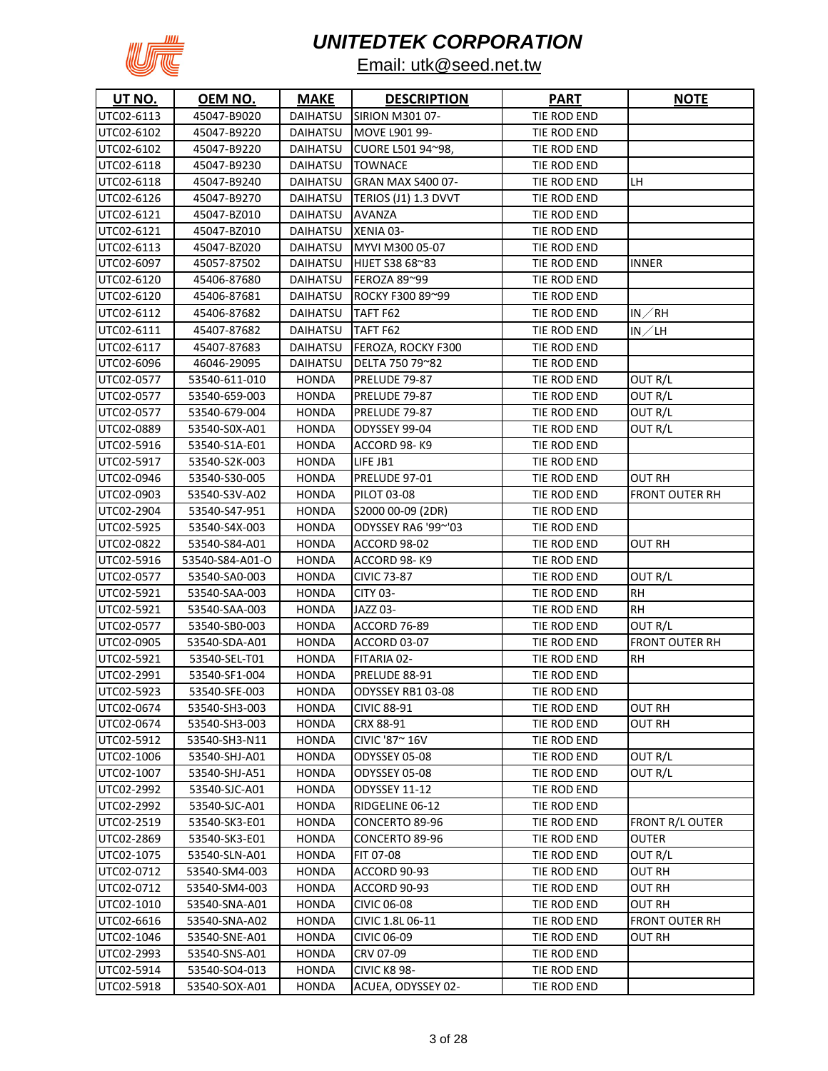

| UT NO.     | <u>OEM NO.</u>  | <u>MAKE</u>     | <b>DESCRIPTION</b>     | <u>PART</u> | <b>NOTE</b>           |
|------------|-----------------|-----------------|------------------------|-------------|-----------------------|
| UTC02-6113 | 45047-B9020     | DAIHATSU        | <b>SIRION M301 07-</b> | TIE ROD END |                       |
| UTC02-6102 | 45047-B9220     | DAIHATSU        | MOVE L901 99-          | TIE ROD END |                       |
| UTC02-6102 | 45047-B9220     | DAIHATSU        | CUORE L501 94~98,      | TIE ROD END |                       |
| UTC02-6118 | 45047-B9230     | DAIHATSU        | <b>TOWNACE</b>         | TIE ROD END |                       |
| UTC02-6118 | 45047-B9240     | DAIHATSU        | GRAN MAX S400 07-      | TIE ROD END | LН                    |
| UTC02-6126 | 45047-B9270     | DAIHATSU        | TERIOS (J1) 1.3 DVVT   | TIE ROD END |                       |
| UTC02-6121 | 45047-BZ010     | DAIHATSU        | <b>AVANZA</b>          | TIE ROD END |                       |
| UTC02-6121 | 45047-BZ010     | <b>DAIHATSU</b> | XENIA 03-              | TIE ROD END |                       |
| UTC02-6113 | 45047-BZ020     | DAIHATSU        | MYVI M300 05-07        | TIE ROD END |                       |
| UTC02-6097 | 45057-87502     | DAIHATSU        | HIJET S38 68~83        | TIE ROD END | INNER                 |
| UTC02-6120 | 45406-87680     | DAIHATSU        | FEROZA 89~99           | TIE ROD END |                       |
| UTC02-6120 | 45406-87681     | DAIHATSU        | ROCKY F300 89~99       | TIE ROD END |                       |
| UTC02-6112 | 45406-87682     | DAIHATSU        | TAFT F62               | TIE ROD END | IN∕RH                 |
| UTC02-6111 | 45407-87682     | DAIHATSU        | TAFT F62               | TIE ROD END | IN $\angle$ LH        |
| UTC02-6117 | 45407-87683     | DAIHATSU        | FEROZA, ROCKY F300     | TIE ROD END |                       |
| UTC02-6096 | 46046-29095     | DAIHATSU        | DELTA 750 79~82        | TIE ROD END |                       |
| UTC02-0577 | 53540-611-010   | <b>HONDA</b>    | PRELUDE 79-87          | TIE ROD END | OUT R/L               |
| UTC02-0577 | 53540-659-003   | <b>HONDA</b>    | PRELUDE 79-87          | TIE ROD END | OUT R/L               |
| UTC02-0577 | 53540-679-004   | <b>HONDA</b>    | PRELUDE 79-87          | TIE ROD END | OUT R/L               |
| UTC02-0889 | 53540-S0X-A01   | <b>HONDA</b>    | ODYSSEY 99-04          | TIE ROD END | OUT R/L               |
| UTC02-5916 | 53540-S1A-E01   | HONDA           | ACCORD 98-K9           | TIE ROD END |                       |
| UTC02-5917 | 53540-S2K-003   | HONDA           | LIFE JB1               | TIE ROD END |                       |
| UTC02-0946 | 53540-S30-005   | <b>HONDA</b>    | PRELUDE 97-01          | TIE ROD END | OUT RH                |
| UTC02-0903 | 53540-S3V-A02   | <b>HONDA</b>    | PILOT 03-08            | TIE ROD END | FRONT OUTER RH        |
| UTC02-2904 | 53540-S47-951   | <b>HONDA</b>    | S2000 00-09 (2DR)      | TIE ROD END |                       |
| UTC02-5925 | 53540-S4X-003   | <b>HONDA</b>    | ODYSSEY RA6 '99~'03    | TIE ROD END |                       |
| UTC02-0822 | 53540-S84-A01   | <b>HONDA</b>    | ACCORD 98-02           | TIE ROD END | OUT RH                |
| UTC02-5916 | 53540-S84-A01-O | <b>HONDA</b>    | ACCORD 98-K9           | TIE ROD END |                       |
| UTC02-0577 | 53540-SA0-003   | <b>HONDA</b>    | <b>CIVIC 73-87</b>     | TIE ROD END | OUT R/L               |
| UTC02-5921 | 53540-SAA-003   | <b>HONDA</b>    | <b>CITY 03-</b>        | TIE ROD END | <b>RH</b>             |
| UTC02-5921 | 53540-SAA-003   | <b>HONDA</b>    | JAZZ 03-               | TIE ROD END | RН                    |
| UTC02-0577 | 53540-SB0-003   | <b>HONDA</b>    | ACCORD 76-89           | TIE ROD END | OUT R/L               |
| UTC02-0905 | 53540-SDA-A01   | <b>HONDA</b>    | ACCORD 03-07           | TIE ROD END | <b>FRONT OUTER RH</b> |
| UTC02-5921 | 53540-SEL-T01   | <b>HONDA</b>    | FITARIA 02-            | TIE ROD END | RН                    |
| UTC02-2991 | 53540-SF1-004   | <b>HONDA</b>    | PRELUDE 88-91          | TIE ROD END |                       |
| UTC02-5923 | 53540-SFE-003   | HONDA           | ODYSSEY RB1 03-08      | TIE ROD END |                       |
| UTC02-0674 | 53540-SH3-003   | <b>HONDA</b>    | <b>CIVIC 88-91</b>     | TIE ROD END | OUT RH                |
| UTC02-0674 | 53540-SH3-003   | <b>HONDA</b>    | CRX 88-91              | TIE ROD END | OUT RH                |
| UTC02-5912 | 53540-SH3-N11   | <b>HONDA</b>    | CIVIC '87~ 16V         | TIE ROD END |                       |
| UTC02-1006 | 53540-SHJ-A01   | <b>HONDA</b>    | ODYSSEY 05-08          | TIE ROD END | OUT R/L               |
| UTC02-1007 | 53540-SHJ-A51   | HONDA           | ODYSSEY 05-08          | TIE ROD END | OUT R/L               |
| UTC02-2992 | 53540-SJC-A01   | <b>HONDA</b>    | <b>ODYSSEY 11-12</b>   | TIE ROD END |                       |
| UTC02-2992 | 53540-SJC-A01   | <b>HONDA</b>    | RIDGELINE 06-12        | TIE ROD END |                       |
| UTC02-2519 | 53540-SK3-E01   | <b>HONDA</b>    | CONCERTO 89-96         | TIE ROD END | FRONT R/L OUTER       |
| UTC02-2869 | 53540-SK3-E01   | <b>HONDA</b>    | CONCERTO 89-96         | TIE ROD END | OUTER                 |
| UTC02-1075 | 53540-SLN-A01   | <b>HONDA</b>    | FIT 07-08              | TIE ROD END | OUT R/L               |
| UTC02-0712 | 53540-SM4-003   | HONDA           | ACCORD 90-93           | TIE ROD END | OUT RH                |
| UTC02-0712 | 53540-SM4-003   | <b>HONDA</b>    | ACCORD 90-93           | TIE ROD END | OUT RH                |
| UTC02-1010 | 53540-SNA-A01   | <b>HONDA</b>    | CIVIC 06-08            | TIE ROD END | OUT RH                |
| UTC02-6616 | 53540-SNA-A02   | <b>HONDA</b>    | CIVIC 1.8L 06-11       | TIE ROD END | FRONT OUTER RH        |
| UTC02-1046 | 53540-SNE-A01   | <b>HONDA</b>    | <b>CIVIC 06-09</b>     | TIE ROD END | OUT RH                |
| UTC02-2993 | 53540-SNS-A01   | <b>HONDA</b>    | CRV 07-09              | TIE ROD END |                       |
| UTC02-5914 | 53540-SO4-013   | <b>HONDA</b>    | <b>CIVIC K8 98-</b>    | TIE ROD END |                       |
| UTC02-5918 | 53540-SOX-A01   | HONDA           | ACUEA, ODYSSEY 02-     | TIE ROD END |                       |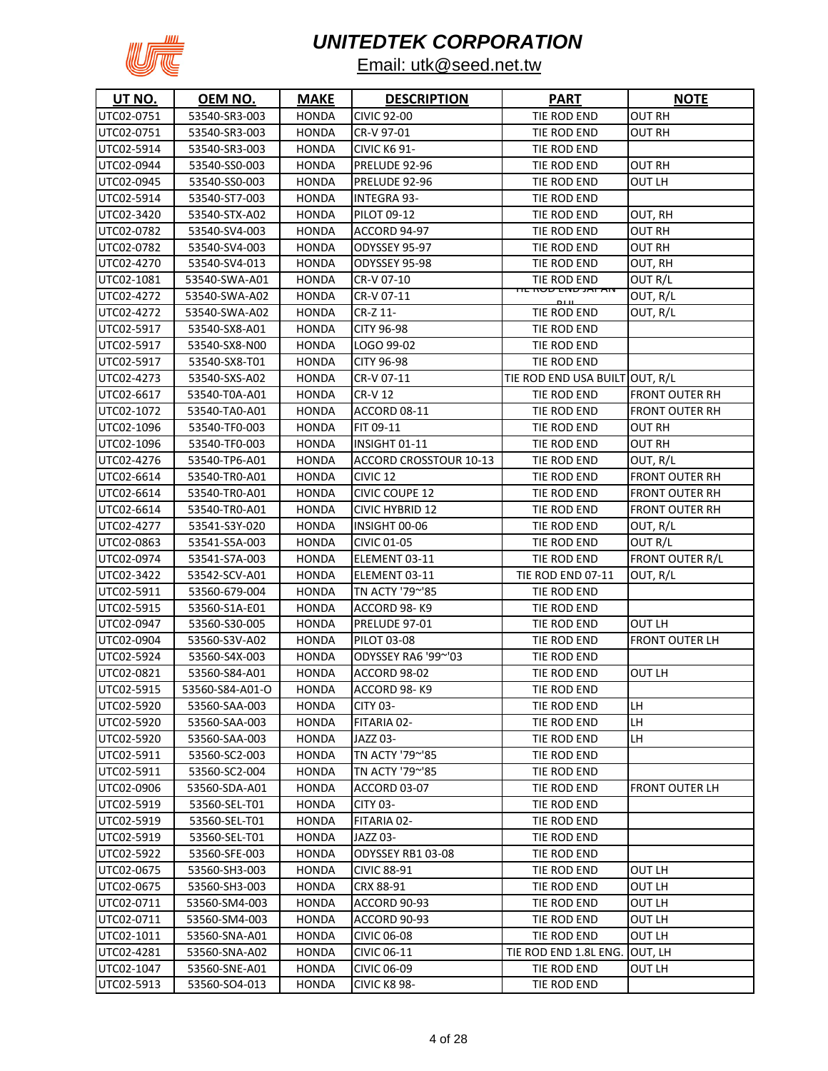

| <b>UT NO.</b> | OEM NO.         | <b>MAKE</b>  | <b>DESCRIPTION</b>            | <b>PART</b>                    | <b>NOTE</b>            |
|---------------|-----------------|--------------|-------------------------------|--------------------------------|------------------------|
| UTC02-0751    | 53540-SR3-003   | <b>HONDA</b> | <b>CIVIC 92-00</b>            | TIE ROD END                    | OUT RH                 |
| UTC02-0751    | 53540-SR3-003   | <b>HONDA</b> | CR-V 97-01                    | TIE ROD END                    | OUT RH                 |
| UTC02-5914    | 53540-SR3-003   | <b>HONDA</b> | <b>CIVIC K6 91-</b>           | TIE ROD END                    |                        |
| UTC02-0944    | 53540-SS0-003   | <b>HONDA</b> | PRELUDE 92-96                 | TIE ROD END                    | <b>OUT RH</b>          |
| UTC02-0945    | 53540-SS0-003   | <b>HONDA</b> | PRELUDE 92-96                 | TIE ROD END                    | OUT LH                 |
| UTC02-5914    | 53540-ST7-003   | <b>HONDA</b> | <b>INTEGRA 93-</b>            | TIE ROD END                    |                        |
| UTC02-3420    | 53540-STX-A02   | <b>HONDA</b> | PILOT 09-12                   | TIE ROD END                    | OUT, RH                |
| UTC02-0782    | 53540-SV4-003   | <b>HONDA</b> | ACCORD 94-97                  | TIE ROD END                    | OUT RH                 |
| UTC02-0782    | 53540-SV4-003   | <b>HONDA</b> | ODYSSEY 95-97                 | TIE ROD END                    | OUT RH                 |
| UTC02-4270    | 53540-SV4-013   | <b>HONDA</b> | ODYSSEY 95-98                 | TIE ROD END                    | OUT, RH                |
| UTC02-1081    | 53540-SWA-A01   | <b>HONDA</b> | CR-V 07-10                    | TIE ROD END                    | OUT R/L                |
| UTC02-4272    | 53540-SWA-A02   | <b>HONDA</b> | CR-V 07-11                    | <del>זוג מעט בוזים שט</del>    | OUT, R/L               |
| UTC02-4272    | 53540-SWA-A02   | <b>HONDA</b> | CR-Z 11-                      | TIE ROD END                    | OUT, R/L               |
| UTC02-5917    | 53540-SX8-A01   | <b>HONDA</b> | CITY 96-98                    | TIE ROD END                    |                        |
| UTC02-5917    | 53540-SX8-N00   | <b>HONDA</b> | LOGO 99-02                    | TIE ROD END                    |                        |
| UTC02-5917    | 53540-SX8-T01   | <b>HONDA</b> | <b>CITY 96-98</b>             | TIE ROD END                    |                        |
| UTC02-4273    | 53540-SXS-A02   | <b>HONDA</b> | CR-V 07-11                    | TIE ROD END USA BUILT OUT, R/L |                        |
| UTC02-6617    | 53540-T0A-A01   | <b>HONDA</b> | <b>CR-V12</b>                 | TIE ROD END                    | <b>FRONT OUTER RH</b>  |
| UTC02-1072    | 53540-TA0-A01   | <b>HONDA</b> | ACCORD 08-11                  | TIE ROD END                    | <b>FRONT OUTER RH</b>  |
| UTC02-1096    | 53540-TF0-003   | <b>HONDA</b> | FIT 09-11                     | TIE ROD END                    | OUT RH                 |
| UTC02-1096    | 53540-TF0-003   | <b>HONDA</b> | INSIGHT 01-11                 | TIE ROD END                    | OUT RH                 |
| UTC02-4276    | 53540-TP6-A01   | <b>HONDA</b> | <b>ACCORD CROSSTOUR 10-13</b> | TIE ROD END                    | OUT, R/L               |
| UTC02-6614    | 53540-TR0-A01   | <b>HONDA</b> | CIVIC <sub>12</sub>           | TIE ROD END                    | FRONT OUTER RH         |
| UTC02-6614    | 53540-TR0-A01   | <b>HONDA</b> | <b>CIVIC COUPE 12</b>         | TIE ROD END                    | FRONT OUTER RH         |
| UTC02-6614    | 53540-TR0-A01   | <b>HONDA</b> | <b>CIVIC HYBRID 12</b>        | TIE ROD END                    | <b>FRONT OUTER RH</b>  |
| UTC02-4277    | 53541-S3Y-020   | HONDA        | INSIGHT 00-06                 | TIE ROD END                    | OUT, R/L               |
| UTC02-0863    | 53541-S5A-003   | <b>HONDA</b> | <b>CIVIC 01-05</b>            | TIE ROD END                    | OUT R/L                |
| UTC02-0974    | 53541-S7A-003   | HONDA        | ELEMENT 03-11                 | TIE ROD END                    | <b>FRONT OUTER R/L</b> |
| UTC02-3422    | 53542-SCV-A01   | <b>HONDA</b> | ELEMENT 03-11                 | <b>TIE ROD END 07-11</b>       | OUT, R/L               |
| UTC02-5911    | 53560-679-004   | <b>HONDA</b> | TN ACTY '79~'85               | TIE ROD END                    |                        |
| UTC02-5915    | 53560-S1A-E01   | HONDA        | ACCORD 98-K9                  | TIE ROD END                    |                        |
| UTC02-0947    | 53560-S30-005   | <b>HONDA</b> | PRELUDE 97-01                 | TIE ROD END                    | OUT LH                 |
| UTC02-0904    | 53560-S3V-A02   | <b>HONDA</b> | PILOT 03-08                   | TIE ROD END                    | FRONT OUTER LH         |
| UTC02-5924    | 53560-S4X-003   | <b>HONDA</b> | ODYSSEY RA6 '99~'03           | TIE ROD END                    |                        |
| UTC02-0821    | 53560-S84-A01   | <b>HONDA</b> | ACCORD 98-02                  | TIE ROD END                    | OUT LH                 |
| UTC02-5915    | 53560-S84-A01-O | <b>HONDA</b> | ACCORD 98-K9                  | TIE ROD END                    |                        |
| UTC02-5920    | 53560-SAA-003   | HONDA        | <b>CITY 03-</b>               | TIE ROD END                    | LH                     |
| UTC02-5920    | 53560-SAA-003   | <b>HONDA</b> | FITARIA 02-                   | TIE ROD END                    | LH                     |
| UTC02-5920    | 53560-SAA-003   | <b>HONDA</b> | JAZZ 03-                      | TIE ROD END                    | LH                     |
| UTC02-5911    | 53560-SC2-003   | <b>HONDA</b> | TN ACTY '79~'85               | TIE ROD END                    |                        |
| UTC02-5911    | 53560-SC2-004   | <b>HONDA</b> | TN ACTY '79~'85               | TIE ROD END                    |                        |
| UTC02-0906    | 53560-SDA-A01   | <b>HONDA</b> | ACCORD 03-07                  | TIE ROD END                    | FRONT OUTER LH         |
| UTC02-5919    | 53560-SEL-T01   | HONDA        | <b>CITY 03-</b>               | TIE ROD END                    |                        |
| UTC02-5919    | 53560-SEL-T01   | <b>HONDA</b> | FITARIA 02-                   | TIE ROD END                    |                        |
| UTC02-5919    | 53560-SEL-T01   | HONDA        | JAZZ 03-                      | TIE ROD END                    |                        |
| UTC02-5922    | 53560-SFE-003   | HONDA        | ODYSSEY RB1 03-08             | TIE ROD END                    |                        |
| UTC02-0675    | 53560-SH3-003   | <b>HONDA</b> | <b>CIVIC 88-91</b>            | TIE ROD END                    | OUT LH                 |
| UTC02-0675    | 53560-SH3-003   | <b>HONDA</b> | CRX 88-91                     | TIE ROD END                    | OUT LH                 |
| UTC02-0711    | 53560-SM4-003   | <b>HONDA</b> | ACCORD 90-93                  | TIE ROD END                    | OUT LH                 |
| UTC02-0711    | 53560-SM4-003   | HONDA        | ACCORD 90-93                  | TIE ROD END                    | OUT LH                 |
| UTC02-1011    | 53560-SNA-A01   | <b>HONDA</b> | <b>CIVIC 06-08</b>            | TIE ROD END                    | OUT LH                 |
| UTC02-4281    | 53560-SNA-A02   | HONDA        | CIVIC 06-11                   | TIE ROD END 1.8L ENG.          | OUT, LH                |
| UTC02-1047    | 53560-SNE-A01   | HONDA        | <b>CIVIC 06-09</b>            | TIE ROD END                    | OUT LH                 |
| UTC02-5913    | 53560-SO4-013   | HONDA        | <b>CIVIC K8 98-</b>           | TIE ROD END                    |                        |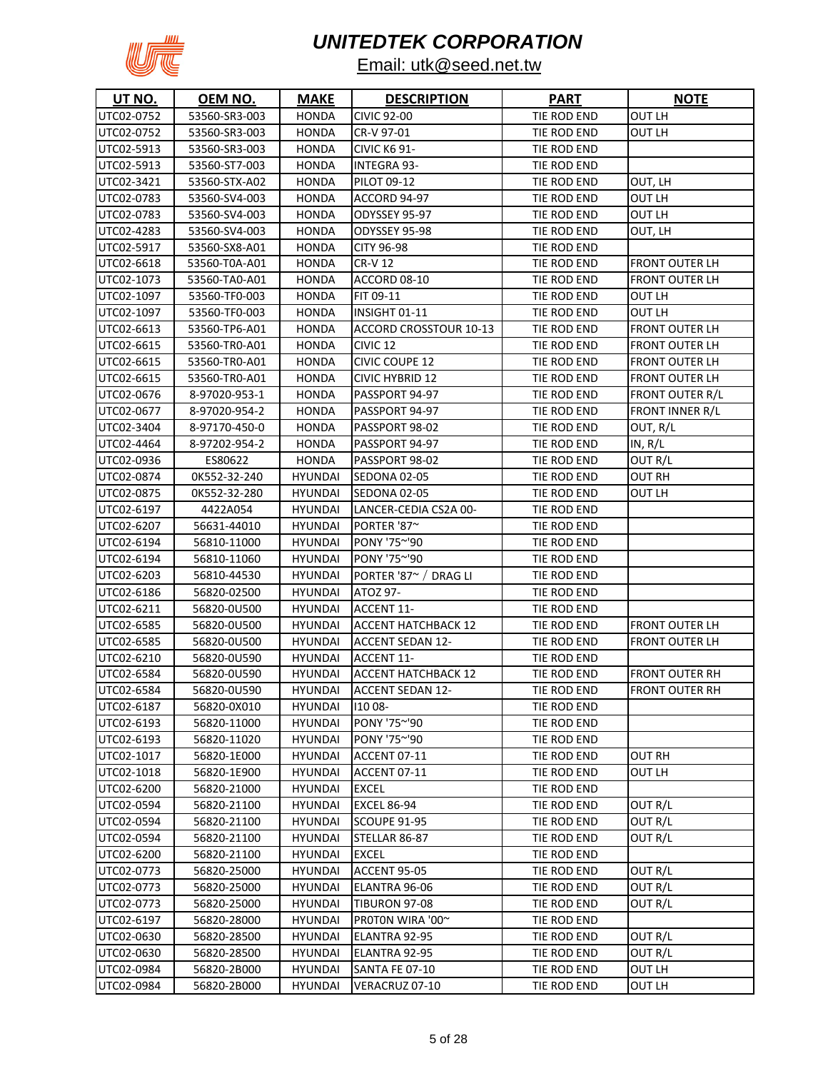

| UT NO.     | <u>OEM NO.</u> | <b>MAKE</b>    | <b>DESCRIPTION</b>         | <b>PART</b> | <b>NOTE</b>            |
|------------|----------------|----------------|----------------------------|-------------|------------------------|
| UTC02-0752 | 53560-SR3-003  | <b>HONDA</b>   | <b>CIVIC 92-00</b>         | TIE ROD END | OUT LH                 |
| UTC02-0752 | 53560-SR3-003  | <b>HONDA</b>   | CR-V 97-01                 | TIE ROD END | OUT LH                 |
| UTC02-5913 | 53560-SR3-003  | <b>HONDA</b>   | <b>CIVIC K6 91-</b>        | TIE ROD END |                        |
| UTC02-5913 | 53560-ST7-003  | <b>HONDA</b>   | <b>INTEGRA 93-</b>         | TIE ROD END |                        |
| UTC02-3421 | 53560-STX-A02  | <b>HONDA</b>   | <b>PILOT 09-12</b>         | TIE ROD END | OUT, LH                |
| UTC02-0783 | 53560-SV4-003  | <b>HONDA</b>   | ACCORD 94-97               | TIE ROD END | OUT LH                 |
| UTC02-0783 | 53560-SV4-003  | <b>HONDA</b>   | ODYSSEY 95-97              | TIE ROD END | OUT LH                 |
| UTC02-4283 | 53560-SV4-003  | <b>HONDA</b>   | ODYSSEY 95-98              | TIE ROD END | OUT, LH                |
| UTC02-5917 | 53560-SX8-A01  | <b>HONDA</b>   | CITY 96-98                 | TIE ROD END |                        |
| UTC02-6618 | 53560-T0A-A01  | <b>HONDA</b>   | <b>CR-V12</b>              | TIE ROD END | <b>FRONT OUTER LH</b>  |
| UTC02-1073 | 53560-TA0-A01  | <b>HONDA</b>   | ACCORD 08-10               | TIE ROD END | FRONT OUTER LH         |
| UTC02-1097 | 53560-TF0-003  | <b>HONDA</b>   | FIT 09-11                  | TIE ROD END | OUT LH                 |
| UTC02-1097 | 53560-TF0-003  | HONDA          | INSIGHT 01-11              | TIE ROD END | OUT LH                 |
| UTC02-6613 | 53560-TP6-A01  | <b>HONDA</b>   | ACCORD CROSSTOUR 10-13     | TIE ROD END | <b>FRONT OUTER LH</b>  |
| UTC02-6615 | 53560-TRO-A01  | <b>HONDA</b>   | CIVIC <sub>12</sub>        | TIE ROD END | <b>FRONT OUTER LH</b>  |
| UTC02-6615 | 53560-TR0-A01  | <b>HONDA</b>   | CIVIC COUPE 12             | TIE ROD END | <b>FRONT OUTER LH</b>  |
| UTC02-6615 | 53560-TR0-A01  | <b>HONDA</b>   | <b>CIVIC HYBRID 12</b>     | TIE ROD END | <b>FRONT OUTER LH</b>  |
| UTC02-0676 | 8-97020-953-1  | <b>HONDA</b>   | PASSPORT 94-97             | TIE ROD END | <b>FRONT OUTER R/L</b> |
| UTC02-0677 | 8-97020-954-2  | <b>HONDA</b>   | PASSPORT 94-97             | TIE ROD END | FRONT INNER R/L        |
| UTC02-3404 | 8-97170-450-0  | <b>HONDA</b>   | PASSPORT 98-02             | TIE ROD END | OUT, R/L               |
| UTC02-4464 | 8-97202-954-2  | <b>HONDA</b>   | PASSPORT 94-97             | TIE ROD END | IN, R/L                |
| UTC02-0936 | ES80622        | <b>HONDA</b>   | PASSPORT 98-02             | TIE ROD END | OUT R/L                |
| UTC02-0874 | 0K552-32-240   | <b>HYUNDAI</b> | SEDONA 02-05               | TIE ROD END | OUT RH                 |
| UTC02-0875 | OK552-32-280   | <b>HYUNDAI</b> | <b>SEDONA 02-05</b>        | TIE ROD END | OUT LH                 |
| UTC02-6197 | 4422A054       | <b>HYUNDAI</b> | LANCER-CEDIA CS2A 00-      | TIE ROD END |                        |
| UTC02-6207 | 56631-44010    | <b>HYUNDAI</b> | PORTER '87~                | TIE ROD END |                        |
| UTC02-6194 | 56810-11000    | <b>HYUNDAI</b> | PONY '75~'90               | TIE ROD END |                        |
| UTC02-6194 | 56810-11060    | <b>HYUNDAI</b> | PONY '75~'90               | TIE ROD END |                        |
| UTC02-6203 | 56810-44530    | <b>HYUNDAI</b> | PORTER '87~ / DRAG LI      | TIE ROD END |                        |
| UTC02-6186 | 56820-02500    | <b>HYUNDAI</b> | ATOZ 97-                   | TIE ROD END |                        |
| UTC02-6211 | 56820-0U500    | <b>HYUNDAI</b> | ACCENT 11-                 | TIE ROD END |                        |
| UTC02-6585 | 56820-0U500    | <b>HYUNDAI</b> | <b>ACCENT HATCHBACK 12</b> | TIE ROD END | FRONT OUTER LH         |
| UTC02-6585 | 56820-0U500    | <b>HYUNDAI</b> | <b>ACCENT SEDAN 12-</b>    | TIE ROD END | <b>FRONT OUTER LH</b>  |
| UTC02-6210 | 56820-0U590    | <b>HYUNDAI</b> | ACCENT 11-                 | TIE ROD END |                        |
| UTC02-6584 | 56820-0U590    | <b>HYUNDAI</b> | <b>ACCENT HATCHBACK 12</b> | TIE ROD END | FRONT OUTER RH         |
| UTC02-6584 | 56820-0U590    | <b>HYUNDAI</b> | <b>ACCENT SEDAN 12-</b>    | TIE ROD END | <b>FRONT OUTER RH</b>  |
| UTC02-6187 | 56820-0X010    | <b>HYUNDAI</b> | 110 08-                    | TIE ROD END |                        |
| UTC02-6193 | 56820-11000    | <b>HYUNDAI</b> | PONY '75~'90               | TIE ROD END |                        |
| UTC02-6193 | 56820-11020    | <b>HYUNDAI</b> | PONY '75~'90               | TIE ROD END |                        |
| UTC02-1017 | 56820-1E000    | <b>HYUNDAI</b> | ACCENT 07-11               | TIE ROD END | OUT RH                 |
| UTC02-1018 | 56820-1E900    | <b>HYUNDAI</b> | ACCENT 07-11               | TIE ROD END | OUT LH                 |
| UTC02-6200 | 56820-21000    | <b>HYUNDAI</b> | EXCEL                      | TIE ROD END |                        |
| UTC02-0594 | 56820-21100    | <b>HYUNDAI</b> | <b>EXCEL 86-94</b>         | TIE ROD END | OUT R/L                |
| UTC02-0594 | 56820-21100    | <b>HYUNDAI</b> | <b>SCOUPE 91-95</b>        | TIE ROD END | OUT R/L                |
| UTC02-0594 | 56820-21100    | <b>HYUNDAI</b> | STELLAR 86-87              | TIE ROD END | OUT R/L                |
| UTC02-6200 | 56820-21100    | <b>HYUNDAI</b> | <b>EXCEL</b>               | TIE ROD END |                        |
| UTC02-0773 | 56820-25000    | HYUNDAI        | <b>ACCENT 95-05</b>        | TIE ROD END | OUT R/L                |
| UTC02-0773 | 56820-25000    | <b>HYUNDAI</b> | ELANTRA 96-06              | TIE ROD END | OUT R/L                |
| UTC02-0773 | 56820-25000    | <b>HYUNDAI</b> | <b>TIBURON 97-08</b>       | TIE ROD END | OUT R/L                |
| UTC02-6197 | 56820-28000    | <b>HYUNDAI</b> | PROTON WIRA '00~           | TIE ROD END |                        |
| UTC02-0630 | 56820-28500    | <b>HYUNDAI</b> | ELANTRA 92-95              | TIE ROD END | OUT R/L                |
| UTC02-0630 | 56820-28500    | <b>HYUNDAI</b> | ELANTRA 92-95              | TIE ROD END | OUT R/L                |
| UTC02-0984 | 56820-2B000    | <b>HYUNDAI</b> | <b>SANTA FE 07-10</b>      | TIE ROD END | OUT LH                 |
| UTC02-0984 | 56820-2B000    | <b>HYUNDAI</b> | VERACRUZ 07-10             | TIE ROD END | OUT LH                 |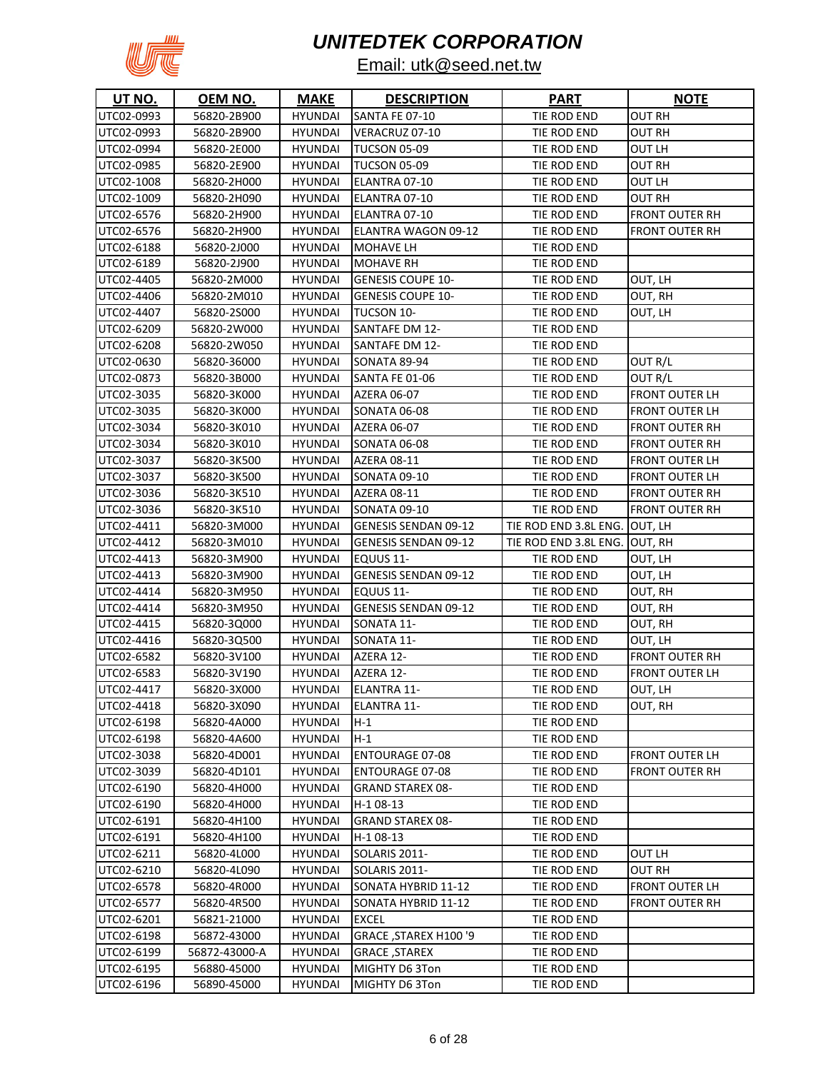

| UT NO.     | <u>OEM NO.</u> | <u>MAKE</u>    | <b>DESCRIPTION</b>          | <u>PART</u>                   | <b>NOTE</b>           |
|------------|----------------|----------------|-----------------------------|-------------------------------|-----------------------|
| UTC02-0993 | 56820-2B900    | <b>HYUNDAI</b> | <b>SANTA FE 07-10</b>       | TIE ROD END                   | OUT RH                |
| UTC02-0993 | 56820-2B900    | <b>HYUNDAI</b> | VERACRUZ 07-10              | TIE ROD END                   | OUT RH                |
| UTC02-0994 | 56820-2E000    | <b>HYUNDAI</b> | <b>TUCSON 05-09</b>         | TIE ROD END                   | OUT LH                |
| UTC02-0985 | 56820-2E900    | <b>HYUNDAI</b> | <b>TUCSON 05-09</b>         | TIE ROD END                   | OUT RH                |
| UTC02-1008 | 56820-2H000    | <b>HYUNDAI</b> | ELANTRA 07-10               | TIE ROD END                   | OUT LH                |
| UTC02-1009 | 56820-2H090    | HYUNDAI        | ELANTRA 07-10               | TIE ROD END                   | OUT RH                |
| UTC02-6576 | 56820-2H900    | HYUNDAI        | ELANTRA 07-10               | TIE ROD END                   | <b>FRONT OUTER RH</b> |
| UTC02-6576 | 56820-2H900    | <b>HYUNDAI</b> | ELANTRA WAGON 09-12         | TIE ROD END                   | <b>FRONT OUTER RH</b> |
| UTC02-6188 | 56820-2J000    | <b>HYUNDAI</b> | <b>MOHAVE LH</b>            | TIE ROD END                   |                       |
| UTC02-6189 | 56820-2J900    | HYUNDAI        | <b>MOHAVE RH</b>            | TIE ROD END                   |                       |
| UTC02-4405 | 56820-2M000    | <b>HYUNDAI</b> | <b>GENESIS COUPE 10-</b>    | TIE ROD END                   | OUT, LH               |
| UTC02-4406 | 56820-2M010    | HYUNDAI        | <b>GENESIS COUPE 10-</b>    | TIE ROD END                   | OUT, RH               |
| UTC02-4407 | 56820-2S000    | HYUNDAI        | <b>TUCSON 10-</b>           | TIE ROD END                   | OUT, LH               |
| UTC02-6209 | 56820-2W000    | HYUNDAI        | SANTAFE DM 12-              | TIE ROD END                   |                       |
| UTC02-6208 | 56820-2W050    | <b>HYUNDAI</b> | SANTAFE DM 12-              | TIE ROD END                   |                       |
| UTC02-0630 | 56820-36000    | <b>HYUNDAI</b> | SONATA 89-94                | TIE ROD END                   | OUT R/L               |
| UTC02-0873 | 56820-3B000    | HYUNDAI        | <b>SANTA FE 01-06</b>       | TIE ROD END                   | OUT R/L               |
| UTC02-3035 | 56820-3K000    | HYUNDAI        | AZERA 06-07                 | TIE ROD END                   | <b>FRONT OUTER LH</b> |
| UTC02-3035 | 56820-3K000    | <b>HYUNDAI</b> | <b>SONATA 06-08</b>         | TIE ROD END                   | <b>FRONT OUTER LH</b> |
| UTC02-3034 | 56820-3K010    | <b>HYUNDAI</b> | AZERA 06-07                 | TIE ROD END                   | FRONT OUTER RH        |
| UTC02-3034 | 56820-3K010    | <b>HYUNDAI</b> | <b>SONATA 06-08</b>         | TIE ROD END                   | FRONT OUTER RH        |
| UTC02-3037 | 56820-3K500    | <b>HYUNDAI</b> | AZERA 08-11                 | TIE ROD END                   | <b>FRONT OUTER LH</b> |
| UTC02-3037 | 56820-3K500    | <b>HYUNDAI</b> | <b>SONATA 09-10</b>         | TIE ROD END                   | <b>FRONT OUTER LH</b> |
| UTC02-3036 | 56820-3K510    | <b>HYUNDAI</b> | AZERA 08-11                 | TIE ROD END                   | <b>FRONT OUTER RH</b> |
| UTC02-3036 | 56820-3K510    | <b>HYUNDAI</b> | <b>SONATA 09-10</b>         | TIE ROD END                   | FRONT OUTER RH        |
| UTC02-4411 | 56820-3M000    | <b>HYUNDAI</b> | <b>GENESIS SENDAN 09-12</b> | TIE ROD END 3.8L ENG. OUT, LH |                       |
| UTC02-4412 | 56820-3M010    | <b>HYUNDAI</b> | <b>GENESIS SENDAN 09-12</b> | TIE ROD END 3.8L ENG.         | OUT, RH               |
| UTC02-4413 | 56820-3M900    | <b>HYUNDAI</b> | EQUUS 11-                   | TIE ROD END                   | OUT, LH               |
| UTC02-4413 | 56820-3M900    | <b>HYUNDAI</b> | <b>GENESIS SENDAN 09-12</b> | TIE ROD END                   | OUT, LH               |
| UTC02-4414 | 56820-3M950    | <b>HYUNDAI</b> | EQUUS 11-                   | TIE ROD END                   | OUT, RH               |
| UTC02-4414 | 56820-3M950    | <b>HYUNDAI</b> | <b>GENESIS SENDAN 09-12</b> | TIE ROD END                   | OUT, RH               |
| UTC02-4415 | 56820-3Q000    | <b>HYUNDAI</b> | SONATA 11-                  | TIE ROD END                   | OUT, RH               |
| UTC02-4416 | 56820-3Q500    | <b>HYUNDAI</b> | SONATA 11-                  | TIE ROD END                   | OUT, LH               |
| UTC02-6582 | 56820-3V100    | <b>HYUNDAI</b> | AZERA 12-                   | TIE ROD END                   | FRONT OUTER RH        |
| UTC02-6583 | 56820-3V190    | <b>HYUNDAI</b> | AZERA 12-                   | TIE ROD END                   | <b>FRONT OUTER LH</b> |
| UTC02-4417 | 56820-3X000    | <b>HYUNDAI</b> | <b>ELANTRA 11-</b>          | TIE ROD END                   | OUT, LH               |
| UTC02-4418 | 56820-3X090    | <b>HYUNDAI</b> | <b>ELANTRA 11-</b>          | TIE ROD END                   | OUT, RH               |
| UTC02-6198 | 56820-4A000    | <b>HYUNDAI</b> | $H-1$                       | TIE ROD END                   |                       |
| UTC02-6198 | 56820-4A600    | <b>HYUNDAI</b> | $H-1$                       | TIE ROD END                   |                       |
| UTC02-3038 | 56820-4D001    | <b>HYUNDAI</b> | ENTOURAGE 07-08             | TIE ROD END                   | FRONT OUTER LH        |
| UTC02-3039 | 56820-4D101    | <b>HYUNDAI</b> | <b>ENTOURAGE 07-08</b>      | TIE ROD END                   | <b>FRONT OUTER RH</b> |
| UTC02-6190 | 56820-4H000    | <b>HYUNDAI</b> | <b>GRAND STAREX 08-</b>     | TIE ROD END                   |                       |
| UTC02-6190 | 56820-4H000    | <b>HYUNDAI</b> | H-1 08-13                   | TIE ROD END                   |                       |
| UTC02-6191 | 56820-4H100    | <b>HYUNDAI</b> | <b>GRAND STAREX 08-</b>     | TIE ROD END                   |                       |
| UTC02-6191 | 56820-4H100    | <b>HYUNDAI</b> | H-1 08-13                   | TIE ROD END                   |                       |
| UTC02-6211 | 56820-4L000    | <b>HYUNDAI</b> | SOLARIS 2011-               | TIE ROD END                   | OUT LH                |
| UTC02-6210 | 56820-4L090    | <b>HYUNDAI</b> | SOLARIS 2011-               | TIE ROD END                   | OUT RH                |
| UTC02-6578 | 56820-4R000    | <b>HYUNDAI</b> | SONATA HYBRID 11-12         | TIE ROD END                   | <b>FRONT OUTER LH</b> |
| UTC02-6577 | 56820-4R500    | <b>HYUNDAI</b> | SONATA HYBRID 11-12         | TIE ROD END                   | <b>FRONT OUTER RH</b> |
| UTC02-6201 | 56821-21000    | HYUNDAI        | <b>EXCEL</b>                | TIE ROD END                   |                       |
| UTC02-6198 | 56872-43000    | HYUNDAI        | GRACE, STAREX H100 '9       | TIE ROD END                   |                       |
| UTC02-6199 | 56872-43000-A  | HYUNDAI        | <b>GRACE ,STAREX</b>        | TIE ROD END                   |                       |
| UTC02-6195 | 56880-45000    | <b>HYUNDAI</b> | MIGHTY D6 3Ton              | TIE ROD END                   |                       |
| UTC02-6196 | 56890-45000    | HYUNDAI        | MIGHTY D6 3Ton              | TIE ROD END                   |                       |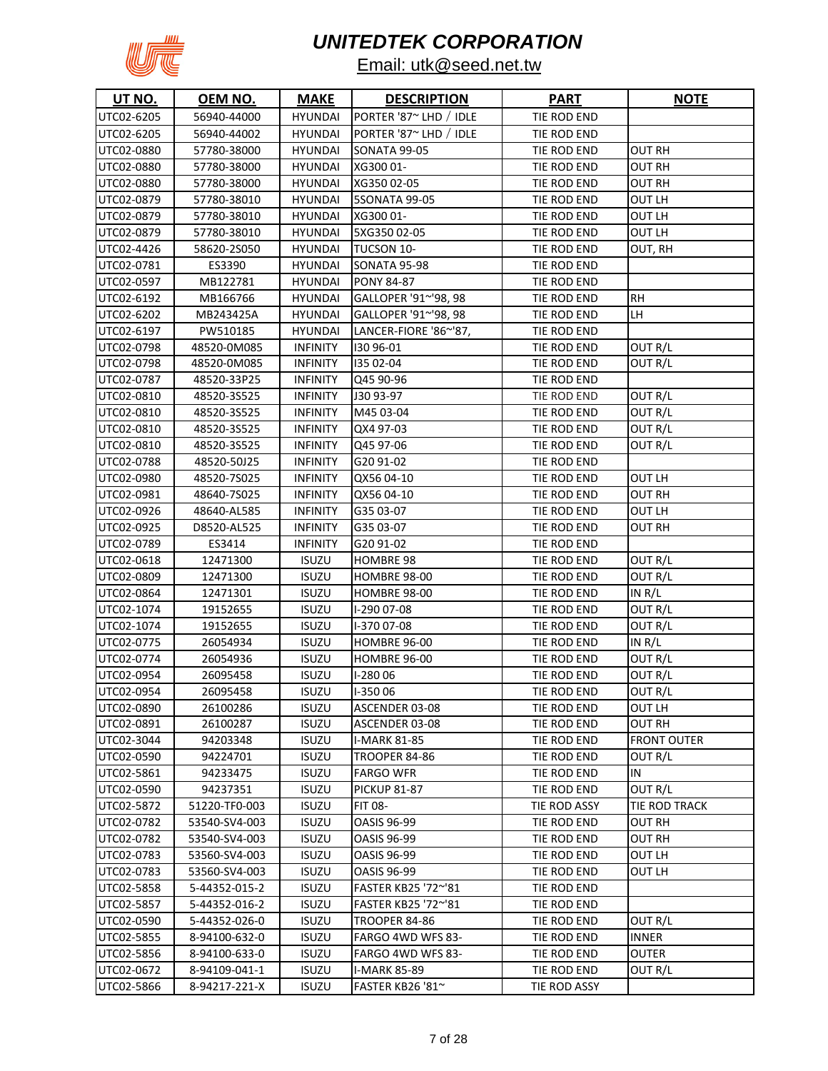

| UT NO.     | OEM NO.       | <b>MAKE</b>     | <b>DESCRIPTION</b>     | <b>PART</b>  | <b>NOTE</b>        |
|------------|---------------|-----------------|------------------------|--------------|--------------------|
| UTC02-6205 | 56940-44000   | <b>HYUNDAI</b>  | PORTER '87~ LHD / IDLE | TIE ROD END  |                    |
| UTC02-6205 | 56940-44002   | <b>HYUNDAI</b>  | PORTER '87~ LHD / IDLE | TIE ROD END  |                    |
| UTC02-0880 | 57780-38000   | <b>HYUNDAI</b>  | <b>SONATA 99-05</b>    | TIE ROD END  | OUT RH             |
| UTC02-0880 | 57780-38000   | <b>HYUNDAI</b>  | XG300 01-              | TIE ROD END  | OUT RH             |
| UTC02-0880 | 57780-38000   | <b>HYUNDAI</b>  | XG350 02-05            | TIE ROD END  | OUT RH             |
| UTC02-0879 | 57780-38010   | <b>HYUNDAI</b>  | <b>5SONATA 99-05</b>   | TIE ROD END  | OUT LH             |
| UTC02-0879 | 57780-38010   | <b>HYUNDAI</b>  | XG300 01-              | TIE ROD END  | OUT LH             |
| UTC02-0879 | 57780-38010   | <b>HYUNDAI</b>  | 5XG35002-05            | TIE ROD END  | OUT LH             |
| UTC02-4426 | 58620-2S050   | <b>HYUNDAI</b>  | TUCSON 10-             | TIE ROD END  | OUT, RH            |
| UTC02-0781 | ES3390        | <b>HYUNDAI</b>  | <b>SONATA 95-98</b>    | TIE ROD END  |                    |
| UTC02-0597 | MB122781      | <b>HYUNDAI</b>  | <b>PONY 84-87</b>      | TIE ROD END  |                    |
| UTC02-6192 | MB166766      | <b>HYUNDAI</b>  | GALLOPER '91~'98, 98   | TIE ROD END  | RН                 |
| UTC02-6202 | MB243425A     | <b>HYUNDAI</b>  | GALLOPER '91~'98, 98   | TIE ROD END  | LН                 |
| UTC02-6197 | PW510185      | <b>HYUNDAI</b>  | LANCER-FIORE '86~'87,  | TIE ROD END  |                    |
| UTC02-0798 | 48520-0M085   | <b>INFINITY</b> | 130 96-01              | TIE ROD END  | OUT R/L            |
| UTC02-0798 | 48520-0M085   | <b>INFINITY</b> | 135 02-04              | TIE ROD END  | OUT R/L            |
| UTC02-0787 | 48520-33P25   | <b>INFINITY</b> | Q45 90-96              | TIE ROD END  |                    |
| UTC02-0810 | 48520-3S525   | <b>INFINITY</b> | J30 93-97              | TIE ROD END  | OUT R/L            |
| UTC02-0810 | 48520-3S525   | <b>INFINITY</b> | M45 03-04              | TIE ROD END  | OUT R/L            |
| UTC02-0810 | 48520-3S525   | <b>INFINITY</b> | QX4 97-03              | TIE ROD END  | OUT R/L            |
| UTC02-0810 | 48520-3S525   | <b>INFINITY</b> | Q45 97-06              | TIE ROD END  | OUT R/L            |
| UTC02-0788 | 48520-50J25   | <b>INFINITY</b> | G20 91-02              | TIE ROD END  |                    |
| UTC02-0980 | 48520-7S025   | <b>INFINITY</b> | QX56 04-10             | TIE ROD END  | OUT LH             |
| UTC02-0981 | 48640-7S025   | <b>INFINITY</b> | QX56 04-10             | TIE ROD END  | OUT RH             |
| UTC02-0926 | 48640-AL585   | <b>INFINITY</b> | G35 03-07              | TIE ROD END  | OUT LH             |
| UTC02-0925 | D8520-AL525   | <b>INFINITY</b> | G35 03-07              | TIE ROD END  | OUT RH             |
| UTC02-0789 | ES3414        | <b>INFINITY</b> | G20 91-02              | TIE ROD END  |                    |
| UTC02-0618 | 12471300      | ISUZU           | <b>HOMBRE 98</b>       | TIE ROD END  | OUT R/L            |
| UTC02-0809 | 12471300      | <b>ISUZU</b>    | <b>HOMBRE 98-00</b>    | TIE ROD END  | OUT R/L            |
| UTC02-0864 | 12471301      | <b>ISUZU</b>    | <b>HOMBRE 98-00</b>    | TIE ROD END  | IN $R/L$           |
| UTC02-1074 | 19152655      | <b>ISUZU</b>    | I-290 07-08            | TIE ROD END  | OUT R/L            |
| UTC02-1074 | 19152655      | <b>ISUZU</b>    | I-370 07-08            | TIE ROD END  | OUT R/L            |
| UTC02-0775 | 26054934      | <b>ISUZU</b>    | HOMBRE 96-00           | TIE ROD END  | IN $R/L$           |
| UTC02-0774 | 26054936      | <b>ISUZU</b>    | <b>HOMBRE 96-00</b>    | TIE ROD END  | OUT R/L            |
| UTC02-0954 | 26095458      | <b>ISUZU</b>    | $I-28006$              | TIE ROD END  | OUT R/L            |
| UTC02-0954 | 26095458      | <b>ISUZU</b>    | I-35006                | TIE ROD END  | OUT R/L            |
| UTC02-0890 | 26100286      | <b>ISUZU</b>    | ASCENDER 03-08         | TIE ROD END  | OUT LH             |
| UTC02-0891 | 26100287      | <b>ISUZU</b>    | ASCENDER 03-08         | TIE ROD END  | OUT RH             |
| UTC02-3044 | 94203348      | <b>ISUZU</b>    | <b>I-MARK 81-85</b>    | TIE ROD END  | <b>FRONT OUTER</b> |
| UTC02-0590 | 94224701      | <b>ISUZU</b>    | <b>TROOPER 84-86</b>   | TIE ROD END  | OUT R/L            |
| UTC02-5861 | 94233475      | <b>ISUZU</b>    | <b>FARGO WFR</b>       | TIE ROD END  | IN                 |
| UTC02-0590 | 94237351      | <b>ISUZU</b>    | <b>PICKUP 81-87</b>    | TIE ROD END  | OUT R/L            |
| UTC02-5872 | 51220-TF0-003 | <b>ISUZU</b>    | FIT 08-                | TIE ROD ASSY | TIE ROD TRACK      |
| UTC02-0782 | 53540-SV4-003 | <b>ISUZU</b>    | <b>OASIS 96-99</b>     | TIE ROD END  | <b>OUT RH</b>      |
| UTC02-0782 | 53540-SV4-003 | <b>ISUZU</b>    | <b>OASIS 96-99</b>     | TIE ROD END  | <b>OUT RH</b>      |
| UTC02-0783 | 53560-SV4-003 | <b>ISUZU</b>    | <b>OASIS 96-99</b>     | TIE ROD END  | OUT LH             |
| UTC02-0783 | 53560-SV4-003 | <b>ISUZU</b>    | <b>OASIS 96-99</b>     | TIE ROD END  | OUT LH             |
| UTC02-5858 | 5-44352-015-2 | <b>ISUZU</b>    | FASTER KB25 '72~'81    | TIE ROD END  |                    |
| UTC02-5857 | 5-44352-016-2 | <b>ISUZU</b>    | FASTER KB25 '72~'81    | TIE ROD END  |                    |
| UTC02-0590 | 5-44352-026-0 | <b>ISUZU</b>    | TROOPER 84-86          | TIE ROD END  | OUT R/L            |
| UTC02-5855 | 8-94100-632-0 | <b>ISUZU</b>    | FARGO 4WD WFS 83-      | TIE ROD END  | <b>INNER</b>       |
| UTC02-5856 | 8-94100-633-0 | <b>ISUZU</b>    | FARGO 4WD WFS 83-      | TIE ROD END  | OUTER              |
| UTC02-0672 | 8-94109-041-1 | <b>ISUZU</b>    | <b>I-MARK 85-89</b>    | TIE ROD END  | OUT R/L            |
| UTC02-5866 | 8-94217-221-X | <b>ISUZU</b>    | FASTER KB26 '81~       | TIE ROD ASSY |                    |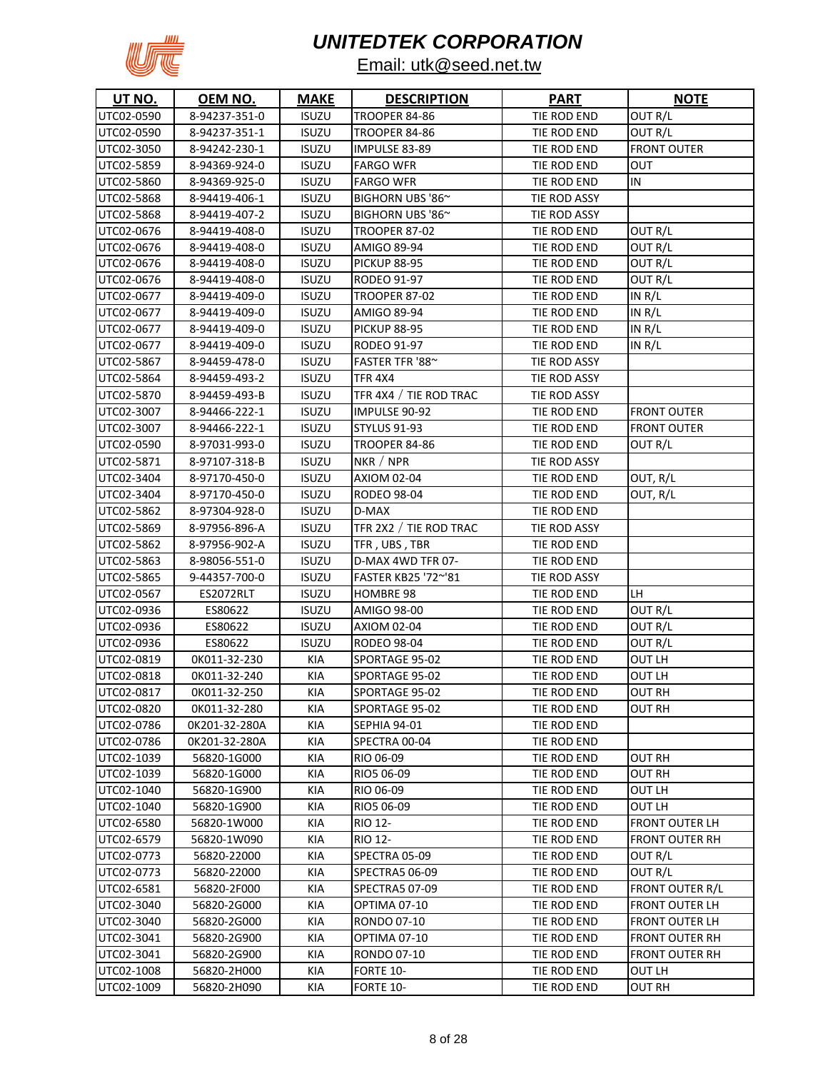

| <b>UT NO.</b> | OEM NO.       | <b>MAKE</b>  | <b>DESCRIPTION</b>     | <b>PART</b>  | <b>NOTE</b>            |
|---------------|---------------|--------------|------------------------|--------------|------------------------|
| UTC02-0590    | 8-94237-351-0 | <b>ISUZU</b> | <b>TROOPER 84-86</b>   | TIE ROD END  | OUT R/L                |
| UTC02-0590    | 8-94237-351-1 | <b>ISUZU</b> | TROOPER 84-86          | TIE ROD END  | OUT R/L                |
| UTC02-3050    | 8-94242-230-1 | <b>ISUZU</b> | IMPULSE 83-89          | TIE ROD END  | <b>FRONT OUTER</b>     |
| UTC02-5859    | 8-94369-924-0 | <b>ISUZU</b> | <b>FARGO WFR</b>       | TIE ROD END  | ουτ                    |
| UTC02-5860    | 8-94369-925-0 | <b>ISUZU</b> | <b>FARGO WFR</b>       | TIE ROD END  | IN                     |
| UTC02-5868    | 8-94419-406-1 | <b>ISUZU</b> | BIGHORN UBS '86~       | TIE ROD ASSY |                        |
| UTC02-5868    | 8-94419-407-2 | <b>ISUZU</b> | BIGHORN UBS '86~       | TIE ROD ASSY |                        |
| UTC02-0676    | 8-94419-408-0 | <b>ISUZU</b> | <b>TROOPER 87-02</b>   | TIE ROD END  | OUT R/L                |
| UTC02-0676    | 8-94419-408-0 | <b>ISUZU</b> | AMIGO 89-94            | TIE ROD END  | OUT R/L                |
| UTC02-0676    | 8-94419-408-0 | <b>ISUZU</b> | <b>PICKUP 88-95</b>    | TIE ROD END  | OUT R/L                |
| UTC02-0676    | 8-94419-408-0 | <b>ISUZU</b> | RODEO 91-97            | TIE ROD END  | OUT R/L                |
| UTC02-0677    | 8-94419-409-0 | <b>ISUZU</b> | <b>TROOPER 87-02</b>   | TIE ROD END  | IN $R/L$               |
| UTC02-0677    | 8-94419-409-0 | <b>ISUZU</b> | AMIGO 89-94            | TIE ROD END  | IN R/L                 |
| UTC02-0677    | 8-94419-409-0 | <b>ISUZU</b> | <b>PICKUP 88-95</b>    | TIE ROD END  | IN R/L                 |
| UTC02-0677    | 8-94419-409-0 | <b>ISUZU</b> | RODEO 91-97            | TIE ROD END  | IN R/L                 |
| UTC02-5867    | 8-94459-478-0 | <b>ISUZU</b> | FASTER TFR '88~        | TIE ROD ASSY |                        |
| UTC02-5864    | 8-94459-493-2 | <b>ISUZU</b> | <b>TFR 4X4</b>         | TIE ROD ASSY |                        |
| UTC02-5870    | 8-94459-493-B | <b>ISUZU</b> | TFR 4X4 / TIE ROD TRAC | TIE ROD ASSY |                        |
| UTC02-3007    | 8-94466-222-1 | <b>ISUZU</b> | IMPULSE 90-92          | TIE ROD END  | <b>FRONT OUTER</b>     |
| UTC02-3007    | 8-94466-222-1 | <b>ISUZU</b> | <b>STYLUS 91-93</b>    | TIE ROD END  | FRONT OUTER            |
| UTC02-0590    | 8-97031-993-0 | <b>ISUZU</b> | <b>TROOPER 84-86</b>   | TIE ROD END  | OUT R/L                |
| UTC02-5871    | 8-97107-318-B | <b>ISUZU</b> | NKR / NPR              | TIE ROD ASSY |                        |
| UTC02-3404    | 8-97170-450-0 | <b>ISUZU</b> | AXIOM 02-04            | TIE ROD END  | OUT, R/L               |
| UTC02-3404    | 8-97170-450-0 | <b>ISUZU</b> | RODEO 98-04            | TIE ROD END  | OUT, R/L               |
| UTC02-5862    | 8-97304-928-0 | <b>ISUZU</b> | D-MAX                  | TIE ROD END  |                        |
| UTC02-5869    | 8-97956-896-A | <b>ISUZU</b> | TFR 2X2 / TIE ROD TRAC | TIE ROD ASSY |                        |
| UTC02-5862    | 8-97956-902-A | <b>ISUZU</b> | TFR, UBS, TBR          | TIE ROD END  |                        |
| UTC02-5863    | 8-98056-551-0 | <b>ISUZU</b> | D-MAX 4WD TFR 07-      | TIE ROD END  |                        |
| UTC02-5865    | 9-44357-700-0 | <b>ISUZU</b> | FASTER KB25 '72~'81    | TIE ROD ASSY |                        |
| UTC02-0567    | ES2072RLT     | <b>ISUZU</b> | HOMBRE 98              | TIE ROD END  | LH                     |
| UTC02-0936    | ES80622       | <b>ISUZU</b> | AMIGO 98-00            | TIE ROD END  | OUT R/L                |
| UTC02-0936    | ES80622       | <b>ISUZU</b> | AXIOM 02-04            | TIE ROD END  | OUT R/L                |
| UTC02-0936    | ES80622       | <b>ISUZU</b> | <b>RODEO 98-04</b>     | TIE ROD END  | OUT R/L                |
| UTC02-0819    | 0K011-32-230  | KIA          | SPORTAGE 95-02         | TIE ROD END  | OUT LH                 |
| UTC02-0818    | 0K011-32-240  | <b>KIA</b>   | SPORTAGE 95-02         | TIE ROD END  | OUT LH                 |
| UTC02-0817    | 0K011-32-250  | KIA          | SPORTAGE 95-02         | TIE ROD END  | <b>OUT RH</b>          |
| UTC02-0820    | OK011-32-280  | KIA          | SPORTAGE 95-02         | TIE ROD END  | OUT RH                 |
| UTC02-0786    | 0K201-32-280A | KIA          | SEPHIA 94-01           | TIE ROD END  |                        |
| UTC02-0786    | 0K201-32-280A | KIA          | SPECTRA 00-04          | TIE ROD END  |                        |
| UTC02-1039    | 56820-1G000   | KIA          | RIO 06-09              | TIE ROD END  | OUT RH                 |
| UTC02-1039    | 56820-1G000   | KIA          | RIO5 06-09             | TIE ROD END  | OUT RH                 |
| UTC02-1040    | 56820-1G900   | KIA          | RIO 06-09              | TIE ROD END  | OUT LH                 |
| UTC02-1040    | 56820-1G900   | KIA          | RIO5 06-09             | TIE ROD END  | OUT LH                 |
| UTC02-6580    | 56820-1W000   | KIA          | RIO 12-                | TIE ROD END  | <b>FRONT OUTER LH</b>  |
| UTC02-6579    | 56820-1W090   | KIA          | RIO 12-                | TIE ROD END  | <b>FRONT OUTER RH</b>  |
| UTC02-0773    | 56820-22000   | KIA          | SPECTRA 05-09          | TIE ROD END  | OUT R/L                |
| UTC02-0773    | 56820-22000   | KIA          | SPECTRA5 06-09         | TIE ROD END  | OUT R/L                |
| UTC02-6581    | 56820-2F000   | KIA          | <b>SPECTRA5 07-09</b>  | TIE ROD END  | <b>FRONT OUTER R/L</b> |
| UTC02-3040    | 56820-2G000   | KIA          | OPTIMA 07-10           | TIE ROD END  | <b>FRONT OUTER LH</b>  |
| UTC02-3040    | 56820-2G000   | KIA          | RONDO 07-10            | TIE ROD END  | <b>FRONT OUTER LH</b>  |
| UTC02-3041    | 56820-2G900   | KIA          | OPTIMA 07-10           | TIE ROD END  | <b>FRONT OUTER RH</b>  |
| UTC02-3041    | 56820-2G900   | KIA          | RONDO 07-10            | TIE ROD END  | <b>FRONT OUTER RH</b>  |
| UTC02-1008    | 56820-2H000   | KIA          | FORTE 10-              | TIE ROD END  | OUT LH                 |
| UTC02-1009    | 56820-2H090   | KIA          | <b>FORTE 10-</b>       | TIE ROD END  | <b>OUT RH</b>          |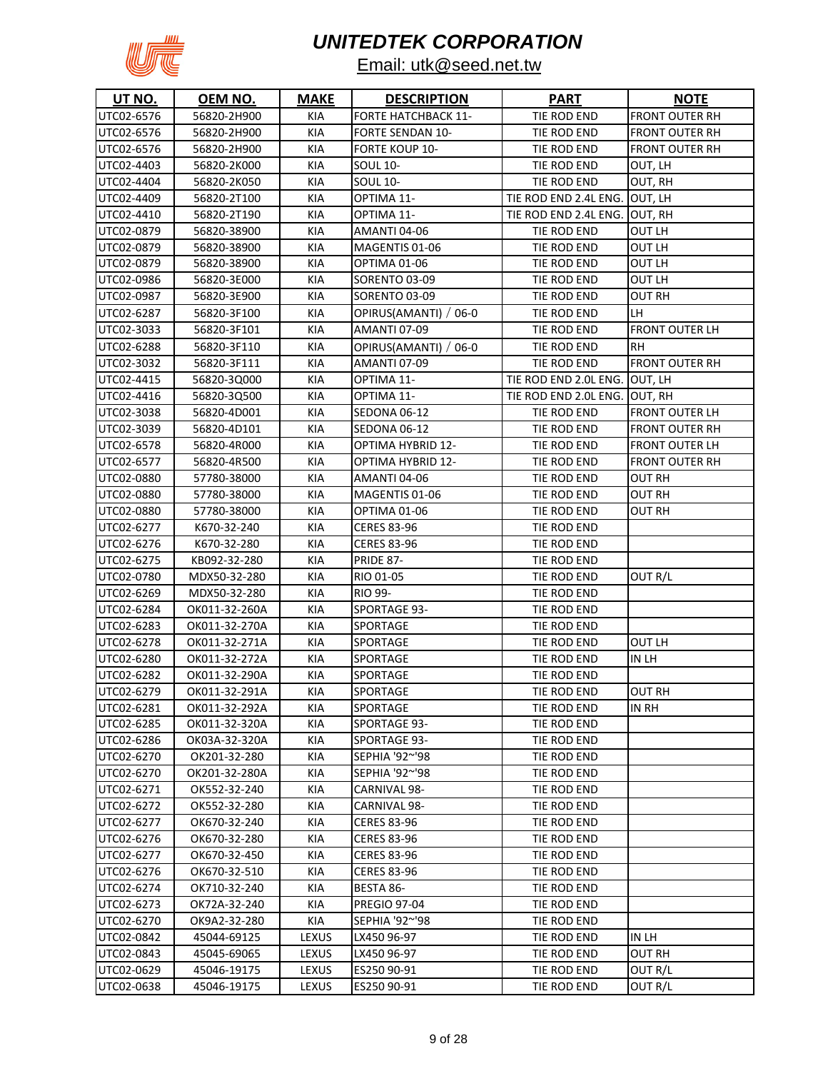

| UT NO.     | <u>OEM NO.</u> | <b>MAKE</b>  | <b>DESCRIPTION</b>         | <b>PART</b>                   | <b>NOTE</b>           |
|------------|----------------|--------------|----------------------------|-------------------------------|-----------------------|
| UTC02-6576 | 56820-2H900    | KIA          | <b>FORTE HATCHBACK 11-</b> | TIE ROD END                   | <b>FRONT OUTER RH</b> |
| UTC02-6576 | 56820-2H900    | <b>KIA</b>   | <b>FORTE SENDAN 10-</b>    | TIE ROD END                   | <b>FRONT OUTER RH</b> |
| UTC02-6576 | 56820-2H900    | <b>KIA</b>   | <b>FORTE KOUP 10-</b>      | TIE ROD END                   | <b>FRONT OUTER RH</b> |
| UTC02-4403 | 56820-2K000    | <b>KIA</b>   | <b>SOUL 10-</b>            | TIE ROD END                   | OUT, LH               |
| UTC02-4404 | 56820-2K050    | <b>KIA</b>   | <b>SOUL 10-</b>            | TIE ROD END                   | OUT, RH               |
| UTC02-4409 | 56820-2T100    | KIA          | OPTIMA 11-                 | TIE ROD END 2.4L ENG. OUT, LH |                       |
| UTC02-4410 | 56820-2T190    | KIA          | OPTIMA 11-                 | TIE ROD END 2.4L ENG. OUT, RH |                       |
| UTC02-0879 | 56820-38900    | KIA          | AMANTI 04-06               | TIE ROD END                   | OUT LH                |
| UTC02-0879 | 56820-38900    | KIA          | MAGENTIS 01-06             | TIE ROD END                   | OUT LH                |
| UTC02-0879 | 56820-38900    | KIA          | OPTIMA 01-06               | TIE ROD END                   | OUT LH                |
| UTC02-0986 | 56820-3E000    | KIA          | SORENTO 03-09              | TIE ROD END                   | OUT LH                |
| UTC02-0987 | 56820-3E900    | KIA          | SORENTO 03-09              | TIE ROD END                   | OUT RH                |
| UTC02-6287 | 56820-3F100    | <b>KIA</b>   | OPIRUS(AMANTI) /<br>06-0   | TIE ROD END                   | LH                    |
| UTC02-3033 | 56820-3F101    | KIA          | <b>AMANTI 07-09</b>        | TIE ROD END                   | <b>FRONT OUTER LH</b> |
| UTC02-6288 | 56820-3F110    | <b>KIA</b>   | OPIRUS(AMANTI) / 06-0      | TIE ROD END                   | <b>RH</b>             |
| UTC02-3032 | 56820-3F111    | <b>KIA</b>   | AMANTI 07-09               | TIE ROD END                   | <b>FRONT OUTER RH</b> |
| UTC02-4415 | 56820-3Q000    | <b>KIA</b>   | OPTIMA 11-                 | TIE ROD END 2.0L ENG. OUT, LH |                       |
| UTC02-4416 | 56820-3Q500    | <b>KIA</b>   | OPTIMA 11-                 | TIE ROD END 2.0L ENG. OUT, RH |                       |
| UTC02-3038 | 56820-4D001    | <b>KIA</b>   | SEDONA 06-12               | TIE ROD END                   | <b>FRONT OUTER LH</b> |
| UTC02-3039 | 56820-4D101    | <b>KIA</b>   | SEDONA 06-12               | TIE ROD END                   | <b>FRONT OUTER RH</b> |
| UTC02-6578 | 56820-4R000    | KIA          | <b>OPTIMA HYBRID 12-</b>   | TIE ROD END                   | <b>FRONT OUTER LH</b> |
| UTC02-6577 | 56820-4R500    | KIA          | OPTIMA HYBRID 12-          | TIE ROD END                   | <b>FRONT OUTER RH</b> |
| UTC02-0880 | 57780-38000    | KIA          | AMANTI 04-06               | TIE ROD END                   | OUT RH                |
| UTC02-0880 | 57780-38000    | KIA          | MAGENTIS 01-06             | TIE ROD END                   | OUT RH                |
| UTC02-0880 | 57780-38000    | KIA          | OPTIMA 01-06               | TIE ROD END                   | OUT RH                |
| UTC02-6277 | K670-32-240    | KIA          | <b>CERES 83-96</b>         | TIE ROD END                   |                       |
| UTC02-6276 | K670-32-280    | KIA          | <b>CERES 83-96</b>         | TIE ROD END                   |                       |
| UTC02-6275 | KB092-32-280   | KIA          | <b>PRIDE 87-</b>           | TIE ROD END                   |                       |
| UTC02-0780 | MDX50-32-280   | <b>KIA</b>   | RIO 01-05                  | TIE ROD END                   | OUT R/L               |
| UTC02-6269 | MDX50-32-280   | <b>KIA</b>   | <b>RIO 99-</b>             | TIE ROD END                   |                       |
| UTC02-6284 | OK011-32-260A  | <b>KIA</b>   | SPORTAGE 93-               | TIE ROD END                   |                       |
| UTC02-6283 | OK011-32-270A  | <b>KIA</b>   | SPORTAGE                   | TIE ROD END                   |                       |
| UTC02-6278 | OK011-32-271A  | <b>KIA</b>   | <b>SPORTAGE</b>            | TIE ROD END                   | OUT LH                |
| UTC02-6280 | OK011-32-272A  | <b>KIA</b>   | <b>SPORTAGE</b>            | TIE ROD END                   | in lh                 |
| UTC02-6282 | OK011-32-290A  | <b>KIA</b>   | <b>SPORTAGE</b>            | TIE ROD END                   |                       |
| UTC02-6279 | OK011-32-291A  | KIA          | SPORTAGE                   | TIE ROD END                   | <b>OUT RH</b>         |
| UTC02-6281 | OK011-32-292A  | KIA          | SPORTAGE                   | TIE ROD END                   | in Rh                 |
| UTC02-6285 | OK011-32-320A  | KIA          | SPORTAGE 93-               | TIE ROD END                   |                       |
| UTC02-6286 | OK03A-32-320A  | KIA          | <b>SPORTAGE 93-</b>        | TIE ROD END                   |                       |
| UTC02-6270 | OK201-32-280   | KIA          | SEPHIA '92~'98             | TIE ROD END                   |                       |
| UTC02-6270 | OK201-32-280A  | KIA          | SEPHIA '92~'98             | TIE ROD END                   |                       |
| UTC02-6271 | OK552-32-240   | KIA          | CARNIVAL 98-               | TIE ROD END                   |                       |
| UTC02-6272 | OK552-32-280   | KIA          | CARNIVAL 98-               | TIE ROD END                   |                       |
| UTC02-6277 | OK670-32-240   | KIA          | <b>CERES 83-96</b>         | TIE ROD END                   |                       |
| UTC02-6276 | OK670-32-280   | KIA          | <b>CERES 83-96</b>         | TIE ROD END                   |                       |
| UTC02-6277 | OK670-32-450   | KIA          | <b>CERES 83-96</b>         | TIE ROD END                   |                       |
| UTC02-6276 | OK670-32-510   | KIA          | <b>CERES 83-96</b>         | TIE ROD END                   |                       |
| UTC02-6274 | OK710-32-240   | KIA          | BESTA 86-                  | TIE ROD END                   |                       |
| UTC02-6273 | OK72A-32-240   | KIA          | <b>PREGIO 97-04</b>        | TIE ROD END                   |                       |
| UTC02-6270 | OK9A2-32-280   | KIA          | SEPHIA '92~'98             | TIE ROD END                   |                       |
| UTC02-0842 | 45044-69125    | <b>LEXUS</b> | LX450 96-97                | TIE ROD END                   | IN LH                 |
| UTC02-0843 | 45045-69065    | <b>LEXUS</b> | LX450 96-97                | TIE ROD END                   | OUT RH                |
| UTC02-0629 | 45046-19175    | <b>LEXUS</b> | ES250 90-91                | TIE ROD END                   | OUT R/L               |
| UTC02-0638 | 45046-19175    | <b>LEXUS</b> | ES250 90-91                | TIE ROD END                   | OUT R/L               |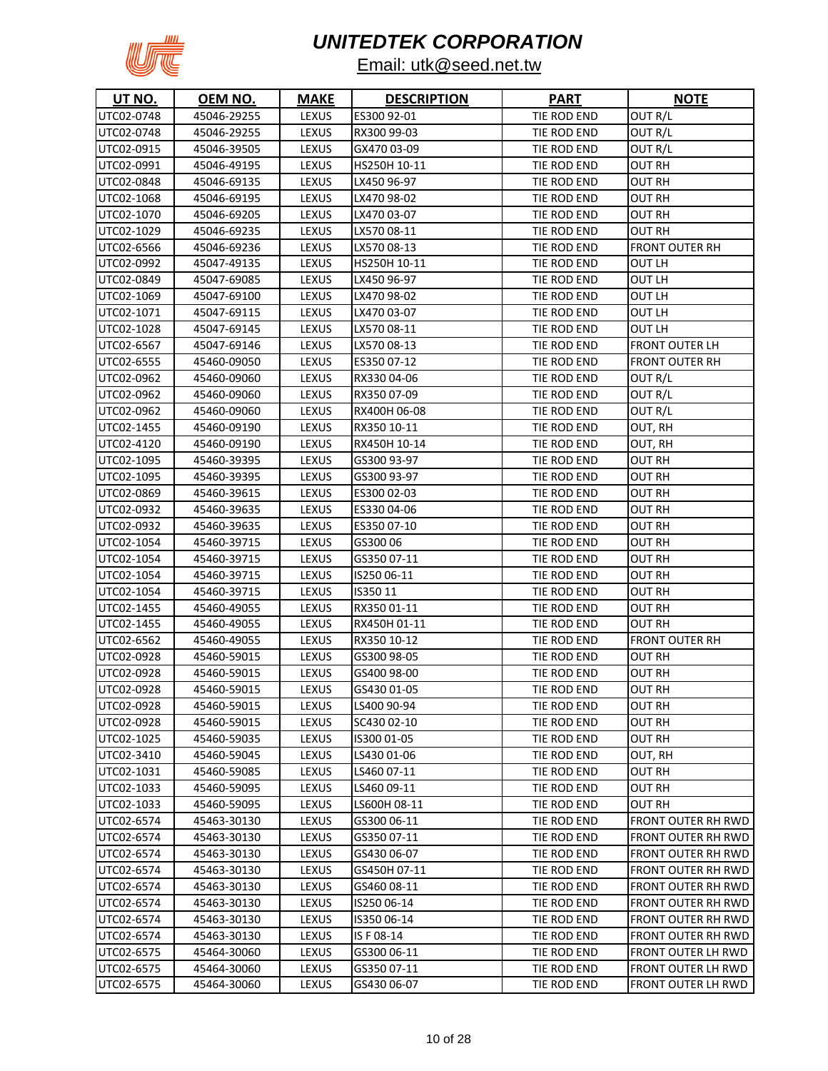

| <b>UT NO.</b> | OEM NO.     | <b>MAKE</b>  | <b>DESCRIPTION</b> | <b>PART</b> | <b>NOTE</b>           |
|---------------|-------------|--------------|--------------------|-------------|-----------------------|
| UTC02-0748    | 45046-29255 | LEXUS        | ES300 92-01        | TIE ROD END | OUT R/L               |
| UTC02-0748    | 45046-29255 | <b>LEXUS</b> | RX300 99-03        | TIE ROD END | OUT R/L               |
| UTC02-0915    | 45046-39505 | LEXUS        | GX470 03-09        | TIE ROD END | OUT R/L               |
| UTC02-0991    | 45046-49195 | LEXUS        | HS250H 10-11       | TIE ROD END | <b>OUT RH</b>         |
| UTC02-0848    | 45046-69135 | LEXUS        | LX450 96-97        | TIE ROD END | OUT RH                |
| UTC02-1068    | 45046-69195 | LEXUS        | LX470 98-02        | TIE ROD END | OUT RH                |
| UTC02-1070    | 45046-69205 | LEXUS        | LX470 03-07        | TIE ROD END | OUT RH                |
| UTC02-1029    | 45046-69235 | <b>LEXUS</b> | LX570 08-11        | TIE ROD END | OUT RH                |
| UTC02-6566    | 45046-69236 | LEXUS        | LX570 08-13        | TIE ROD END | FRONT OUTER RH        |
| UTC02-0992    | 45047-49135 | LEXUS        | HS250H 10-11       | TIE ROD END | OUT LH                |
| UTC02-0849    | 45047-69085 | LEXUS        | LX450 96-97        | TIE ROD END | OUT LH                |
| UTC02-1069    | 45047-69100 | LEXUS        | LX470 98-02        | TIE ROD END | OUT LH                |
| UTC02-1071    | 45047-69115 | LEXUS        | LX470 03-07        | TIE ROD END | OUT LH                |
| UTC02-1028    | 45047-69145 | LEXUS        | LX570 08-11        | TIE ROD END | OUT LH                |
| UTC02-6567    | 45047-69146 | LEXUS        | LX570 08-13        | TIE ROD END | <b>FRONT OUTER LH</b> |
| UTC02-6555    | 45460-09050 | LEXUS        | ES350 07-12        | TIE ROD END | <b>FRONT OUTER RH</b> |
| UTC02-0962    | 45460-09060 | LEXUS        | RX330 04-06        | TIE ROD END | OUT R/L               |
| UTC02-0962    | 45460-09060 | LEXUS        | RX35007-09         | TIE ROD END | OUT R/L               |
| UTC02-0962    | 45460-09060 | LEXUS        | RX400H 06-08       | TIE ROD END | OUT R/L               |
| UTC02-1455    | 45460-09190 | LEXUS        | RX350 10-11        | TIE ROD END | OUT, RH               |
| UTC02-4120    | 45460-09190 | LEXUS        | RX450H 10-14       | TIE ROD END | OUT, RH               |
| UTC02-1095    | 45460-39395 | LEXUS        | GS300 93-97        | TIE ROD END | OUT RH                |
| UTC02-1095    | 45460-39395 | LEXUS        | GS300 93-97        | TIE ROD END | OUT RH                |
| UTC02-0869    | 45460-39615 | LEXUS        | ES300 02-03        | TIE ROD END | OUT RH                |
| UTC02-0932    | 45460-39635 | LEXUS        | ES330 04-06        | TIE ROD END | <b>OUT RH</b>         |
| UTC02-0932    | 45460-39635 | LEXUS        | ES350 07-10        | TIE ROD END | OUT RH                |
| UTC02-1054    | 45460-39715 | LEXUS        | GS30006            | TIE ROD END | OUT RH                |
| UTC02-1054    | 45460-39715 | LEXUS        | GS35007-11         | TIE ROD END | OUT RH                |
| UTC02-1054    | 45460-39715 | LEXUS        | IS25006-11         | TIE ROD END | OUT RH                |
| UTC02-1054    | 45460-39715 | LEXUS        | IS35011            | TIE ROD END | OUT RH                |
| UTC02-1455    | 45460-49055 | LEXUS        | RX35001-11         | TIE ROD END | OUT RH                |
| UTC02-1455    | 45460-49055 | LEXUS        | RX450H 01-11       | TIE ROD END | OUT RH                |
| UTC02-6562    | 45460-49055 | LEXUS        | RX350 10-12        | TIE ROD END | FRONT OUTER RH        |
| UTC02-0928    | 45460-59015 | LEXUS        | GS300 98-05        | TIE ROD END | OUT RH                |
| UTC02-0928    | 45460-59015 | <b>LEXUS</b> | GS400 98-00        | TIE ROD END | OUT RH                |
| UTC02-0928    | 45460-59015 | LEXUS        | GS430 01-05        | TIE ROD END | <b>OUT RH</b>         |
| UTC02-0928    | 45460-59015 | LEXUS        | LS400 90-94        | TIE ROD END | OUT RH                |
| UTC02-0928    | 45460-59015 | <b>LEXUS</b> | SC430 02-10        | TIE ROD END | OUT RH                |
| UTC02-1025    | 45460-59035 | <b>LEXUS</b> | IS300 01-05        | TIE ROD END | OUT RH                |
| UTC02-3410    | 45460-59045 | LEXUS        | LS430 01-06        | TIE ROD END | OUT, RH               |
| UTC02-1031    | 45460-59085 | LEXUS        | LS460 07-11        | TIE ROD END | <b>OUT RH</b>         |
| UTC02-1033    | 45460-59095 | <b>LEXUS</b> | LS460 09-11        | TIE ROD END | OUT RH                |
| UTC02-1033    | 45460-59095 | LEXUS        | LS600H 08-11       | TIE ROD END | OUT RH                |
| UTC02-6574    | 45463-30130 | LEXUS        | GS300 06-11        | TIE ROD END | FRONT OUTER RH RWD    |
| UTC02-6574    | 45463-30130 | <b>LEXUS</b> | GS35007-11         | TIE ROD END | FRONT OUTER RH RWD    |
| UTC02-6574    | 45463-30130 | LEXUS        | GS430 06-07        | TIE ROD END | FRONT OUTER RH RWD    |
| UTC02-6574    | 45463-30130 | LEXUS        | GS450H 07-11       | TIE ROD END | FRONT OUTER RH RWD    |
| UTC02-6574    | 45463-30130 | LEXUS        | GS460 08-11        | TIE ROD END | FRONT OUTER RH RWD    |
| UTC02-6574    | 45463-30130 | LEXUS        | IS25006-14         | TIE ROD END | FRONT OUTER RH RWD    |
| UTC02-6574    | 45463-30130 | LEXUS        | IS35006-14         | TIE ROD END | FRONT OUTER RH RWD    |
| UTC02-6574    | 45463-30130 | LEXUS        | IS F 08-14         | TIE ROD END | FRONT OUTER RH RWD    |
| UTC02-6575    | 45464-30060 | LEXUS        | GS300 06-11        | TIE ROD END | FRONT OUTER LH RWD    |
| UTC02-6575    | 45464-30060 | LEXUS        | GS35007-11         | TIE ROD END | FRONT OUTER LH RWD    |
| UTC02-6575    | 45464-30060 | LEXUS        | GS430 06-07        | TIE ROD END | FRONT OUTER LH RWD    |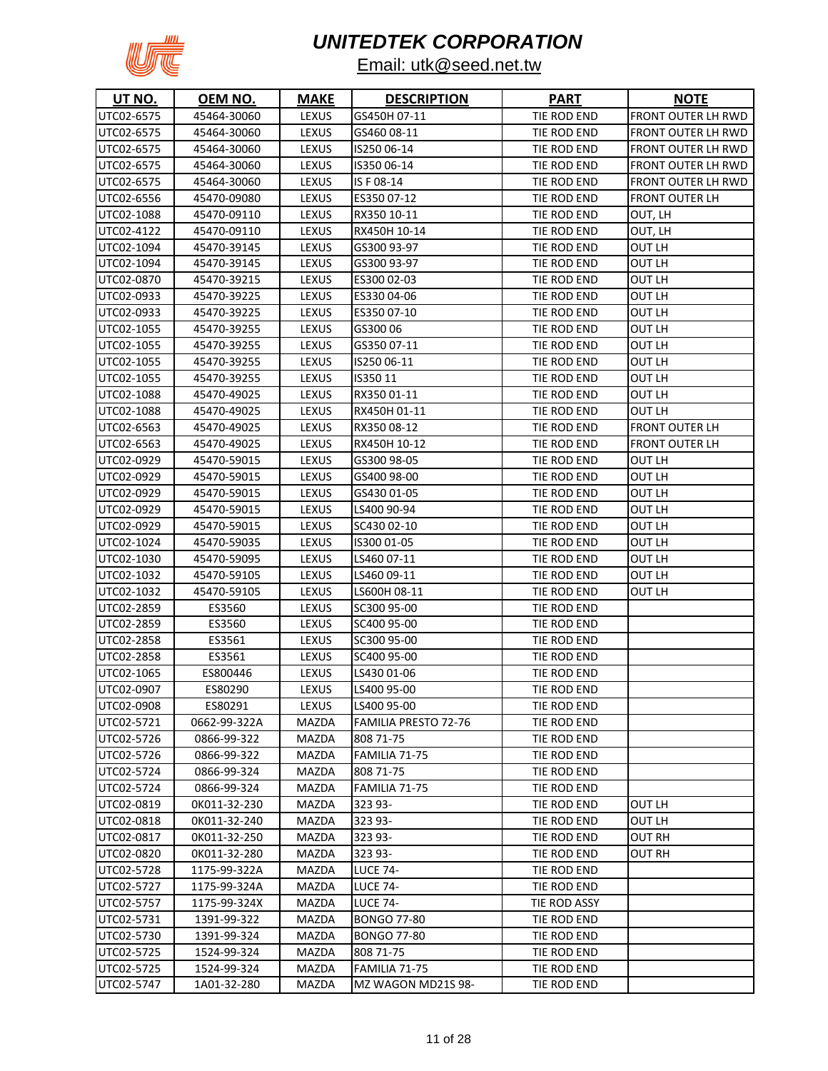

| <b>UT NO.</b> | OEM NO.      | <b>MAKE</b>  | <b>DESCRIPTION</b>          | <b>PART</b>  | <u>NOTE</u>           |
|---------------|--------------|--------------|-----------------------------|--------------|-----------------------|
| UTC02-6575    | 45464-30060  | LEXUS        | GS450H 07-11                | TIE ROD END  | FRONT OUTER LH RWD    |
| UTC02-6575    | 45464-30060  | <b>LEXUS</b> | GS460 08-11                 | TIE ROD END  | FRONT OUTER LH RWD    |
| UTC02-6575    | 45464-30060  | LEXUS        | IS25006-14                  | TIE ROD END  | FRONT OUTER LH RWD    |
| UTC02-6575    | 45464-30060  | LEXUS        | IS35006-14                  | TIE ROD END  | FRONT OUTER LH RWD    |
| UTC02-6575    | 45464-30060  | LEXUS        | IS F 08-14                  | TIE ROD END  | FRONT OUTER LH RWD    |
| UTC02-6556    | 45470-09080  | LEXUS        | ES350 07-12                 | TIE ROD END  | FRONT OUTER LH        |
| UTC02-1088    | 45470-09110  | LEXUS        | RX350 10-11                 | TIE ROD END  | OUT, LH               |
| UTC02-4122    | 45470-09110  | LEXUS        | RX450H 10-14                | TIE ROD END  | OUT, LH               |
| UTC02-1094    | 45470-39145  | LEXUS        | GS300 93-97                 | TIE ROD END  | OUT LH                |
| UTC02-1094    | 45470-39145  | <b>LEXUS</b> | GS300 93-97                 | TIE ROD END  | OUT LH                |
| UTC02-0870    | 45470-39215  | LEXUS        | ES300 02-03                 | TIE ROD END  | OUT LH                |
| UTC02-0933    | 45470-39225  | LEXUS        | ES330 04-06                 | TIE ROD END  | OUT LH                |
| UTC02-0933    | 45470-39225  | LEXUS        | ES350 07-10                 | TIE ROD END  | OUT LH                |
| UTC02-1055    | 45470-39255  | LEXUS        | GS30006                     | TIE ROD END  | OUT LH                |
| UTC02-1055    | 45470-39255  | LEXUS        | GS35007-11                  | TIE ROD END  | OUT LH                |
| UTC02-1055    | 45470-39255  | LEXUS        | IS25006-11                  | TIE ROD END  | OUT LH                |
| UTC02-1055    | 45470-39255  | <b>LEXUS</b> | IS35011                     | TIE ROD END  | OUT LH                |
| UTC02-1088    | 45470-49025  | LEXUS        | RX35001-11                  | TIE ROD END  | OUT LH                |
| UTC02-1088    | 45470-49025  | LEXUS        | RX450H 01-11                | TIE ROD END  | OUT LH                |
| UTC02-6563    | 45470-49025  | LEXUS        | RX35008-12                  | TIE ROD END  | <b>FRONT OUTER LH</b> |
| UTC02-6563    | 45470-49025  | LEXUS        | RX450H 10-12                | TIE ROD END  | FRONT OUTER LH        |
| UTC02-0929    | 45470-59015  | LEXUS        | GS300 98-05                 | TIE ROD END  | OUT LH                |
| UTC02-0929    | 45470-59015  | LEXUS        | GS400 98-00                 | TIE ROD END  | OUT LH                |
| UTC02-0929    | 45470-59015  | LEXUS        | GS430 01-05                 | TIE ROD END  | OUT LH                |
| UTC02-0929    | 45470-59015  | LEXUS        | LS400 90-94                 | TIE ROD END  | OUT LH                |
| UTC02-0929    | 45470-59015  | LEXUS        | SC430 02-10                 | TIE ROD END  | OUT LH                |
| UTC02-1024    | 45470-59035  | LEXUS        | IS300 01-05                 | TIE ROD END  | OUT LH                |
| UTC02-1030    | 45470-59095  | LEXUS        | LS460 07-11                 | TIE ROD END  | OUT LH                |
| UTC02-1032    | 45470-59105  | LEXUS        | LS460 09-11                 | TIE ROD END  | OUT LH                |
| UTC02-1032    | 45470-59105  | LEXUS        | LS600H 08-11                | TIE ROD END  | OUT LH                |
| UTC02-2859    | ES3560       | LEXUS        | SC300 95-00                 | TIE ROD END  |                       |
| UTC02-2859    | ES3560       | LEXUS        | SC400 95-00                 | TIE ROD END  |                       |
| UTC02-2858    | ES3561       | LEXUS        | SC300 95-00                 | TIE ROD END  |                       |
| UTC02-2858    | ES3561       | LEXUS        | SC400 95-00                 | TIE ROD END  |                       |
| UTC02-1065    | ES800446     | <b>LEXUS</b> | LS430 01-06                 | TIE ROD END  |                       |
| UTC02-0907    | ES80290      | <b>LEXUS</b> | LS400 95-00                 | TIE ROD END  |                       |
| UTC02-0908    | ES80291      | LEXUS        | LS400 95-00                 | TIE ROD END  |                       |
| UTC02-5721    | 0662-99-322A | MAZDA        | <b>FAMILIA PRESTO 72-76</b> | TIE ROD END  |                       |
| UTC02-5726    | 0866-99-322  | MAZDA        | 808 71-75                   | TIE ROD END  |                       |
| UTC02-5726    | 0866-99-322  | MAZDA        | FAMILIA 71-75               | TIE ROD END  |                       |
| UTC02-5724    | 0866-99-324  | MAZDA        | 808 71-75                   | TIE ROD END  |                       |
| UTC02-5724    | 0866-99-324  | MAZDA        | FAMILIA 71-75               | TIE ROD END  |                       |
| UTC02-0819    | OK011-32-230 | MAZDA        | 323 93-                     | TIE ROD END  | OUT LH                |
| UTC02-0818    | 0K011-32-240 | MAZDA        | 323 93-                     | TIE ROD END  | OUT LH                |
| UTC02-0817    | OK011-32-250 | MAZDA        | 323 93-                     | TIE ROD END  | OUT RH                |
| UTC02-0820    | 0K011-32-280 | MAZDA        | 323 93-                     | TIE ROD END  | OUT RH                |
| UTC02-5728    | 1175-99-322A | MAZDA        | <b>LUCE 74-</b>             | TIE ROD END  |                       |
| UTC02-5727    | 1175-99-324A | MAZDA        | <b>LUCE 74-</b>             | TIE ROD END  |                       |
| UTC02-5757    | 1175-99-324X | MAZDA        | <b>LUCE 74-</b>             | TIE ROD ASSY |                       |
| UTC02-5731    | 1391-99-322  | MAZDA        | <b>BONGO 77-80</b>          | TIE ROD END  |                       |
| UTC02-5730    | 1391-99-324  | MAZDA        | <b>BONGO 77-80</b>          | TIE ROD END  |                       |
| UTC02-5725    | 1524-99-324  | MAZDA        | 808 71-75                   | TIE ROD END  |                       |
| UTC02-5725    | 1524-99-324  | MAZDA        | FAMILIA 71-75               | TIE ROD END  |                       |
| UTC02-5747    | 1A01-32-280  | MAZDA        | MZ WAGON MD21S 98-          | TIE ROD END  |                       |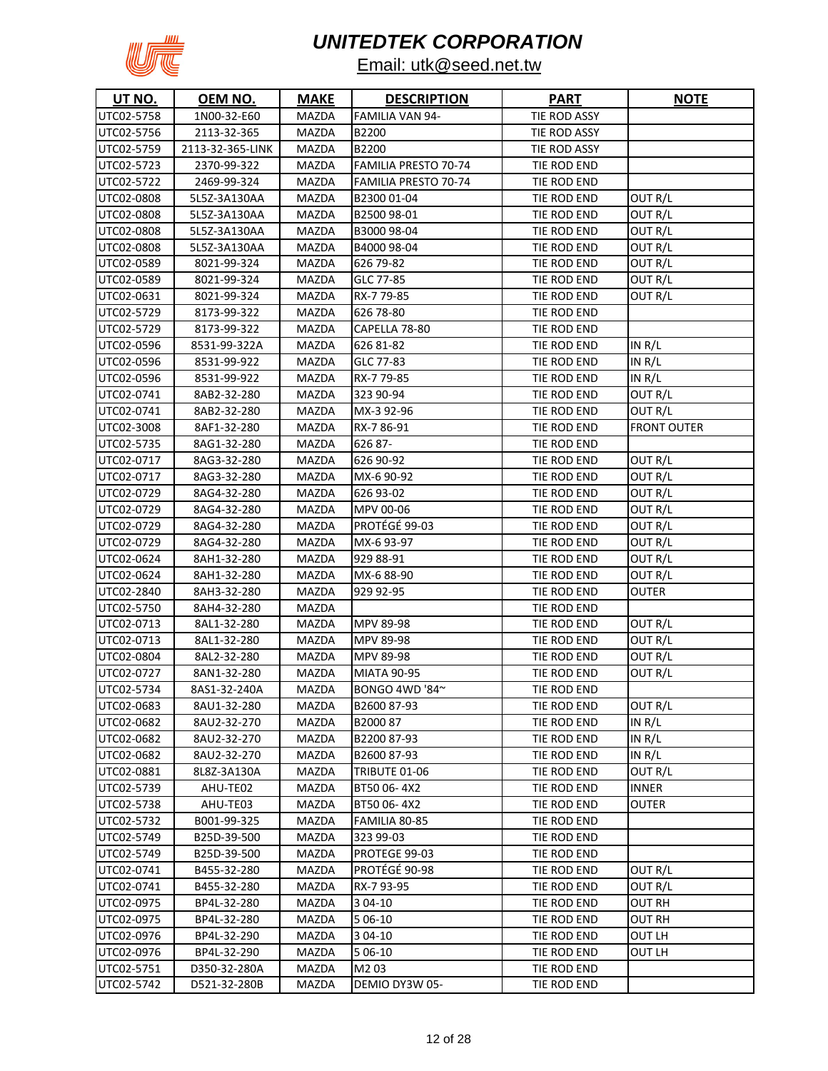

| UT NO.     | OEM NO.          | <b>MAKE</b>  | <b>DESCRIPTION</b>          | <b>PART</b>  | <b>NOTE</b>        |
|------------|------------------|--------------|-----------------------------|--------------|--------------------|
| UTC02-5758 | 1N00-32-E60      | <b>MAZDA</b> | FAMILIA VAN 94-             | TIE ROD ASSY |                    |
| UTC02-5756 | 2113-32-365      | MAZDA        | B2200                       | TIE ROD ASSY |                    |
| UTC02-5759 | 2113-32-365-LINK | <b>MAZDA</b> | B2200                       | TIE ROD ASSY |                    |
| UTC02-5723 | 2370-99-322      | MAZDA        | FAMILIA PRESTO 70-74        | TIE ROD END  |                    |
| UTC02-5722 | 2469-99-324      | MAZDA        | <b>FAMILIA PRESTO 70-74</b> | TIE ROD END  |                    |
| UTC02-0808 | 5L5Z-3A130AA     | MAZDA        | B230001-04                  | TIE ROD END  | OUT R/L            |
| UTC02-0808 | 5L5Z-3A130AA     | <b>MAZDA</b> | B2500 98-01                 | TIE ROD END  | OUT R/L            |
| UTC02-0808 | 5L5Z-3A130AA     | MAZDA        | B3000 98-04                 | TIE ROD END  | OUT R/L            |
| UTC02-0808 | 5L5Z-3A130AA     | <b>MAZDA</b> | B4000 98-04                 | TIE ROD END  | OUT R/L            |
| UTC02-0589 | 8021-99-324      | <b>MAZDA</b> | 626 79-82                   | TIE ROD END  | OUT R/L            |
| UTC02-0589 | 8021-99-324      | MAZDA        | GLC 77-85                   | TIE ROD END  | OUT R/L            |
| UTC02-0631 | 8021-99-324      | MAZDA        | RX-779-85                   | TIE ROD END  | OUT R/L            |
| UTC02-5729 | 8173-99-322      | MAZDA        | 626 78-80                   | TIE ROD END  |                    |
| UTC02-5729 | 8173-99-322      | MAZDA        | CAPELLA 78-80               | TIE ROD END  |                    |
| UTC02-0596 | 8531-99-322A     | <b>MAZDA</b> | 626 81-82                   | TIE ROD END  | IN R/L             |
| UTC02-0596 | 8531-99-922      | MAZDA        | GLC 77-83                   | TIE ROD END  | IN R/L             |
| UTC02-0596 | 8531-99-922      | MAZDA        | RX-779-85                   | TIE ROD END  | IN R/L             |
| UTC02-0741 | 8AB2-32-280      | <b>MAZDA</b> | 323 90-94                   | TIE ROD END  | OUT R/L            |
| UTC02-0741 | 8AB2-32-280      | <b>MAZDA</b> | MX-3 92-96                  | TIE ROD END  | OUT R/L            |
| UTC02-3008 | 8AF1-32-280      | MAZDA        | RX-786-91                   | TIE ROD END  | <b>FRONT OUTER</b> |
| UTC02-5735 | 8AG1-32-280      | MAZDA        | 626 87-                     | TIE ROD END  |                    |
| UTC02-0717 | 8AG3-32-280      | MAZDA        | 626 90-92                   | TIE ROD END  | OUT R/L            |
| UTC02-0717 | 8AG3-32-280      | <b>MAZDA</b> | MX-6 90-92                  | TIE ROD END  | OUT R/L            |
| UTC02-0729 | 8AG4-32-280      | <b>MAZDA</b> | 626 93-02                   | TIE ROD END  | OUT R/L            |
| UTC02-0729 | 8AG4-32-280      | <b>MAZDA</b> | MPV 00-06                   | TIE ROD END  | OUT R/L            |
| UTC02-0729 | 8AG4-32-280      | <b>MAZDA</b> | PROTÉGÉ 99-03               | TIE ROD END  | OUT R/L            |
| UTC02-0729 | 8AG4-32-280      | <b>MAZDA</b> | MX-6 93-97                  | TIE ROD END  | OUT R/L            |
| UTC02-0624 | 8AH1-32-280      | MAZDA        | 929 88-91                   | TIE ROD END  | OUT R/L            |
| UTC02-0624 | 8AH1-32-280      | MAZDA        | MX-6 88-90                  | TIE ROD END  | OUT R/L            |
| UTC02-2840 | 8AH3-32-280      | MAZDA        | 929 92-95                   | TIE ROD END  | OUTER              |
| UTC02-5750 | 8AH4-32-280      | MAZDA        |                             | TIE ROD END  |                    |
| UTC02-0713 | 8AL1-32-280      | MAZDA        | <b>MPV 89-98</b>            | TIE ROD END  | OUT R/L            |
| UTC02-0713 | 8AL1-32-280      | <b>MAZDA</b> | MPV 89-98                   | TIE ROD END  | OUT R/L            |
| UTC02-0804 | 8AL2-32-280      | MAZDA        | <b>MPV 89-98</b>            | TIE ROD END  | OUT R/L            |
| UTC02-0727 | 8AN1-32-280      | <b>MAZDA</b> | <b>MIATA 90-95</b>          | TIE ROD END  | OUT R/L            |
| UTC02-5734 | 8AS1-32-240A     | MAZDA        | BONGO 4WD '84~              | TIE ROD END  |                    |
| UTC02-0683 | 8AU1-32-280      | <b>MAZDA</b> | B2600 87-93                 | TIE ROD END  | OUT R/L            |
| UTC02-0682 | 8AU2-32-270      | MAZDA        | B200087                     | TIE ROD END  | IN R/L             |
| UTC02-0682 | 8AU2-32-270      | MAZDA        | B220087-93                  | TIE ROD END  | IN $R/L$           |
| UTC02-0682 | 8AU2-32-270      | MAZDA        | B2600 87-93                 | TIE ROD END  | IN $R/L$           |
| UTC02-0881 | 8L8Z-3A130A      | <b>MAZDA</b> | TRIBUTE 01-06               | TIE ROD END  | OUT R/L            |
| UTC02-5739 | AHU-TE02         | <b>MAZDA</b> | BT50 06-4X2                 | TIE ROD END  | <b>INNER</b>       |
| UTC02-5738 | AHU-TE03         | <b>MAZDA</b> | BT50 06-4X2                 | TIE ROD END  | OUTER              |
| UTC02-5732 | B001-99-325      | <b>MAZDA</b> | FAMILIA 80-85               | TIE ROD END  |                    |
| UTC02-5749 | B25D-39-500      | <b>MAZDA</b> | 323 99-03                   | TIE ROD END  |                    |
| UTC02-5749 | B25D-39-500      | <b>MAZDA</b> | PROTEGE 99-03               | TIE ROD END  |                    |
| UTC02-0741 | B455-32-280      | <b>MAZDA</b> | PROTÉGÉ 90-98               | TIE ROD END  | OUT R/L            |
| UTC02-0741 | B455-32-280      | <b>MAZDA</b> | RX-7 93-95                  | TIE ROD END  | OUT R/L            |
| UTC02-0975 | BP4L-32-280      | <b>MAZDA</b> | 3 04-10                     | TIE ROD END  | OUT RH             |
| UTC02-0975 | BP4L-32-280      | <b>MAZDA</b> | 5 06-10                     | TIE ROD END  | OUT RH             |
| UTC02-0976 | BP4L-32-290      | MAZDA        | 3 04-10                     | TIE ROD END  | OUT LH             |
| UTC02-0976 | BP4L-32-290      | MAZDA        | 5 06-10                     | TIE ROD END  | OUT LH             |
| UTC02-5751 | D350-32-280A     | MAZDA        | M203                        | TIE ROD END  |                    |
| UTC02-5742 | D521-32-280B     | MAZDA        | DEMIO DY3W 05-              | TIE ROD END  |                    |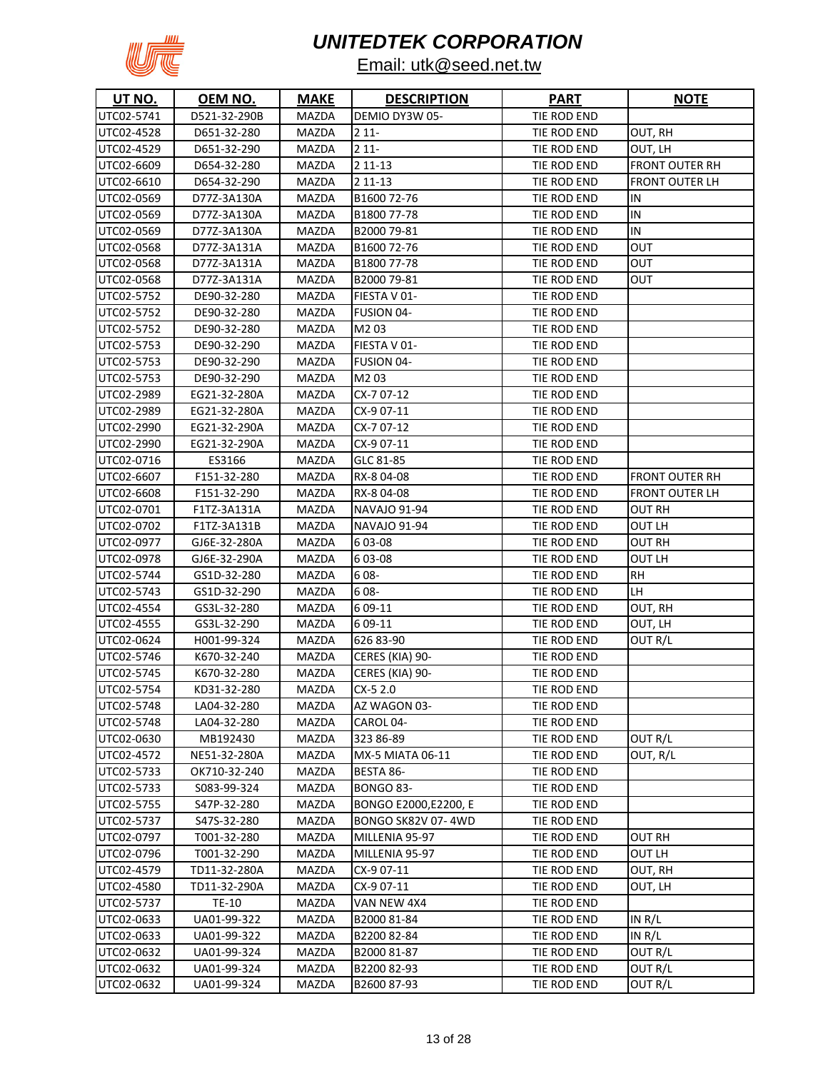

| <b>UT NO.</b> | OEM NO.      | <b>MAKE</b>  | <b>DESCRIPTION</b>    | <b>PART</b> | <b>NOTE</b>           |
|---------------|--------------|--------------|-----------------------|-------------|-----------------------|
| UTC02-5741    | D521-32-290B | MAZDA        | DEMIO DY3W 05-        | TIE ROD END |                       |
| UTC02-4528    | D651-32-280  | MAZDA        | $211-$                | TIE ROD END | OUT, RH               |
| UTC02-4529    | D651-32-290  | MAZDA        | $211 -$               | TIE ROD END | OUT, LH               |
| UTC02-6609    | D654-32-280  | MAZDA        | 2 11-13               | TIE ROD END | <b>FRONT OUTER RH</b> |
| UTC02-6610    | D654-32-290  | MAZDA        | 2 11 - 13             | TIE ROD END | <b>FRONT OUTER LH</b> |
| UTC02-0569    | D77Z-3A130A  | MAZDA        | B1600 72-76           | TIE ROD END | ΙN                    |
| UTC02-0569    | D77Z-3A130A  | MAZDA        | B1800 77-78           | TIE ROD END | IN                    |
| UTC02-0569    | D77Z-3A130A  | MAZDA        | B2000 79-81           | TIE ROD END | IN                    |
| UTC02-0568    | D77Z-3A131A  | MAZDA        | B1600 72-76           | TIE ROD END | OUT                   |
| UTC02-0568    | D77Z-3A131A  | MAZDA        | B1800 77-78           | TIE ROD END | OUT                   |
| UTC02-0568    | D77Z-3A131A  | MAZDA        | B2000 79-81           | TIE ROD END | OUT                   |
| UTC02-5752    | DE90-32-280  | MAZDA        | FIESTA V 01-          | TIE ROD END |                       |
| UTC02-5752    | DE90-32-280  | MAZDA        | FUSION 04-            | TIE ROD END |                       |
| UTC02-5752    | DE90-32-280  | MAZDA        | M203                  | TIE ROD END |                       |
| UTC02-5753    | DE90-32-290  | MAZDA        | FIESTA V 01-          | TIE ROD END |                       |
| UTC02-5753    | DE90-32-290  | <b>MAZDA</b> | FUSION 04-            | TIE ROD END |                       |
| UTC02-5753    | DE90-32-290  | MAZDA        | M203                  | TIE ROD END |                       |
| UTC02-2989    | EG21-32-280A | MAZDA        | CX-7 07-12            | TIE ROD END |                       |
| UTC02-2989    | EG21-32-280A | MAZDA        | CX-9 07-11            | TIE ROD END |                       |
| UTC02-2990    | EG21-32-290A | MAZDA        | CX-7 07-12            | TIE ROD END |                       |
| UTC02-2990    | EG21-32-290A | MAZDA        | CX-9 07-11            | TIE ROD END |                       |
| UTC02-0716    | ES3166       | MAZDA        | GLC 81-85             | TIE ROD END |                       |
| UTC02-6607    | F151-32-280  | MAZDA        | RX-804-08             | TIE ROD END | FRONT OUTER RH        |
| UTC02-6608    | F151-32-290  | MAZDA        | RX-804-08             | TIE ROD END | FRONT OUTER LH        |
| UTC02-0701    | F1TZ-3A131A  | MAZDA        | NAVAJO 91-94          | TIE ROD END | OUT RH                |
| UTC02-0702    | F1TZ-3A131B  | <b>MAZDA</b> | <b>NAVAJO 91-94</b>   | TIE ROD END | OUT LH                |
| UTC02-0977    | GJ6E-32-280A | MAZDA        | 603-08                | TIE ROD END | OUT RH                |
| UTC02-0978    | GJ6E-32-290A | <b>MAZDA</b> | 603-08                | TIE ROD END | OUT LH                |
| UTC02-5744    | GS1D-32-280  | <b>MAZDA</b> | 608-                  | TIE ROD END | RН                    |
| UTC02-5743    | GS1D-32-290  | MAZDA        | 608-                  | TIE ROD END | LH                    |
| UTC02-4554    | GS3L-32-280  | MAZDA        | 6 09-11               | TIE ROD END | OUT, RH               |
| UTC02-4555    | GS3L-32-290  | MAZDA        | 6 09-11               | TIE ROD END | OUT, LH               |
| UTC02-0624    | H001-99-324  | MAZDA        | 626 83-90             | TIE ROD END | OUT R/L               |
| UTC02-5746    | K670-32-240  | MAZDA        | CERES (KIA) 90-       | TIE ROD END |                       |
| UTC02-5745    | K670-32-280  | <b>MAZDA</b> | CERES (KIA) 90-       | TIE ROD END |                       |
| UTC02-5754    | KD31-32-280  | MAZDA        | $CX-52.0$             | TIE ROD END |                       |
| UTC02-5748    | LA04-32-280  | MAZDA        | AZ WAGON 03-          | TIE ROD END |                       |
| UTC02-5748    | LA04-32-280  | MAZDA        | CAROL 04-             | TIE ROD END |                       |
| UTC02-0630    | MB192430     | MAZDA        | 323 86-89             | TIE ROD END | OUT R/L               |
| UTC02-4572    | NE51-32-280A | <b>MAZDA</b> | MX-5 MIATA 06-11      | TIE ROD END | OUT, R/L              |
| UTC02-5733    | OK710-32-240 | MAZDA        | BESTA 86-             | TIE ROD END |                       |
| UTC02-5733    | S083-99-324  | MAZDA        | <b>BONGO 83-</b>      | TIE ROD END |                       |
| UTC02-5755    | S47P-32-280  | MAZDA        | BONGO E2000, E2200, E | TIE ROD END |                       |
| UTC02-5737    | S47S-32-280  | MAZDA        | BONGO SK82V 07-4WD    | TIE ROD END |                       |
| UTC02-0797    | T001-32-280  | MAZDA        | MILLENIA 95-97        | TIE ROD END | OUT RH                |
| UTC02-0796    | T001-32-290  | MAZDA        | MILLENIA 95-97        | TIE ROD END | OUT LH                |
| UTC02-4579    | TD11-32-280A | MAZDA        | CX-9 07-11            | TIE ROD END | OUT, RH               |
| UTC02-4580    | TD11-32-290A | MAZDA        | CX-9 07-11            | TIE ROD END | OUT, LH               |
| UTC02-5737    | TE-10        | MAZDA        | VAN NEW 4X4           | TIE ROD END |                       |
| UTC02-0633    | UA01-99-322  | MAZDA        | B2000 81-84           | TIE ROD END | IN $R/L$              |
| UTC02-0633    | UA01-99-322  | MAZDA        | B220082-84            | TIE ROD END | IN R/L                |
| UTC02-0632    | UA01-99-324  | MAZDA        | B2000 81-87           | TIE ROD END | OUT R/L               |
| UTC02-0632    | UA01-99-324  | MAZDA        | B220082-93            | TIE ROD END | OUT R/L               |
| UTC02-0632    | UA01-99-324  | MAZDA        | B2600 87-93           | TIE ROD END | OUT R/L               |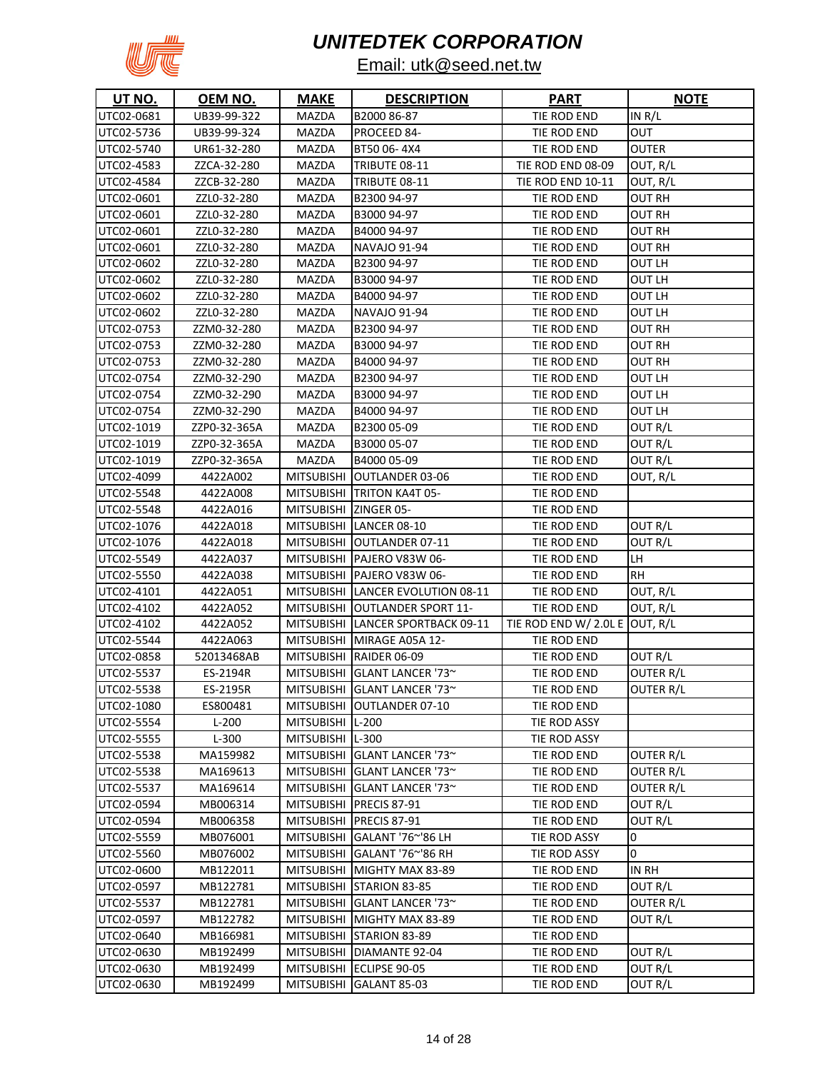

| <b>UT NO.</b> | OEM NO.      | <b>MAKE</b>           | <b>DESCRIPTION</b>                | <b>PART</b>                    | <b>NOTE</b>      |
|---------------|--------------|-----------------------|-----------------------------------|--------------------------------|------------------|
| UTC02-0681    | UB39-99-322  | MAZDA                 | B2000 86-87                       | TIE ROD END                    | IN R/L           |
| UTC02-5736    | UB39-99-324  | MAZDA                 | PROCEED 84-                       | TIE ROD END                    | OUT              |
| UTC02-5740    | UR61-32-280  | MAZDA                 | BT50 06-4X4                       | TIE ROD END                    | <b>OUTER</b>     |
| UTC02-4583    | ZZCA-32-280  | MAZDA                 | TRIBUTE 08-11                     | TIE ROD END 08-09              | OUT, R/L         |
| UTC02-4584    | ZZCB-32-280  | MAZDA                 | TRIBUTE 08-11                     | <b>TIE ROD END 10-11</b>       | OUT, R/L         |
| UTC02-0601    | ZZL0-32-280  | MAZDA                 | B2300 94-97                       | TIE ROD END                    | <b>OUT RH</b>    |
| UTC02-0601    | ZZL0-32-280  | MAZDA                 | B3000 94-97                       | TIE ROD END                    | OUT RH           |
| UTC02-0601    | ZZL0-32-280  | MAZDA                 | B4000 94-97                       | TIE ROD END                    | OUT RH           |
| UTC02-0601    | ZZL0-32-280  | MAZDA                 | <b>NAVAJO 91-94</b>               | TIE ROD END                    | OUT RH           |
| UTC02-0602    | ZZL0-32-280  | MAZDA                 | B230094-97                        | TIE ROD END                    | OUT LH           |
| UTC02-0602    | ZZL0-32-280  | MAZDA                 | B3000 94-97                       | TIE ROD END                    | OUT LH           |
| UTC02-0602    | ZZL0-32-280  | MAZDA                 | B4000 94-97                       | TIE ROD END                    | OUT LH           |
| UTC02-0602    | ZZL0-32-280  | MAZDA                 | <b>NAVAJO 91-94</b>               | TIE ROD END                    | OUT LH           |
| UTC02-0753    | ZZM0-32-280  | MAZDA                 | B2300 94-97                       | TIE ROD END                    | OUT RH           |
| UTC02-0753    | ZZM0-32-280  | MAZDA                 | B3000 94-97                       | TIE ROD END                    | OUT RH           |
| UTC02-0753    | ZZM0-32-280  | MAZDA                 | B4000 94-97                       | TIE ROD END                    | OUT RH           |
| UTC02-0754    | ZZM0-32-290  | MAZDA                 | B2300 94-97                       | TIE ROD END                    | OUT LH           |
| UTC02-0754    | ZZM0-32-290  | MAZDA                 | B3000 94-97                       | TIE ROD END                    | OUT LH           |
| UTC02-0754    | ZZM0-32-290  | MAZDA                 | B4000 94-97                       | TIE ROD END                    | OUT LH           |
| UTC02-1019    | ZZP0-32-365A | MAZDA                 | B2300 05-09                       | TIE ROD END                    | OUT R/L          |
| UTC02-1019    | ZZP0-32-365A | MAZDA                 | B3000 05-07                       | TIE ROD END                    | OUT R/L          |
| UTC02-1019    | ZZP0-32-365A | MAZDA                 | B4000 05-09                       | TIE ROD END                    | OUT R/L          |
| UTC02-4099    | 4422A002     |                       | MITSUBISHI OUTLANDER 03-06        | TIE ROD END                    | OUT, R/L         |
| UTC02-5548    | 4422A008     |                       | MITSUBISHI TRITON KA4T 05-        | TIE ROD END                    |                  |
| UTC02-5548    | 4422A016     | MITSUBISHI ZINGER 05- |                                   | TIE ROD END                    |                  |
| UTC02-1076    | 4422A018     |                       | MITSUBISHI LANCER 08-10           | TIE ROD END                    | OUT R/L          |
| UTC02-1076    | 4422A018     |                       | MITSUBISHI OUTLANDER 07-11        | TIE ROD END                    | OUT R/L          |
| UTC02-5549    | 4422A037     |                       | MITSUBISHI   PAJERO V83W 06-      | TIE ROD END                    | LH               |
| UTC02-5550    | 4422A038     |                       | MITSUBISHI PAJERO V83W 06-        | TIE ROD END                    | RH               |
| UTC02-4101    | 4422A051     |                       | MITSUBISHI LANCER EVOLUTION 08-11 | TIE ROD END                    | OUT, R/L         |
| UTC02-4102    | 4422A052     |                       | MITSUBISHI JOUTLANDER SPORT 11-   | TIE ROD END                    | OUT, R/L         |
| UTC02-4102    | 4422A052     |                       | MITSUBISHI LANCER SPORTBACK 09-11 | TIE ROD END W/ 2.0L E OUT, R/L |                  |
| UTC02-5544    | 4422A063     |                       | MITSUBISHI MIRAGE A05A 12-        | TIE ROD END                    |                  |
| UTC02-0858    | 52013468AB   |                       | MITSUBISHI RAIDER 06-09           | TIE ROD END                    | OUT R/L          |
| UTC02-5537    | ES-2194R     |                       | MITSUBISHI GLANT LANCER '73~      | TIE ROD END                    | OUTER R/L        |
| UTC02-5538    | ES-2195R     |                       | MITSUBISHI GLANT LANCER '73~      | TIE ROD END                    | OUTER R/L        |
| UTC02-1080    | ES800481     |                       | MITSUBISHI OUTLANDER 07-10        | TIE ROD END                    |                  |
| UTC02-5554    | $L-200$      | MITSUBISHI L-200      |                                   | TIE ROD ASSY                   |                  |
| UTC02-5555    | $L-300$      | MITSUBISHI L-300      |                                   | TIE ROD ASSY                   |                  |
| UTC02-5538    | MA159982     |                       | MITSUBISHI GLANT LANCER '73~      | TIE ROD END                    | OUTER R/L        |
| UTC02-5538    | MA169613     |                       | MITSUBISHI GLANT LANCER '73~      | TIE ROD END                    | OUTER R/L        |
| UTC02-5537    | MA169614     |                       | MITSUBISHI GLANT LANCER '73~      | TIE ROD END                    | OUTER R/L        |
| UTC02-0594    | MB006314     |                       | MITSUBISHI PRECIS 87-91           | TIE ROD END                    | OUT R/L          |
| UTC02-0594    | MB006358     |                       | MITSUBISHI PRECIS 87-91           | TIE ROD END                    | OUT R/L          |
| UTC02-5559    | MB076001     | <b>MITSUBISHI</b>     | GALANT '76~'86 LH                 | TIE ROD ASSY                   | 0                |
| UTC02-5560    | MB076002     | <b>MITSUBISHI</b>     | GALANT '76~'86 RH                 | TIE ROD ASSY                   | $\overline{0}$   |
| UTC02-0600    | MB122011     |                       | MITSUBISHI MIGHTY MAX 83-89       | TIE ROD END                    | IN RH            |
| UTC02-0597    | MB122781     |                       | MITSUBISHI STARION 83-85          | TIE ROD END                    | OUT R/L          |
| UTC02-5537    | MB122781     |                       | MITSUBISHI GLANT LANCER '73~      | TIE ROD END                    | <b>OUTER R/L</b> |
| UTC02-0597    | MB122782     |                       | MITSUBISHI MIGHTY MAX 83-89       | TIE ROD END                    | OUT R/L          |
| UTC02-0640    | MB166981     |                       | MITSUBISHI STARION 83-89          | TIE ROD END                    |                  |
| UTC02-0630    | MB192499     |                       | MITSUBISHI   DIAMANTE 92-04       | TIE ROD END                    | OUT R/L          |
| UTC02-0630    | MB192499     |                       | MITSUBISHI ECLIPSE 90-05          | TIE ROD END                    | OUT R/L          |
| UTC02-0630    | MB192499     |                       | MITSUBISHI GALANT 85-03           | TIE ROD END                    | OUT R/L          |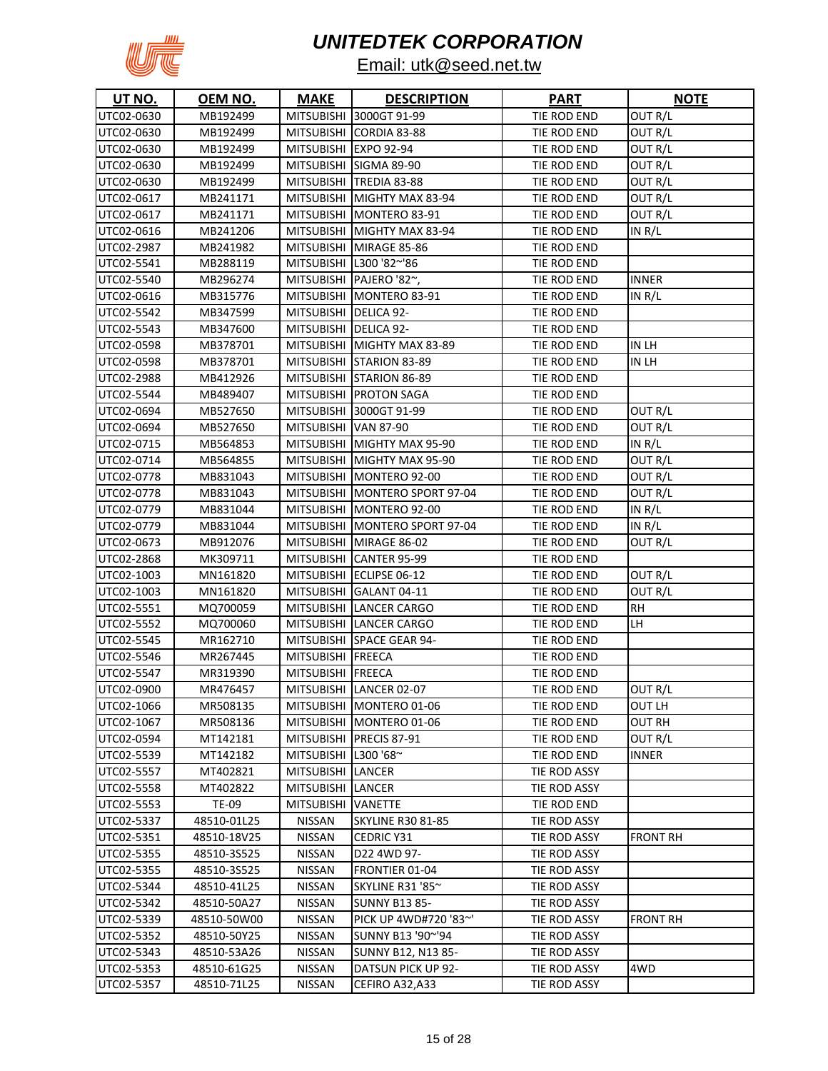

| <b>UT NO.</b> | <u>OEM NO.</u> | <b>MAKE</b>           | <b>DESCRIPTION</b>             | <b>PART</b>  | <b>NOTE</b>     |
|---------------|----------------|-----------------------|--------------------------------|--------------|-----------------|
| UTC02-0630    | MB192499       |                       | MITSUBISHI 3000GT 91-99        | TIE ROD END  | OUT R/L         |
| UTC02-0630    | MB192499       |                       | MITSUBISHI CORDIA 83-88        | TIE ROD END  | OUT R/L         |
| UTC02-0630    | MB192499       | MITSUBISHI EXPO 92-94 |                                | TIE ROD END  | OUT R/L         |
| UTC02-0630    | MB192499       |                       | MITSUBISHI SIGMA 89-90         | TIE ROD END  | OUT R/L         |
| UTC02-0630    | MB192499       |                       | MITSUBISHI TREDIA 83-88        | TIE ROD END  | OUT R/L         |
| UTC02-0617    | MB241171       |                       | MITSUBISHI MIGHTY MAX 83-94    | TIE ROD END  | OUT R/L         |
| UTC02-0617    | MB241171       |                       | MITSUBISHI MONTERO 83-91       | TIE ROD END  | OUT R/L         |
| UTC02-0616    | MB241206       |                       | MITSUBISHI MIGHTY MAX 83-94    | TIE ROD END  | IN R/L          |
| UTC02-2987    | MB241982       |                       | MITSUBISHI MIRAGE 85-86        | TIE ROD END  |                 |
| UTC02-5541    | MB288119       |                       | MITSUBISHI   L300 '82~'86      | TIE ROD END  |                 |
| UTC02-5540    | MB296274       |                       | MITSUBISHI   PAJERO '82~,      | TIE ROD END  | INNER           |
| UTC02-0616    | MB315776       |                       | MITSUBISHI MONTERO 83-91       | TIE ROD END  | in r/l          |
| UTC02-5542    | MB347599       | MITSUBISHI DELICA 92- |                                | TIE ROD END  |                 |
| UTC02-5543    | MB347600       | MITSUBISHI DELICA 92- |                                | TIE ROD END  |                 |
| UTC02-0598    | MB378701       |                       | MITSUBISHI MIGHTY MAX 83-89    | TIE ROD END  | in lh           |
| UTC02-0598    | MB378701       |                       | MITSUBISHI STARION 83-89       | TIE ROD END  | IN LH           |
| UTC02-2988    | MB412926       |                       | MITSUBISHI STARION 86-89       | TIE ROD END  |                 |
| UTC02-5544    | MB489407       |                       | MITSUBISHI PROTON SAGA         | TIE ROD END  |                 |
| UTC02-0694    | MB527650       |                       | MITSUBISHI 3000GT 91-99        | TIE ROD END  | OUT R/L         |
| UTC02-0694    | MB527650       | MITSUBISHI VAN 87-90  |                                | TIE ROD END  | OUT R/L         |
| UTC02-0715    | MB564853       |                       | MITSUBISHI MIGHTY MAX 95-90    | TIE ROD END  | IN R/L          |
| UTC02-0714    | MB564855       |                       | MITSUBISHI MIGHTY MAX 95-90    | TIE ROD END  | OUT R/L         |
| UTC02-0778    | MB831043       |                       | MITSUBISHI MONTERO 92-00       | TIE ROD END  | OUT R/L         |
| UTC02-0778    | MB831043       |                       | MITSUBISHI MONTERO SPORT 97-04 | TIE ROD END  | OUT R/L         |
| UTC02-0779    | MB831044       |                       | MITSUBISHI MONTERO 92-00       | TIE ROD END  | in r/l          |
| UTC02-0779    | MB831044       |                       | MITSUBISHI MONTERO SPORT 97-04 | TIE ROD END  | in r/l          |
| UTC02-0673    | MB912076       |                       | MITSUBISHI MIRAGE 86-02        | TIE ROD END  | OUT R/L         |
| UTC02-2868    | MK309711       |                       | MITSUBISHI CANTER 95-99        | TIE ROD END  |                 |
| UTC02-1003    | MN161820       |                       | MITSUBISHI ECLIPSE 06-12       | TIE ROD END  | OUT R/L         |
| UTC02-1003    | MN161820       |                       | MITSUBISHI GALANT 04-11        | TIE ROD END  | OUT R/L         |
| UTC02-5551    | MQ700059       |                       | MITSUBISHI LANCER CARGO        | TIE ROD END  | RH              |
| UTC02-5552    | MQ700060       |                       | MITSUBISHI LANCER CARGO        | TIE ROD END  | LH              |
| UTC02-5545    | MR162710       |                       | MITSUBISHI SPACE GEAR 94-      | TIE ROD END  |                 |
| UTC02-5546    | MR267445       | MITSUBISHI FREECA     |                                | TIE ROD END  |                 |
| UTC02-5547    | MR319390       | MITSUBISHI FREECA     |                                | TIE ROD END  |                 |
| UTC02-0900    | MR476457       |                       | MITSUBISHI LANCER 02-07        | TIE ROD END  | OUT R/L         |
| UTC02-1066    | MR508135       |                       | MITSUBISHI MONTERO 01-06       | TIE ROD END  | OUT LH          |
| UTC02-1067    | MR508136       |                       | MITSUBISHI MONTERO 01-06       | TIE ROD END  | OUT RH          |
| UTC02-0594    | MT142181       |                       | MITSUBISHI PRECIS 87-91        | TIE ROD END  | OUT R/L         |
| UTC02-5539    | MT142182       | MITSUBISHI            | L300 '68~                      | TIE ROD END  | <b>INNER</b>    |
| UTC02-5557    | MT402821       | MITSUBISHI LANCER     |                                | TIE ROD ASSY |                 |
| UTC02-5558    | MT402822       | MITSUBISHI LANCER     |                                | TIE ROD ASSY |                 |
| UTC02-5553    | TE-09          | MITSUBISHI            | <b>VANETTE</b>                 | TIE ROD END  |                 |
| UTC02-5337    | 48510-01L25    | <b>NISSAN</b>         | <b>SKYLINE R30 81-85</b>       | TIE ROD ASSY |                 |
| UTC02-5351    | 48510-18V25    | NISSAN                | CEDRIC Y31                     | TIE ROD ASSY | <b>FRONT RH</b> |
| UTC02-5355    | 48510-3S525    | NISSAN                | D22 4WD 97-                    | TIE ROD ASSY |                 |
| UTC02-5355    | 48510-3S525    | NISSAN                | FRONTIER 01-04                 | TIE ROD ASSY |                 |
| UTC02-5344    | 48510-41L25    | NISSAN                | SKYLINE R31 '85~               | TIE ROD ASSY |                 |
| UTC02-5342    | 48510-50A27    | NISSAN                | <b>SUNNY B13 85-</b>           | TIE ROD ASSY |                 |
| UTC02-5339    | 48510-50W00    | NISSAN                | PICK UP 4WD#720 '83~'          | TIE ROD ASSY | <b>FRONT RH</b> |
| UTC02-5352    | 48510-50Y25    | NISSAN                | SUNNY B13 '90~'94              | TIE ROD ASSY |                 |
| UTC02-5343    | 48510-53A26    | NISSAN                | SUNNY B12, N13 85-             | TIE ROD ASSY |                 |
| UTC02-5353    | 48510-61G25    | NISSAN                | DATSUN PICK UP 92-             | TIE ROD ASSY | 4WD.            |
| UTC02-5357    | 48510-71L25    | NISSAN                | CEFIRO A32, A33                | TIE ROD ASSY |                 |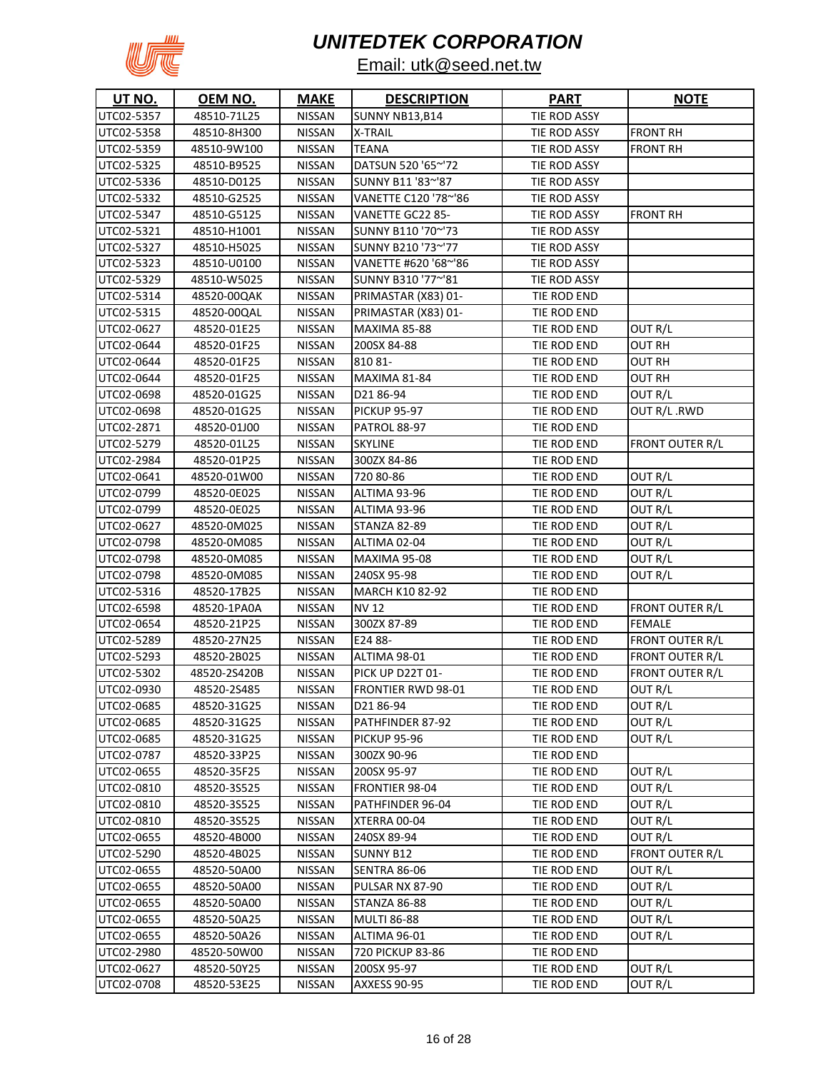

| <b>UT NO.</b> | OEM NO.      | <b>MAKE</b>   | <b>DESCRIPTION</b>        | <b>PART</b>  | <b>NOTE</b>            |
|---------------|--------------|---------------|---------------------------|--------------|------------------------|
| UTC02-5357    | 48510-71L25  | <b>NISSAN</b> | SUNNY NB13,B14            | TIE ROD ASSY |                        |
| UTC02-5358    | 48510-8H300  | <b>NISSAN</b> | X-TRAIL                   | TIE ROD ASSY | <b>FRONT RH</b>        |
| UTC02-5359    | 48510-9W100  | NISSAN        | <b>TEANA</b>              | TIE ROD ASSY | <b>FRONT RH</b>        |
| UTC02-5325    | 48510-B9525  | NISSAN        | DATSUN 520 '65~'72        | TIE ROD ASSY |                        |
| UTC02-5336    | 48510-D0125  | NISSAN        | SUNNY B11 '83~'87         | TIE ROD ASSY |                        |
| UTC02-5332    | 48510-G2525  | NISSAN        | VANETTE C120 '78~'86      | TIE ROD ASSY |                        |
| UTC02-5347    | 48510-G5125  | NISSAN        | VANETTE GC22 85-          | TIE ROD ASSY | <b>FRONT RH</b>        |
| UTC02-5321    | 48510-H1001  | <b>NISSAN</b> | SUNNY B110 '70~'73        | TIE ROD ASSY |                        |
| UTC02-5327    | 48510-H5025  | <b>NISSAN</b> | SUNNY B210 '73~'77        | TIE ROD ASSY |                        |
| UTC02-5323    | 48510-U0100  | NISSAN        | VANETTE #620 '68~'86      | TIE ROD ASSY |                        |
| UTC02-5329    | 48510-W5025  | <b>NISSAN</b> | SUNNY B310 '77~'81        | TIE ROD ASSY |                        |
| UTC02-5314    | 48520-00QAK  | <b>NISSAN</b> | PRIMASTAR (X83) 01-       | TIE ROD END  |                        |
| UTC02-5315    | 48520-00QAL  | <b>NISSAN</b> | PRIMASTAR (X83) 01-       | TIE ROD END  |                        |
| UTC02-0627    | 48520-01E25  | <b>NISSAN</b> | <b>MAXIMA 85-88</b>       | TIE ROD END  | OUT R/L                |
| UTC02-0644    | 48520-01F25  | <b>NISSAN</b> | 200SX 84-88               | TIE ROD END  | OUT RH                 |
| UTC02-0644    | 48520-01F25  | <b>NISSAN</b> | 810 81-                   | TIE ROD END  | OUT RH                 |
| UTC02-0644    | 48520-01F25  | <b>NISSAN</b> | <b>MAXIMA 81-84</b>       | TIE ROD END  | OUT RH                 |
| UTC02-0698    | 48520-01G25  | <b>NISSAN</b> | D2186-94                  | TIE ROD END  | OUT R/L                |
| UTC02-0698    | 48520-01G25  | <b>NISSAN</b> | <b>PICKUP 95-97</b>       | TIE ROD END  | OUT R/L .RWD           |
| UTC02-2871    | 48520-01J00  | <b>NISSAN</b> | <b>PATROL 88-97</b>       | TIE ROD END  |                        |
| UTC02-5279    | 48520-01L25  | <b>NISSAN</b> | <b>SKYLINE</b>            | TIE ROD END  | <b>FRONT OUTER R/L</b> |
| UTC02-2984    | 48520-01P25  | <b>NISSAN</b> | 300ZX 84-86               | TIE ROD END  |                        |
| UTC02-0641    | 48520-01W00  | <b>NISSAN</b> | 720 80-86                 | TIE ROD END  | OUT R/L                |
| UTC02-0799    | 48520-0E025  | <b>NISSAN</b> | ALTIMA 93-96              | TIE ROD END  | OUT R/L                |
| UTC02-0799    | 48520-0E025  | <b>NISSAN</b> | ALTIMA 93-96              | TIE ROD END  | OUT R/L                |
| UTC02-0627    | 48520-0M025  | <b>NISSAN</b> | <b>STANZA 82-89</b>       | TIE ROD END  | OUT R/L                |
| UTC02-0798    | 48520-0M085  | <b>NISSAN</b> | ALTIMA 02-04              | TIE ROD END  | OUT R/L                |
| UTC02-0798    | 48520-0M085  | <b>NISSAN</b> | <b>MAXIMA 95-08</b>       | TIE ROD END  | OUT R/L                |
| UTC02-0798    | 48520-0M085  | <b>NISSAN</b> | 240SX 95-98               | TIE ROD END  | OUT R/L                |
| UTC02-5316    | 48520-17B25  | NISSAN        | <b>MARCH K10 82-92</b>    | TIE ROD END  |                        |
| UTC02-6598    | 48520-1PA0A  | <b>NISSAN</b> | NV 12                     | TIE ROD END  | <b>FRONT OUTER R/L</b> |
| UTC02-0654    | 48520-21P25  | <b>NISSAN</b> | 300ZX 87-89               | TIE ROD END  | <b>FEMALE</b>          |
| UTC02-5289    | 48520-27N25  | NISSAN        | E24 88-                   | TIE ROD END  | FRONT OUTER R/L        |
| UTC02-5293    | 48520-2B025  | <b>NISSAN</b> | ALTIMA 98-01              | TIE ROD END  | <b>FRONT OUTER R/L</b> |
| UTC02-5302    | 48520-2S420B | <b>NISSAN</b> | <b>PICK UP D22T 01-</b>   | TIE ROD END  | FRONT OUTER R/L        |
| UTC02-0930    | 48520-2S485  | <b>NISSAN</b> | <b>FRONTIER RWD 98-01</b> | TIE ROD END  | OUT R/L                |
| UTC02-0685    | 48520-31G25  | <b>NISSAN</b> | D2186-94                  | TIE ROD END  | OUT R/L                |
| UTC02-0685    | 48520-31G25  | NISSAN        | PATHFINDER 87-92          | TIE ROD END  | OUT R/L                |
| UTC02-0685    | 48520-31G25  | <b>NISSAN</b> | <b>PICKUP 95-96</b>       | TIE ROD END  | OUT R/L                |
| UTC02-0787    | 48520-33P25  | <b>NISSAN</b> | 300ZX 90-96               | TIE ROD END  |                        |
| UTC02-0655    | 48520-35F25  | <b>NISSAN</b> | 200SX 95-97               | TIE ROD END  | OUT R/L                |
| UTC02-0810    | 48520-3S525  | <b>NISSAN</b> | FRONTIER 98-04            | TIE ROD END  | OUT R/L                |
| UTC02-0810    | 48520-3S525  | NISSAN        | PATHFINDER 96-04          | TIE ROD END  | OUT R/L                |
| UTC02-0810    | 48520-3S525  | NISSAN        | XTERRA 00-04              | TIE ROD END  | OUT R/L                |
| UTC02-0655    | 48520-4B000  | NISSAN        | 240SX 89-94               | TIE ROD END  | OUT R/L                |
| UTC02-5290    | 48520-4B025  | NISSAN        | SUNNY B12                 | TIE ROD END  | FRONT OUTER R/L        |
| UTC02-0655    | 48520-50A00  | NISSAN        | <b>SENTRA 86-06</b>       | TIE ROD END  | OUT R/L                |
| UTC02-0655    | 48520-50A00  | <b>NISSAN</b> | PULSAR NX 87-90           | TIE ROD END  | OUT R/L                |
| UTC02-0655    | 48520-50A00  | NISSAN        | STANZA 86-88              | TIE ROD END  | OUT R/L                |
| UTC02-0655    | 48520-50A25  | <b>NISSAN</b> | <b>MULTI 86-88</b>        | TIE ROD END  | OUT R/L                |
| UTC02-0655    | 48520-50A26  | NISSAN        | ALTIMA 96-01              | TIE ROD END  | OUT R/L                |
| UTC02-2980    | 48520-50W00  | NISSAN        | 720 PICKUP 83-86          | TIE ROD END  |                        |
| UTC02-0627    | 48520-50Y25  | NISSAN        | 200SX 95-97               | TIE ROD END  | OUT R/L                |
| UTC02-0708    | 48520-53E25  | NISSAN        | <b>AXXESS 90-95</b>       | TIE ROD END  | OUT R/L                |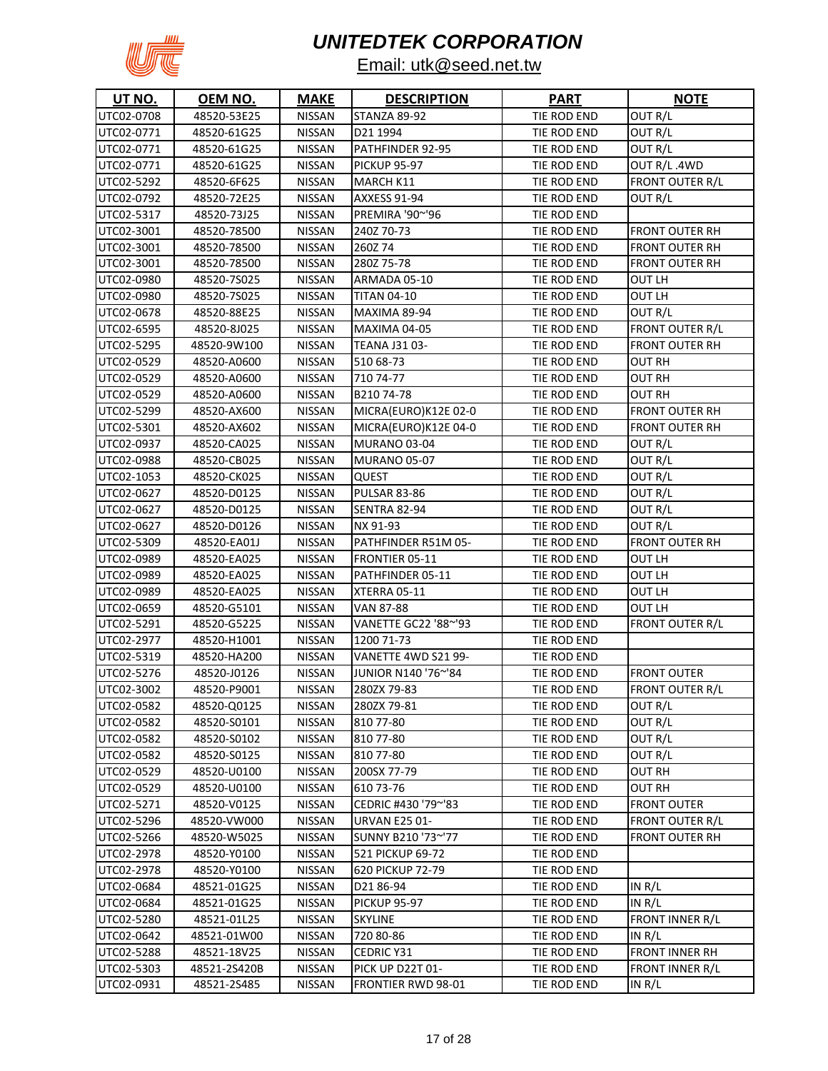

| <b>UT NO.</b> | OEM NO.      | <b>MAKE</b>   | <b>DESCRIPTION</b>        | <b>PART</b> | <b>NOTE</b>            |
|---------------|--------------|---------------|---------------------------|-------------|------------------------|
| UTC02-0708    | 48520-53E25  | <b>NISSAN</b> | STANZA 89-92              | TIE ROD END | OUT R/L                |
| UTC02-0771    | 48520-61G25  | <b>NISSAN</b> | D21 1994                  | TIE ROD END | OUT R/L                |
| UTC02-0771    | 48520-61G25  | <b>NISSAN</b> | PATHFINDER 92-95          | TIE ROD END | OUT R/L                |
| UTC02-0771    | 48520-61G25  | NISSAN        | <b>PICKUP 95-97</b>       | TIE ROD END | OUT R/L.4WD            |
| UTC02-5292    | 48520-6F625  | <b>NISSAN</b> | <b>MARCH K11</b>          | TIE ROD END | <b>FRONT OUTER R/L</b> |
| UTC02-0792    | 48520-72E25  | NISSAN        | <b>AXXESS 91-94</b>       | TIE ROD END | OUT R/L                |
| UTC02-5317    | 48520-73J25  | NISSAN        | PREMIRA '90~'96           | TIE ROD END |                        |
| UTC02-3001    | 48520-78500  | <b>NISSAN</b> | 240Z 70-73                | TIE ROD END | FRONT OUTER RH         |
| UTC02-3001    | 48520-78500  | <b>NISSAN</b> | 260Z74                    | TIE ROD END | <b>FRONT OUTER RH</b>  |
| UTC02-3001    | 48520-78500  | NISSAN        | 280Z 75-78                | TIE ROD END | FRONT OUTER RH         |
| UTC02-0980    | 48520-7S025  | <b>NISSAN</b> | ARMADA 05-10              | TIE ROD END | OUT LH                 |
| UTC02-0980    | 48520-7S025  | <b>NISSAN</b> | <b>TITAN 04-10</b>        | TIE ROD END | OUT LH                 |
| UTC02-0678    | 48520-88E25  | <b>NISSAN</b> | <b>MAXIMA 89-94</b>       | TIE ROD END | OUT R/L                |
| UTC02-6595    | 48520-8J025  | <b>NISSAN</b> | <b>MAXIMA 04-05</b>       | TIE ROD END | FRONT OUTER R/L        |
| UTC02-5295    | 48520-9W100  | <b>NISSAN</b> | <b>TEANA J31 03-</b>      | TIE ROD END | FRONT OUTER RH         |
| UTC02-0529    | 48520-A0600  | <b>NISSAN</b> | 510 68-73                 | TIE ROD END | OUT RH                 |
| UTC02-0529    | 48520-A0600  | <b>NISSAN</b> | 710 74-77                 | TIE ROD END | OUT RH                 |
| UTC02-0529    | 48520-A0600  | <b>NISSAN</b> | B21074-78                 | TIE ROD END | OUT RH                 |
| UTC02-5299    | 48520-AX600  | <b>NISSAN</b> | MICRA(EURO)K12E 02-0      | TIE ROD END | <b>FRONT OUTER RH</b>  |
| UTC02-5301    | 48520-AX602  | <b>NISSAN</b> | MICRA(EURO)K12E 04-0      | TIE ROD END | <b>FRONT OUTER RH</b>  |
| UTC02-0937    | 48520-CA025  | <b>NISSAN</b> | <b>MURANO 03-04</b>       | TIE ROD END | OUT R/L                |
| UTC02-0988    | 48520-CB025  | <b>NISSAN</b> | <b>MURANO 05-07</b>       | TIE ROD END | OUT R/L                |
| UTC02-1053    | 48520-CK025  | <b>NISSAN</b> | <b>QUEST</b>              | TIE ROD END | OUT R/L                |
| UTC02-0627    | 48520-D0125  | <b>NISSAN</b> | <b>PULSAR 83-86</b>       | TIE ROD END | OUT R/L                |
| UTC02-0627    | 48520-D0125  | <b>NISSAN</b> | <b>SENTRA 82-94</b>       | TIE ROD END | OUT R/L                |
| UTC02-0627    | 48520-D0126  | <b>NISSAN</b> | NX 91-93                  | TIE ROD END | OUT R/L                |
| UTC02-5309    | 48520-EA01J  | <b>NISSAN</b> | PATHFINDER R51M 05-       | TIE ROD END | <b>FRONT OUTER RH</b>  |
| UTC02-0989    | 48520-EA025  | <b>NISSAN</b> | <b>FRONTIER 05-11</b>     | TIE ROD END | OUT LH                 |
| UTC02-0989    | 48520-EA025  | <b>NISSAN</b> | PATHFINDER 05-11          | TIE ROD END | OUT LH                 |
| UTC02-0989    | 48520-EA025  | NISSAN        | XTERRA 05-11              | TIE ROD END | OUT LH                 |
| UTC02-0659    | 48520-G5101  | <b>NISSAN</b> | VAN 87-88                 | TIE ROD END | OUT LH                 |
| UTC02-5291    | 48520-G5225  | NISSAN        | VANETTE GC22 '88~'93      | TIE ROD END | FRONT OUTER R/L        |
| UTC02-2977    | 48520-H1001  | <b>NISSAN</b> | 1200 71-73                | TIE ROD END |                        |
| UTC02-5319    | 48520-HA200  | <b>NISSAN</b> | VANETTE 4WD S21 99-       | TIE ROD END |                        |
| UTC02-5276    | 48520-J0126  | <b>NISSAN</b> | JUNIOR N140 '76~'84       | TIE ROD END | <b>FRONT OUTER</b>     |
| UTC02-3002    | 48520-P9001  | <b>NISSAN</b> | 280ZX 79-83               | TIE ROD END | <b>FRONT OUTER R/L</b> |
| UTC02-0582    | 48520-Q0125  | <b>NISSAN</b> | 280ZX 79-81               | TIE ROD END | OUT R/L                |
| UTC02-0582    | 48520-S0101  | NISSAN        | 810 77-80                 | TIE ROD END | OUT R/L                |
| UTC02-0582    | 48520-S0102  | <b>NISSAN</b> | 810 77-80                 | TIE ROD END | OUT R/L                |
| UTC02-0582    | 48520-S0125  | <b>NISSAN</b> | 810 77-80                 | TIE ROD END | OUT R/L                |
| UTC02-0529    | 48520-U0100  | <b>NISSAN</b> | 200SX 77-79               | TIE ROD END | <b>OUT RH</b>          |
| UTC02-0529    | 48520-U0100  | <b>NISSAN</b> | 610 73-76                 | TIE ROD END | OUT RH                 |
| UTC02-5271    | 48520-V0125  | NISSAN        | CEDRIC #430 '79~'83       | TIE ROD END | <b>FRONT OUTER</b>     |
| UTC02-5296    | 48520-VW000  | NISSAN        | <b>URVAN E25 01-</b>      | TIE ROD END | FRONT OUTER R/L        |
| UTC02-5266    | 48520-W5025  | NISSAN        | SUNNY B210 '73~'77        | TIE ROD END | <b>FRONT OUTER RH</b>  |
| UTC02-2978    | 48520-Y0100  | NISSAN        | 521 PICKUP 69-72          | TIE ROD END |                        |
| UTC02-2978    | 48520-Y0100  | NISSAN        | 620 PICKUP 72-79          | TIE ROD END |                        |
| UTC02-0684    | 48521-01G25  | NISSAN        | D2186-94                  | TIE ROD END | IN $R/L$               |
| UTC02-0684    | 48521-01G25  | NISSAN        | <b>PICKUP 95-97</b>       | TIE ROD END | IN $R/L$               |
| UTC02-5280    | 48521-01L25  | <b>NISSAN</b> | <b>SKYLINE</b>            | TIE ROD END | <b>FRONT INNER R/L</b> |
| UTC02-0642    | 48521-01W00  | NISSAN        | 720 80-86                 | TIE ROD END | IN R/L                 |
| UTC02-5288    | 48521-18V25  | NISSAN        | CEDRIC Y31                | TIE ROD END | <b>FRONT INNER RH</b>  |
| UTC02-5303    | 48521-2S420B | NISSAN        | PICK UP D22T 01-          | TIE ROD END | <b>FRONT INNER R/L</b> |
| UTC02-0931    | 48521-2S485  | NISSAN        | <b>FRONTIER RWD 98-01</b> | TIE ROD END | IN $R/L$               |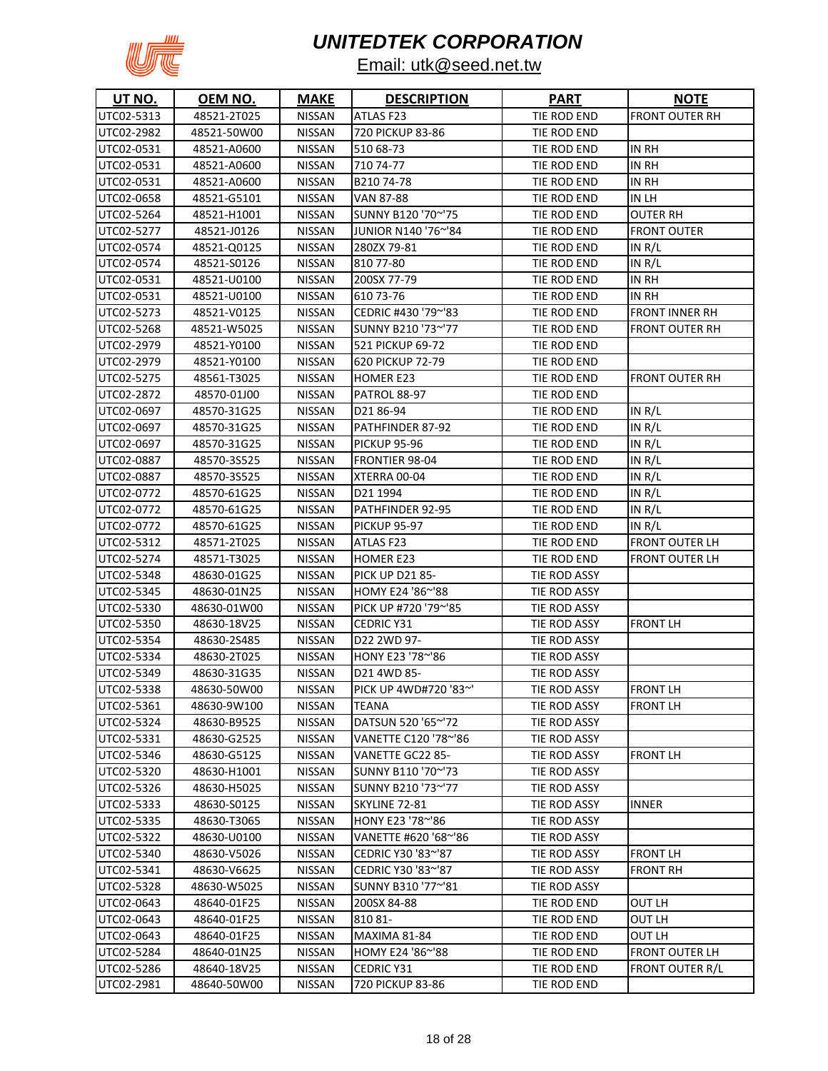

| <b>UT NO.</b> | OEM NO.     | <b>MAKE</b>   | <b>DESCRIPTION</b>     | <b>PART</b>  | <b>NOTE</b>            |
|---------------|-------------|---------------|------------------------|--------------|------------------------|
| UTC02-5313    | 48521-2T025 | <b>NISSAN</b> | ATLAS F23              | TIE ROD END  | <b>FRONT OUTER RH</b>  |
| UTC02-2982    | 48521-50W00 | <b>NISSAN</b> | 720 PICKUP 83-86       | TIE ROD END  |                        |
| UTC02-0531    | 48521-A0600 | <b>NISSAN</b> | 510 68-73              | TIE ROD END  | IN RH                  |
| UTC02-0531    | 48521-A0600 | <b>NISSAN</b> | 710 74-77              | TIE ROD END  | IN RH                  |
| UTC02-0531    | 48521-A0600 | NISSAN        | B21074-78              | TIE ROD END  | in Rh                  |
| UTC02-0658    | 48521-G5101 | NISSAN        | VAN 87-88              | TIE ROD END  | in lh                  |
| UTC02-5264    | 48521-H1001 | NISSAN        | SUNNY B120 '70~'75     | TIE ROD END  | OUTER RH               |
| UTC02-5277    | 48521-J0126 | <b>NISSAN</b> | JUNIOR N140 '76~'84    | TIE ROD END  | FRONT OUTER            |
| UTC02-0574    | 48521-Q0125 | <b>NISSAN</b> | 280ZX 79-81            | TIE ROD END  | IN R/L                 |
| UTC02-0574    | 48521-S0126 | <b>NISSAN</b> | 810 77-80              | TIE ROD END  | IN $R/L$               |
| UTC02-0531    | 48521-U0100 | <b>NISSAN</b> | 200SX 77-79            | TIE ROD END  | IN RH                  |
| UTC02-0531    | 48521-U0100 | <b>NISSAN</b> | 610 73-76              | TIE ROD END  | IN RH                  |
| UTC02-5273    | 48521-V0125 | <b>NISSAN</b> | CEDRIC #430 '79~'83    | TIE ROD END  | <b>FRONT INNER RH</b>  |
| UTC02-5268    | 48521-W5025 | <b>NISSAN</b> | SUNNY B210 '73~'77     | TIE ROD END  | FRONT OUTER RH         |
| UTC02-2979    | 48521-Y0100 | <b>NISSAN</b> | 521 PICKUP 69-72       | TIE ROD END  |                        |
| UTC02-2979    | 48521-Y0100 | <b>NISSAN</b> | 620 PICKUP 72-79       | TIE ROD END  |                        |
| UTC02-5275    | 48561-T3025 | <b>NISSAN</b> | HOMER E23              | TIE ROD END  | FRONT OUTER RH         |
| UTC02-2872    | 48570-01J00 | <b>NISSAN</b> | <b>PATROL 88-97</b>    | TIE ROD END  |                        |
| UTC02-0697    | 48570-31G25 | <b>NISSAN</b> | D2186-94               | TIE ROD END  | IN R/L                 |
| UTC02-0697    | 48570-31G25 | <b>NISSAN</b> | PATHFINDER 87-92       | TIE ROD END  | IN R/L                 |
| UTC02-0697    | 48570-31G25 | <b>NISSAN</b> | <b>PICKUP 95-96</b>    | TIE ROD END  | IN R/L                 |
| UTC02-0887    | 48570-3S525 | <b>NISSAN</b> | <b>FRONTIER 98-04</b>  | TIE ROD END  | IN R/L                 |
| UTC02-0887    | 48570-3S525 | <b>NISSAN</b> | XTERRA 00-04           | TIE ROD END  | IN R/L                 |
| UTC02-0772    | 48570-61G25 | <b>NISSAN</b> | D21 1994               | TIE ROD END  | IN R/L                 |
| UTC02-0772    | 48570-61G25 | <b>NISSAN</b> | PATHFINDER 92-95       | TIE ROD END  | IN R/L                 |
| UTC02-0772    | 48570-61G25 | <b>NISSAN</b> | <b>PICKUP 95-97</b>    | TIE ROD END  | IN R/L                 |
| UTC02-5312    | 48571-2T025 | <b>NISSAN</b> | ATLAS F23              | TIE ROD END  | <b>FRONT OUTER LH</b>  |
| UTC02-5274    | 48571-T3025 | <b>NISSAN</b> | HOMER E23              | TIE ROD END  | FRONT OUTER LH         |
| UTC02-5348    | 48630-01G25 | <b>NISSAN</b> | <b>PICK UP D21 85-</b> | TIE ROD ASSY |                        |
| UTC02-5345    | 48630-01N25 | NISSAN        | HOMY E24 '86~'88       | TIE ROD ASSY |                        |
| UTC02-5330    | 48630-01W00 | <b>NISSAN</b> | PICK UP #720 '79~'85   | TIE ROD ASSY |                        |
| UTC02-5350    | 48630-18V25 | NISSAN        | CEDRIC Y31             | TIE ROD ASSY | FRONT LH               |
| UTC02-5354    | 48630-2S485 | NISSAN        | D22 2WD 97-            | TIE ROD ASSY |                        |
| UTC02-5334    | 48630-2T025 | <b>NISSAN</b> | HONY E23 '78~'86       | TIE ROD ASSY |                        |
| UTC02-5349    | 48630-31G35 | <b>NISSAN</b> | D21 4WD 85-            | TIE ROD ASSY |                        |
| UTC02-5338    | 48630-50W00 | <b>NISSAN</b> | PICK UP 4WD#720 '83~'  | TIE ROD ASSY | <b>FRONT LH</b>        |
| UTC02-5361    | 48630-9W100 | <b>NISSAN</b> | TEANA                  | TIE ROD ASSY | FRONT LH               |
| UTC02-5324    | 48630-B9525 | <b>NISSAN</b> | DATSUN 520 '65~'72     | TIE ROD ASSY |                        |
| UTC02-5331    | 48630-G2525 | NISSAN        | VANETTE C120 '78~'86   | TIE ROD ASSY |                        |
| UTC02-5346    | 48630-G5125 | NISSAN        | VANETTE GC22 85-       | TIE ROD ASSY | <b>FRONT LH</b>        |
| UTC02-5320    | 48630-H1001 | <b>NISSAN</b> | SUNNY B110 '70~'73     | TIE ROD ASSY |                        |
| UTC02-5326    | 48630-H5025 | NISSAN        | SUNNY B210 '73~'77     | TIE ROD ASSY |                        |
| UTC02-5333    | 48630-S0125 | NISSAN        | SKYLINE 72-81          | TIE ROD ASSY | INNER                  |
| UTC02-5335    | 48630-T3065 | NISSAN        | HONY E23 '78~'86       | TIE ROD ASSY |                        |
| UTC02-5322    | 48630-U0100 | NISSAN        | VANETTE #620 '68~'86   | TIE ROD ASSY |                        |
| UTC02-5340    | 48630-V5026 | NISSAN        | CEDRIC Y30 '83~'87     | TIE ROD ASSY | <b>FRONT LH</b>        |
| UTC02-5341    | 48630-V6625 | <b>NISSAN</b> | CEDRIC Y30 '83~'87     | TIE ROD ASSY | <b>FRONT RH</b>        |
| UTC02-5328    | 48630-W5025 | NISSAN        | SUNNY B310 '77~'81     | TIE ROD ASSY |                        |
| UTC02-0643    | 48640-01F25 | NISSAN        | 200SX 84-88            | TIE ROD END  | OUT LH                 |
| UTC02-0643    | 48640-01F25 | NISSAN        | 810 81-                | TIE ROD END  | OUT LH                 |
| UTC02-0643    | 48640-01F25 | NISSAN        | <b>MAXIMA 81-84</b>    | TIE ROD END  | OUT LH                 |
| UTC02-5284    | 48640-01N25 | NISSAN        | HOMY E24 '86~'88       | TIE ROD END  | <b>FRONT OUTER LH</b>  |
| UTC02-5286    | 48640-18V25 | NISSAN        | <b>CEDRIC Y31</b>      | TIE ROD END  | <b>FRONT OUTER R/L</b> |
| UTC02-2981    | 48640-50W00 | NISSAN        | 720 PICKUP 83-86       | TIE ROD END  |                        |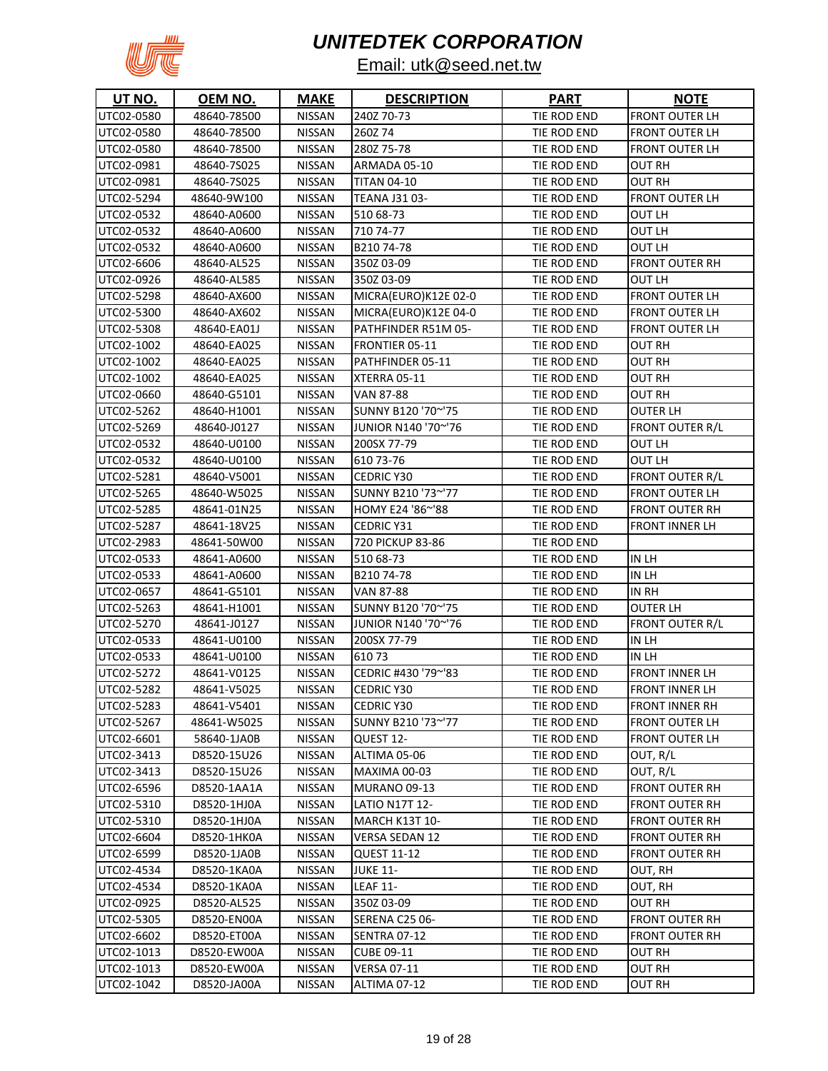

| UT NO.     | <u>OEM NO.</u> | <b>MAKE</b>   | <b>DESCRIPTION</b>    | <b>PART</b> | <b>NOTE</b>            |
|------------|----------------|---------------|-----------------------|-------------|------------------------|
| UTC02-0580 | 48640-78500    | <b>NISSAN</b> | 240Z 70-73            | TIE ROD END | <b>FRONT OUTER LH</b>  |
| UTC02-0580 | 48640-78500    | <b>NISSAN</b> | 260Z74                | TIE ROD END | <b>FRONT OUTER LH</b>  |
| UTC02-0580 | 48640-78500    | <b>NISSAN</b> | 280Z 75-78            | TIE ROD END | <b>FRONT OUTER LH</b>  |
| UTC02-0981 | 48640-7S025    | <b>NISSAN</b> | ARMADA 05-10          | TIE ROD END | <b>OUT RH</b>          |
| UTC02-0981 | 48640-7S025    | <b>NISSAN</b> | <b>TITAN 04-10</b>    | TIE ROD END | OUT RH                 |
| UTC02-5294 | 48640-9W100    | <b>NISSAN</b> | <b>TEANA J31 03-</b>  | TIE ROD END | <b>FRONT OUTER LH</b>  |
| UTC02-0532 | 48640-A0600    | NISSAN        | 510 68-73             | TIE ROD END | <b>OUT LH</b>          |
| UTC02-0532 | 48640-A0600    | NISSAN        | 710 74-77             | TIE ROD END | OUT LH                 |
| UTC02-0532 | 48640-A0600    | NISSAN        | B21074-78             | TIE ROD END | OUT LH                 |
| UTC02-6606 | 48640-AL525    | NISSAN        | 350Z 03-09            | TIE ROD END | <b>FRONT OUTER RH</b>  |
| UTC02-0926 | 48640-AL585    | <b>NISSAN</b> | 350Z 03-09            | TIE ROD END | OUT LH                 |
| UTC02-5298 | 48640-AX600    | NISSAN        | MICRA(EURO)K12E 02-0  | TIE ROD END | <b>FRONT OUTER LH</b>  |
| UTC02-5300 | 48640-AX602    | <b>NISSAN</b> | MICRA(EURO)K12E 04-0  | TIE ROD END | <b>FRONT OUTER LH</b>  |
| UTC02-5308 | 48640-EA01J    | <b>NISSAN</b> | PATHFINDER R51M 05-   | TIE ROD END | <b>FRONT OUTER LH</b>  |
| UTC02-1002 | 48640-EA025    | <b>NISSAN</b> | <b>FRONTIER 05-11</b> | TIE ROD END | OUT RH                 |
| UTC02-1002 | 48640-EA025    | <b>NISSAN</b> | PATHFINDER 05-11      | TIE ROD END | <b>OUT RH</b>          |
| UTC02-1002 | 48640-EA025    | <b>NISSAN</b> | XTERRA 05-11          | TIE ROD END | OUT RH                 |
| UTC02-0660 | 48640-G5101    | <b>NISSAN</b> | VAN 87-88             | TIE ROD END | <b>OUT RH</b>          |
| UTC02-5262 | 48640-H1001    | <b>NISSAN</b> | SUNNY B120 '70~'75    | TIE ROD END | <b>OUTER LH</b>        |
| UTC02-5269 | 48640-J0127    | <b>NISSAN</b> | JUNIOR N140 '70~'76   | TIE ROD END | <b>FRONT OUTER R/L</b> |
| UTC02-0532 | 48640-U0100    | <b>NISSAN</b> | 200SX 77-79           | TIE ROD END | OUT LH                 |
| UTC02-0532 | 48640-U0100    | <b>NISSAN</b> | 610 73-76             | TIE ROD END | <b>OUT LH</b>          |
| UTC02-5281 | 48640-V5001    | <b>NISSAN</b> | <b>CEDRIC Y30</b>     | TIE ROD END | <b>FRONT OUTER R/L</b> |
| UTC02-5265 | 48640-W5025    | <b>NISSAN</b> | SUNNY B210 '73~'77    | TIE ROD END | <b>FRONT OUTER LH</b>  |
| UTC02-5285 | 48641-01N25    | <b>NISSAN</b> | HOMY E24 '86~'88      | TIE ROD END | <b>FRONT OUTER RH</b>  |
| UTC02-5287 | 48641-18V25    | <b>NISSAN</b> | <b>CEDRIC Y31</b>     | TIE ROD END | FRONT INNER LH         |
| UTC02-2983 | 48641-50W00    | <b>NISSAN</b> | 720 PICKUP 83-86      | TIE ROD END |                        |
| UTC02-0533 | 48641-A0600    | <b>NISSAN</b> | 510 68-73             | TIE ROD END | IN LH                  |
| UTC02-0533 | 48641-A0600    | <b>NISSAN</b> | B21074-78             | TIE ROD END | in Lh                  |
| UTC02-0657 | 48641-G5101    | <b>NISSAN</b> | VAN 87-88             | TIE ROD END | IN RH                  |
| UTC02-5263 | 48641-H1001    | <b>NISSAN</b> | SUNNY B120 '70~'75    | TIE ROD END | <b>OUTER LH</b>        |
| UTC02-5270 | 48641-J0127    | NISSAN        | JUNIOR N140 '70~'76   | TIE ROD END | <b>FRONT OUTER R/L</b> |
| UTC02-0533 | 48641-U0100    | NISSAN        | 200SX 77-79           | TIE ROD END | IN LH                  |
| UTC02-0533 | 48641-U0100    | NISSAN        | 61073                 | TIE ROD END | IN LH                  |
| UTC02-5272 | 48641-V0125    | <b>NISSAN</b> | CEDRIC #430 '79~'83   | TIE ROD END | <b>FRONT INNER LH</b>  |
| UTC02-5282 | 48641-V5025    | <b>NISSAN</b> | <b>CEDRIC Y30</b>     | TIE ROD END | <b>FRONT INNER LH</b>  |
| UTC02-5283 | 48641-V5401    | <b>NISSAN</b> | CEDRIC Y30            | TIE ROD END | <b>FRONT INNER RH</b>  |
| UTC02-5267 | 48641-W5025    | <b>NISSAN</b> | SUNNY B210 '73~'77    | TIE ROD END | <b>FRONT OUTER LH</b>  |
| UTC02-6601 | 58640-1JA0B    | <b>NISSAN</b> | QUEST 12-             | TIE ROD END | <b>FRONT OUTER LH</b>  |
| UTC02-3413 | D8520-15U26    | <b>NISSAN</b> | ALTIMA 05-06          | TIE ROD END | OUT, R/L               |
| UTC02-3413 | D8520-15U26    | <b>NISSAN</b> | MAXIMA 00-03          | TIE ROD END | OUT, R/L               |
| UTC02-6596 | D8520-1AA1A    | <b>NISSAN</b> | <b>MURANO 09-13</b>   | TIE ROD END | <b>FRONT OUTER RH</b>  |
| UTC02-5310 | D8520-1HJ0A    | <b>NISSAN</b> | <b>LATIO N17T 12-</b> | TIE ROD END | <b>FRONT OUTER RH</b>  |
| UTC02-5310 | D8520-1HJ0A    | <b>NISSAN</b> | <b>MARCH K13T 10-</b> | TIE ROD END | <b>FRONT OUTER RH</b>  |
| UTC02-6604 | D8520-1HK0A    | <b>NISSAN</b> | VERSA SEDAN 12        | TIE ROD END | <b>FRONT OUTER RH</b>  |
| UTC02-6599 | D8520-1JA0B    | <b>NISSAN</b> | <b>QUEST 11-12</b>    | TIE ROD END | <b>FRONT OUTER RH</b>  |
| UTC02-4534 | D8520-1KA0A    | <b>NISSAN</b> | <b>JUKE 11-</b>       | TIE ROD END | OUT, RH                |
| UTC02-4534 | D8520-1KA0A    | <b>NISSAN</b> | <b>LEAF 11-</b>       | TIE ROD END | OUT, RH                |
| UTC02-0925 | D8520-AL525    | NISSAN        | 350Z 03-09            | TIE ROD END | <b>OUT RH</b>          |
| UTC02-5305 | D8520-EN00A    | <b>NISSAN</b> | SERENA C25 06-        | TIE ROD END | <b>FRONT OUTER RH</b>  |
| UTC02-6602 | D8520-ET00A    | <b>NISSAN</b> | <b>SENTRA 07-12</b>   | TIE ROD END | <b>FRONT OUTER RH</b>  |
| UTC02-1013 | D8520-EW00A    | NISSAN        | CUBE 09-11            | TIE ROD END | <b>OUT RH</b>          |
| UTC02-1013 | D8520-EW00A    | <b>NISSAN</b> | <b>VERSA 07-11</b>    | TIE ROD END | <b>OUT RH</b>          |
| UTC02-1042 | D8520-JA00A    | NISSAN        | ALTIMA 07-12          | TIE ROD END | <b>OUT RH</b>          |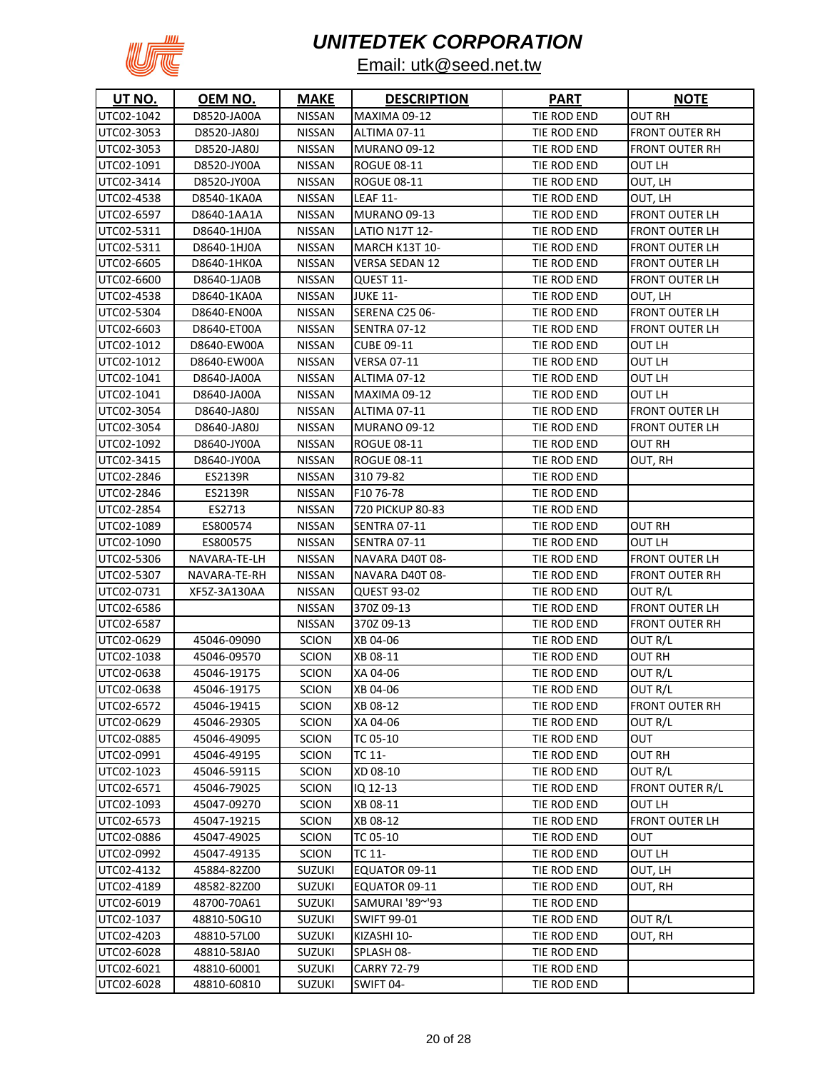

| <b>UT NO.</b> | OEM NO.      | <b>MAKE</b>   | <b>DESCRIPTION</b>    | <b>PART</b> | <b>NOTE</b>           |
|---------------|--------------|---------------|-----------------------|-------------|-----------------------|
| UTC02-1042    | D8520-JA00A  | <b>NISSAN</b> | <b>MAXIMA 09-12</b>   | TIE ROD END | <b>OUT RH</b>         |
| UTC02-3053    | D8520-JA80J  | <b>NISSAN</b> | ALTIMA 07-11          | TIE ROD END | <b>FRONT OUTER RH</b> |
| UTC02-3053    | D8520-JA80J  | NISSAN        | MURANO 09-12          | TIE ROD END | FRONT OUTER RH        |
| UTC02-1091    | D8520-JY00A  | <b>NISSAN</b> | <b>ROGUE 08-11</b>    | TIE ROD END | <b>OUT LH</b>         |
| UTC02-3414    | D8520-JY00A  | NISSAN        | <b>ROGUE 08-11</b>    | TIE ROD END | OUT, LH               |
| UTC02-4538    | D8540-1KA0A  | NISSAN        | <b>LEAF 11-</b>       | TIE ROD END | OUT, LH               |
| UTC02-6597    | D8640-1AA1A  | NISSAN        | MURANO 09-13          | TIE ROD END | <b>FRONT OUTER LH</b> |
| UTC02-5311    | D8640-1HJ0A  | <b>NISSAN</b> | <b>LATIO N17T 12-</b> | TIE ROD END | <b>FRONT OUTER LH</b> |
| UTC02-5311    | D8640-1HJ0A  | NISSAN        | MARCH K13T 10-        | TIE ROD END | <b>FRONT OUTER LH</b> |
| UTC02-6605    | D8640-1HK0A  | <b>NISSAN</b> | <b>VERSA SEDAN 12</b> | TIE ROD END | <b>FRONT OUTER LH</b> |
| UTC02-6600    | D8640-1JA0B  | NISSAN        | QUEST 11-             | TIE ROD END | <b>FRONT OUTER LH</b> |
| UTC02-4538    | D8640-1KA0A  | <b>NISSAN</b> | <b>JUKE 11-</b>       | TIE ROD END | OUT, LH               |
| UTC02-5304    | D8640-EN00A  | <b>NISSAN</b> | SERENA C25 06-        | TIE ROD END | <b>FRONT OUTER LH</b> |
| UTC02-6603    | D8640-ET00A  | <b>NISSAN</b> | <b>SENTRA 07-12</b>   | TIE ROD END | FRONT OUTER LH        |
| UTC02-1012    | D8640-EW00A  | <b>NISSAN</b> | <b>CUBE 09-11</b>     | TIE ROD END | OUT LH                |
| UTC02-1012    | D8640-EW00A  | <b>NISSAN</b> | <b>VERSA 07-11</b>    | TIE ROD END | OUT LH                |
| UTC02-1041    | D8640-JA00A  | NISSAN        | ALTIMA 07-12          | TIE ROD END | OUT LH                |
| UTC02-1041    | D8640-JA00A  | <b>NISSAN</b> | <b>MAXIMA 09-12</b>   | TIE ROD END | OUT LH                |
| UTC02-3054    | D8640-JA80J  | <b>NISSAN</b> | ALTIMA 07-11          | TIE ROD END | <b>FRONT OUTER LH</b> |
| UTC02-3054    | D8640-JA80J  | NISSAN        | <b>MURANO 09-12</b>   | TIE ROD END | <b>FRONT OUTER LH</b> |
| UTC02-1092    | D8640-JY00A  | <b>NISSAN</b> | <b>ROGUE 08-11</b>    | TIE ROD END | OUT RH                |
| UTC02-3415    | D8640-JY00A  | <b>NISSAN</b> | <b>ROGUE 08-11</b>    | TIE ROD END | OUT, RH               |
| UTC02-2846    | ES2139R      | <b>NISSAN</b> | 310 79-82             | TIE ROD END |                       |
| UTC02-2846    | ES2139R      | <b>NISSAN</b> | F10 76-78             | TIE ROD END |                       |
| UTC02-2854    | ES2713       | <b>NISSAN</b> | 720 PICKUP 80-83      | TIE ROD END |                       |
| UTC02-1089    | ES800574     | NISSAN        | <b>SENTRA 07-11</b>   | TIE ROD END | <b>OUT RH</b>         |
| UTC02-1090    | ES800575     | <b>NISSAN</b> | <b>SENTRA 07-11</b>   | TIE ROD END | OUT LH                |
| UTC02-5306    | NAVARA-TE-LH | <b>NISSAN</b> | NAVARA D40T 08-       | TIE ROD END | FRONT OUTER LH        |
| UTC02-5307    | NAVARA-TE-RH | NISSAN        | NAVARA D40T 08-       | TIE ROD END | FRONT OUTER RH        |
| UTC02-0731    | XF5Z-3A130AA | NISSAN        | QUEST 93-02           | TIE ROD END | OUT R/L               |
| UTC02-6586    |              | NISSAN        | 370Z 09-13            | TIE ROD END | FRONT OUTER LH        |
| UTC02-6587    |              | NISSAN        | 370Z 09-13            | TIE ROD END | FRONT OUTER RH        |
| UTC02-0629    | 45046-09090  | <b>SCION</b>  | XB 04-06              | TIE ROD END | OUT R/L               |
| UTC02-1038    | 45046-09570  | <b>SCION</b>  | XB 08-11              | TIE ROD END | OUT RH                |
| UTC02-0638    | 45046-19175  | <b>SCION</b>  | XA 04-06              | TIE ROD END | OUT R/L               |
| UTC02-0638    | 45046-19175  | <b>SCION</b>  | XB 04-06              | TIE ROD END | OUT R/L               |
| UTC02-6572    | 45046-19415  | <b>SCION</b>  | XB 08-12              | TIE ROD END | <b>FRONT OUTER RH</b> |
| UTC02-0629    | 45046-29305  | <b>SCION</b>  | XA 04-06              | TIE ROD END | OUT R/L               |
| UTC02-0885    | 45046-49095  | <b>SCION</b>  | TC 05-10              | TIE ROD END | Ουτ                   |
| UTC02-0991    | 45046-49195  | <b>SCION</b>  | TC 11-                | TIE ROD END | OUT RH                |
| UTC02-1023    | 45046-59115  | <b>SCION</b>  | XD 08-10              | TIE ROD END | OUT R/L               |
| UTC02-6571    | 45046-79025  | <b>SCION</b>  | IQ 12-13              | TIE ROD END | FRONT OUTER R/L       |
| UTC02-1093    | 45047-09270  | <b>SCION</b>  | XB 08-11              | TIE ROD END | OUT LH                |
| UTC02-6573    | 45047-19215  | <b>SCION</b>  | XB 08-12              | TIE ROD END | <b>FRONT OUTER LH</b> |
| UTC02-0886    | 45047-49025  | <b>SCION</b>  | TC 05-10              | TIE ROD END | ουτ                   |
| UTC02-0992    | 45047-49135  | <b>SCION</b>  | TC 11-                | TIE ROD END | OUT LH                |
| UTC02-4132    | 45884-82Z00  | SUZUKI        | EQUATOR 09-11         | TIE ROD END | OUT, LH               |
| UTC02-4189    | 48582-82Z00  | <b>SUZUKI</b> | EQUATOR 09-11         | TIE ROD END | OUT, RH               |
| UTC02-6019    | 48700-70A61  | <b>SUZUKI</b> | SAMURAI '89~'93       | TIE ROD END |                       |
| UTC02-1037    | 48810-50G10  | <b>SUZUKI</b> | <b>SWIFT 99-01</b>    | TIE ROD END | OUT R/L               |
| UTC02-4203    | 48810-57L00  | <b>SUZUKI</b> | KIZASHI 10-           | TIE ROD END | OUT, RH               |
| UTC02-6028    | 48810-58JA0  | <b>SUZUKI</b> | SPLASH 08-            | TIE ROD END |                       |
| UTC02-6021    | 48810-60001  | <b>SUZUKI</b> | <b>CARRY 72-79</b>    | TIE ROD END |                       |
| UTC02-6028    | 48810-60810  | <b>SUZUKI</b> | SWIFT 04-             | TIE ROD END |                       |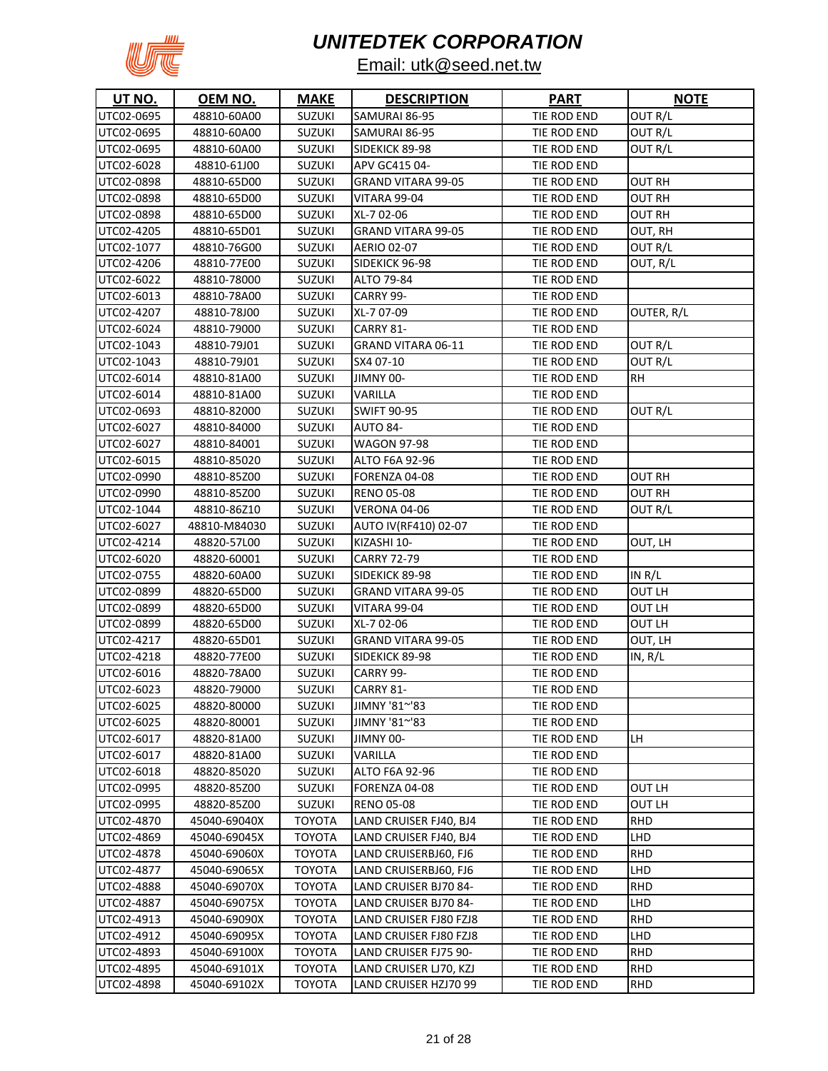

| <b>UT NO.</b> | OEM NO.      | <b>MAKE</b>   | <b>DESCRIPTION</b>        | <b>PART</b> | <b>NOTE</b> |
|---------------|--------------|---------------|---------------------------|-------------|-------------|
| UTC02-0695    | 48810-60A00  | <b>SUZUKI</b> | SAMURAI 86-95             | TIE ROD END | OUT R/L     |
| UTC02-0695    | 48810-60A00  | <b>SUZUKI</b> | SAMURAI 86-95             | TIE ROD END | OUT R/L     |
| UTC02-0695    | 48810-60A00  | <b>SUZUKI</b> | SIDEKICK 89-98            | TIE ROD END | OUT R/L     |
| UTC02-6028    | 48810-61J00  | <b>SUZUKI</b> | APV GC415 04-             | TIE ROD END |             |
| UTC02-0898    | 48810-65D00  | <b>SUZUKI</b> | <b>GRAND VITARA 99-05</b> | TIE ROD END | OUT RH      |
| UTC02-0898    | 48810-65D00  | <b>SUZUKI</b> | <b>VITARA 99-04</b>       | TIE ROD END | OUT RH      |
| UTC02-0898    | 48810-65D00  | <b>SUZUKI</b> | XL-7 02-06                | TIE ROD END | OUT RH      |
| UTC02-4205    | 48810-65D01  | <b>SUZUKI</b> | <b>GRAND VITARA 99-05</b> | TIE ROD END | OUT, RH     |
| UTC02-1077    | 48810-76G00  | <b>SUZUKI</b> | <b>AERIO 02-07</b>        | TIE ROD END | OUT R/L     |
| UTC02-4206    | 48810-77E00  | <b>SUZUKI</b> | SIDEKICK 96-98            | TIE ROD END | OUT, R/L    |
| UTC02-6022    | 48810-78000  | <b>SUZUKI</b> | ALTO 79-84                | TIE ROD END |             |
| UTC02-6013    | 48810-78A00  | SUZUKI        | CARRY 99-                 | TIE ROD END |             |
| UTC02-4207    | 48810-78J00  | <b>SUZUKI</b> | XL-7 07-09                | TIE ROD END | OUTER, R/L  |
| UTC02-6024    | 48810-79000  | <b>SUZUKI</b> | CARRY 81-                 | TIE ROD END |             |
| UTC02-1043    | 48810-79J01  | <b>SUZUKI</b> | GRAND VITARA 06-11        | TIE ROD END | OUT R/L     |
| UTC02-1043    | 48810-79J01  | <b>SUZUKI</b> | SX4 07-10                 | TIE ROD END | OUT R/L     |
| UTC02-6014    | 48810-81A00  | <b>SUZUKI</b> | JIMNY 00-                 | TIE ROD END | RН          |
| UTC02-6014    | 48810-81A00  | <b>SUZUKI</b> | VARILLA                   | TIE ROD END |             |
| UTC02-0693    | 48810-82000  | <b>SUZUKI</b> | <b>SWIFT 90-95</b>        | TIE ROD END | OUT R/L     |
| UTC02-6027    | 48810-84000  | <b>SUZUKI</b> | AUTO 84-                  | TIE ROD END |             |
| UTC02-6027    | 48810-84001  | <b>SUZUKI</b> | <b>WAGON 97-98</b>        | TIE ROD END |             |
| UTC02-6015    | 48810-85020  | <b>SUZUKI</b> | ALTO F6A 92-96            | TIE ROD END |             |
| UTC02-0990    | 48810-85Z00  | <b>SUZUKI</b> | FORENZA 04-08             | TIE ROD END | OUT RH      |
| UTC02-0990    | 48810-85Z00  | <b>SUZUKI</b> | <b>RENO 05-08</b>         | TIE ROD END | OUT RH      |
| UTC02-1044    | 48810-86Z10  | <b>SUZUKI</b> | VERONA 04-06              | TIE ROD END | OUT R/L     |
| UTC02-6027    | 48810-M84030 | <b>SUZUKI</b> | AUTO IV(RF410) 02-07      | TIE ROD END |             |
| UTC02-4214    | 48820-57L00  | <b>SUZUKI</b> | KIZASHI 10-               | TIE ROD END | OUT, LH     |
| UTC02-6020    | 48820-60001  | <b>SUZUKI</b> | <b>CARRY 72-79</b>        | TIE ROD END |             |
| UTC02-0755    | 48820-60A00  | <b>SUZUKI</b> | SIDEKICK 89-98            | TIE ROD END | IN $R/L$    |
| UTC02-0899    | 48820-65D00  | <b>SUZUKI</b> | <b>GRAND VITARA 99-05</b> | TIE ROD END | OUT LH      |
| UTC02-0899    | 48820-65D00  | <b>SUZUKI</b> | VITARA 99-04              | TIE ROD END | OUT LH      |
| UTC02-0899    | 48820-65D00  | <b>SUZUKI</b> | XL-7 02-06                | TIE ROD END | OUT LH      |
| UTC02-4217    | 48820-65D01  | <b>SUZUKI</b> | <b>GRAND VITARA 99-05</b> | TIE ROD END | OUT, LH     |
| UTC02-4218    | 48820-77E00  | <b>SUZUKI</b> | SIDEKICK 89-98            | TIE ROD END | IN, R/L     |
| UTC02-6016    | 48820-78A00  | <b>SUZUKI</b> | CARRY 99-                 | TIE ROD END |             |
| UTC02-6023    | 48820-79000  | <b>SUZUKI</b> | CARRY 81-                 | TIE ROD END |             |
| UTC02-6025    | 48820-80000  | <b>SUZUKI</b> | JIMNY '81~'83             | TIE ROD END |             |
| UTC02-6025    | 48820-80001  | <b>SUZUKI</b> | JIMNY '81~'83             | TIE ROD END |             |
| UTC02-6017    | 48820-81A00  | <b>SUZUKI</b> | JIMNY 00-                 | TIE ROD END | LH          |
| UTC02-6017    | 48820-81A00  | <b>SUZUKI</b> | VARILLA                   | TIE ROD END |             |
| UTC02-6018    | 48820-85020  | <b>SUZUKI</b> | ALTO F6A 92-96            | TIE ROD END |             |
| UTC02-0995    | 48820-85Z00  | <b>SUZUKI</b> | FORENZA 04-08             | TIE ROD END | OUT LH      |
| UTC02-0995    | 48820-85Z00  | SUZUKI        | <b>RENO 05-08</b>         | TIE ROD END | OUT LH      |
| UTC02-4870    | 45040-69040X | <b>TOYOTA</b> | LAND CRUISER FJ40, BJ4    | TIE ROD END | RHD         |
| UTC02-4869    | 45040-69045X | <b>TOYOTA</b> | LAND CRUISER FJ40, BJ4    | TIE ROD END | LHD         |
| UTC02-4878    | 45040-69060X | TOYOTA        | LAND CRUISERBJ60, FJ6     | TIE ROD END | <b>RHD</b>  |
| UTC02-4877    | 45040-69065X | <b>TOYOTA</b> | LAND CRUISERBJ60, FJ6     | TIE ROD END | LHD         |
| UTC02-4888    | 45040-69070X | <b>TOYOTA</b> | LAND CRUISER BJ70 84-     | TIE ROD END | RHD         |
| UTC02-4887    | 45040-69075X | <b>TOYOTA</b> | LAND CRUISER BJ70 84-     | TIE ROD END | LHD         |
| UTC02-4913    | 45040-69090X | <b>TOYOTA</b> | LAND CRUISER FJ80 FZJ8    | TIE ROD END | RHD         |
| UTC02-4912    | 45040-69095X | <b>TOYOTA</b> | LAND CRUISER FJ80 FZJ8    | TIE ROD END | LHD         |
| UTC02-4893    | 45040-69100X | TOYOTA        | LAND CRUISER FJ75 90-     | TIE ROD END | RHD         |
| UTC02-4895    | 45040-69101X | <b>TOYOTA</b> | LAND CRUISER LJ70, KZJ    | TIE ROD END | <b>RHD</b>  |
| UTC02-4898    | 45040-69102X | <b>TOYOTA</b> | LAND CRUISER HZJ70 99     | TIE ROD END | <b>RHD</b>  |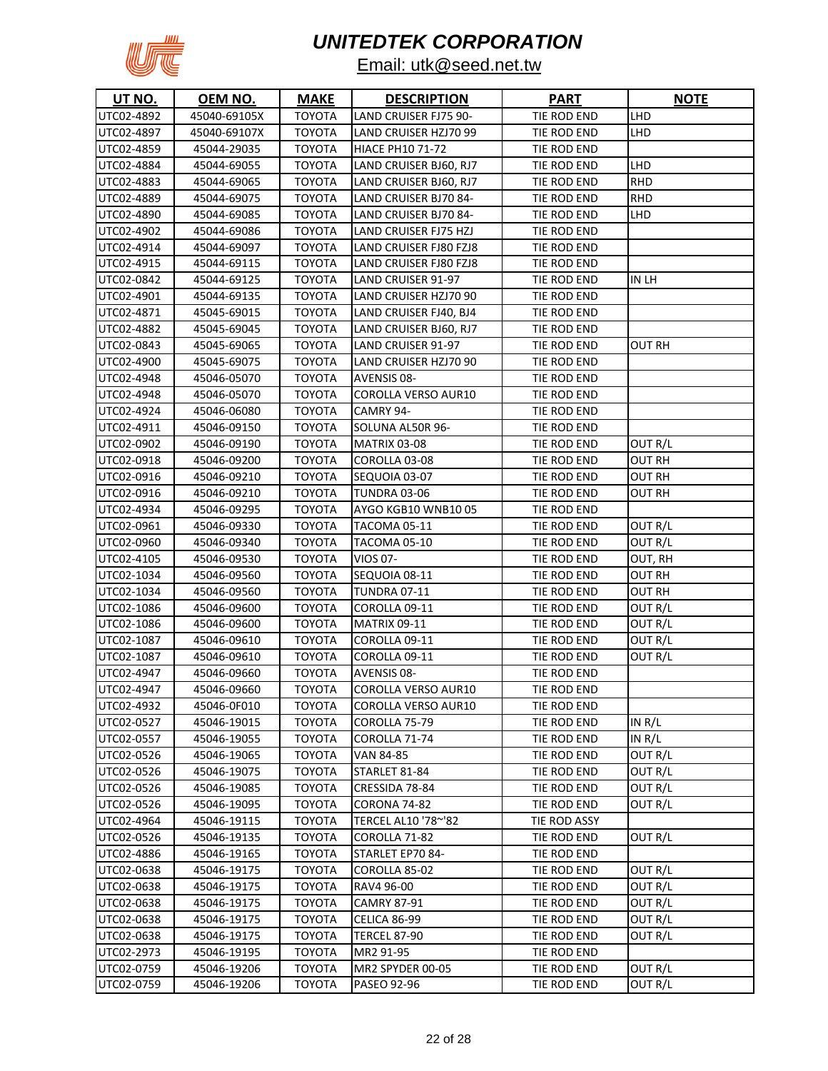

| <u>UT NO.</u> | <u>OEM NO.</u> | <u>MAKE</u>   | <b>DESCRIPTION</b>         | <u>PART</u>  | <b>NOTE</b> |
|---------------|----------------|---------------|----------------------------|--------------|-------------|
| UTC02-4892    | 45040-69105X   | <b>TOYOTA</b> | LAND CRUISER FJ75 90-      | TIE ROD END  | LHD         |
| UTC02-4897    | 45040-69107X   | <b>TOYOTA</b> | LAND CRUISER HZJ70 99      | TIE ROD END  | LHD         |
| UTC02-4859    | 45044-29035    | <b>TOYOTA</b> | <b>HIACE PH10 71-72</b>    | TIE ROD END  |             |
| UTC02-4884    | 45044-69055    | <b>TOYOTA</b> | LAND CRUISER BJ60, RJ7     | TIE ROD END  | LHD         |
| UTC02-4883    | 45044-69065    | TOYOTA        | LAND CRUISER BJ60, RJ7     | TIE ROD END  | RHD         |
| UTC02-4889    | 45044-69075    | <b>TOYOTA</b> | LAND CRUISER BJ70 84-      | TIE ROD END  | RHD         |
| UTC02-4890    | 45044-69085    | TOYOTA        | LAND CRUISER BJ70 84-      | TIE ROD END  | LHD         |
| UTC02-4902    | 45044-69086    | TOYOTA        | LAND CRUISER FJ75 HZJ      | TIE ROD END  |             |
| UTC02-4914    | 45044-69097    | TOYOTA        | LAND CRUISER FJ80 FZJ8     | TIE ROD END  |             |
| UTC02-4915    | 45044-69115    | TOYOTA        | LAND CRUISER FJ80 FZJ8     | TIE ROD END  |             |
| UTC02-0842    | 45044-69125    | TOYOTA        | LAND CRUISER 91-97         | TIE ROD END  | in lh       |
| UTC02-4901    | 45044-69135    | TOYOTA        | LAND CRUISER HZJ70 90      | TIE ROD END  |             |
| UTC02-4871    | 45045-69015    | TOYOTA        | LAND CRUISER FJ40, BJ4     | TIE ROD END  |             |
| UTC02-4882    | 45045-69045    | TOYOTA        | LAND CRUISER BJ60, RJ7     | TIE ROD END  |             |
| UTC02-0843    | 45045-69065    | TOYOTA        | LAND CRUISER 91-97         | TIE ROD END  | OUT RH      |
| UTC02-4900    | 45045-69075    | TOYOTA        | LAND CRUISER HZJ70 90      | TIE ROD END  |             |
| UTC02-4948    | 45046-05070    | <b>TOYOTA</b> | AVENSIS 08-                | TIE ROD END  |             |
| UTC02-4948    | 45046-05070    | <b>TOYOTA</b> | COROLLA VERSO AUR10        | TIE ROD END  |             |
| UTC02-4924    | 45046-06080    | <b>TOYOTA</b> | CAMRY 94-                  | TIE ROD END  |             |
| UTC02-4911    | 45046-09150    | <b>TOYOTA</b> | SOLUNA AL50R 96-           | TIE ROD END  |             |
| UTC02-0902    | 45046-09190    | TOYOTA        | <b>MATRIX 03-08</b>        | TIE ROD END  | OUT R/L     |
| UTC02-0918    | 45046-09200    | <b>TOYOTA</b> | COROLLA 03-08              | TIE ROD END  | OUT RH      |
| UTC02-0916    | 45046-09210    | <b>TOYOTA</b> | SEQUOIA 03-07              | TIE ROD END  | OUT RH      |
| UTC02-0916    | 45046-09210    | <b>TOYOTA</b> | TUNDRA 03-06               | TIE ROD END  | OUT RH      |
| UTC02-4934    | 45046-09295    | <b>TOYOTA</b> | AYGO KGB10 WNB10 05        | TIE ROD END  |             |
| UTC02-0961    | 45046-09330    | <b>TOYOTA</b> | TACOMA 05-11               | TIE ROD END  | OUT R/L     |
| UTC02-0960    | 45046-09340    | <b>TOYOTA</b> | TACOMA 05-10               | TIE ROD END  | OUT R/L     |
| UTC02-4105    | 45046-09530    | <b>TOYOTA</b> | VIOS 07-                   | TIE ROD END  | OUT, RH     |
| UTC02-1034    | 45046-09560    | <b>TOYOTA</b> | SEQUOIA 08-11              | TIE ROD END  | OUT RH      |
| UTC02-1034    | 45046-09560    | <b>TOYOTA</b> | TUNDRA 07-11               | TIE ROD END  | OUT RH      |
| UTC02-1086    | 45046-09600    | ТОҮОТА        | COROLLA 09-11              | TIE ROD END  | OUT R/L     |
| UTC02-1086    | 45046-09600    | TOYOTA        | <b>MATRIX 09-11</b>        | TIE ROD END  | OUT R/L     |
| UTC02-1087    | 45046-09610    | TOYOTA        | COROLLA 09-11              | TIE ROD END  | OUT R/L     |
| UTC02-1087    | 45046-09610    | TOYOTA        | COROLLA 09-11              | TIE ROD END  | OUT R/L     |
| UTC02-4947    | 45046-09660    | TOYOTA        | AVENSIS 08-                | TIE ROD END  |             |
| UTC02-4947    | 45046-09660    | <b>TOYOTA</b> | <b>COROLLA VERSO AUR10</b> | TIE ROD END  |             |
| UTC02-4932    | 45046-0F010    | <b>TOYOTA</b> | COROLLA VERSO AUR10        | TIE ROD END  |             |
| UTC02-0527    | 45046-19015    | <b>TOYOTA</b> | COROLLA 75-79              | TIE ROD END  | IN R/L      |
| UTC02-0557    | 45046-19055    | <b>TOYOTA</b> | COROLLA 71-74              | TIE ROD END  | IN $R/L$    |
| UTC02-0526    | 45046-19065    | <b>TOYOTA</b> | VAN 84-85                  | TIE ROD END  | OUT R/L     |
| UTC02-0526    | 45046-19075    | <b>TOYOTA</b> | STARLET 81-84              | TIE ROD END  | OUT R/L     |
| UTC02-0526    | 45046-19085    | <b>TOYOTA</b> | CRESSIDA 78-84             | TIE ROD END  | OUT R/L     |
| UTC02-0526    | 45046-19095    | <b>TOYOTA</b> | CORONA 74-82               | TIE ROD END  | OUT R/L     |
| UTC02-4964    | 45046-19115    | <b>TOYOTA</b> | TERCEL AL10 '78~'82        | TIE ROD ASSY |             |
| UTC02-0526    | 45046-19135    | <b>TOYOTA</b> | COROLLA 71-82              | TIE ROD END  | OUT R/L     |
| UTC02-4886    | 45046-19165    | TOYOTA        | STARLET EP70 84-           | TIE ROD END  |             |
| UTC02-0638    | 45046-19175    | <b>TOYOTA</b> | COROLLA 85-02              | TIE ROD END  | OUT R/L     |
| UTC02-0638    | 45046-19175    | <b>TOYOTA</b> | RAV4 96-00                 | TIE ROD END  | OUT R/L     |
| UTC02-0638    | 45046-19175    | TOYOTA        | <b>CAMRY 87-91</b>         | TIE ROD END  | OUT R/L     |
| UTC02-0638    | 45046-19175    | <b>TOYOTA</b> | CELICA 86-99               | TIE ROD END  | OUT R/L     |
| UTC02-0638    | 45046-19175    | <b>TOYOTA</b> | <b>TERCEL 87-90</b>        | TIE ROD END  | OUT R/L     |
| UTC02-2973    | 45046-19195    | <b>TOYOTA</b> | MR2 91-95                  | TIE ROD END  |             |
| UTC02-0759    | 45046-19206    | <b>TOYOTA</b> | MR2 SPYDER 00-05           | TIE ROD END  | OUT R/L     |
| UTC02-0759    | 45046-19206    | <b>TOYOTA</b> | PASEO 92-96                | TIE ROD END  | OUT R/L     |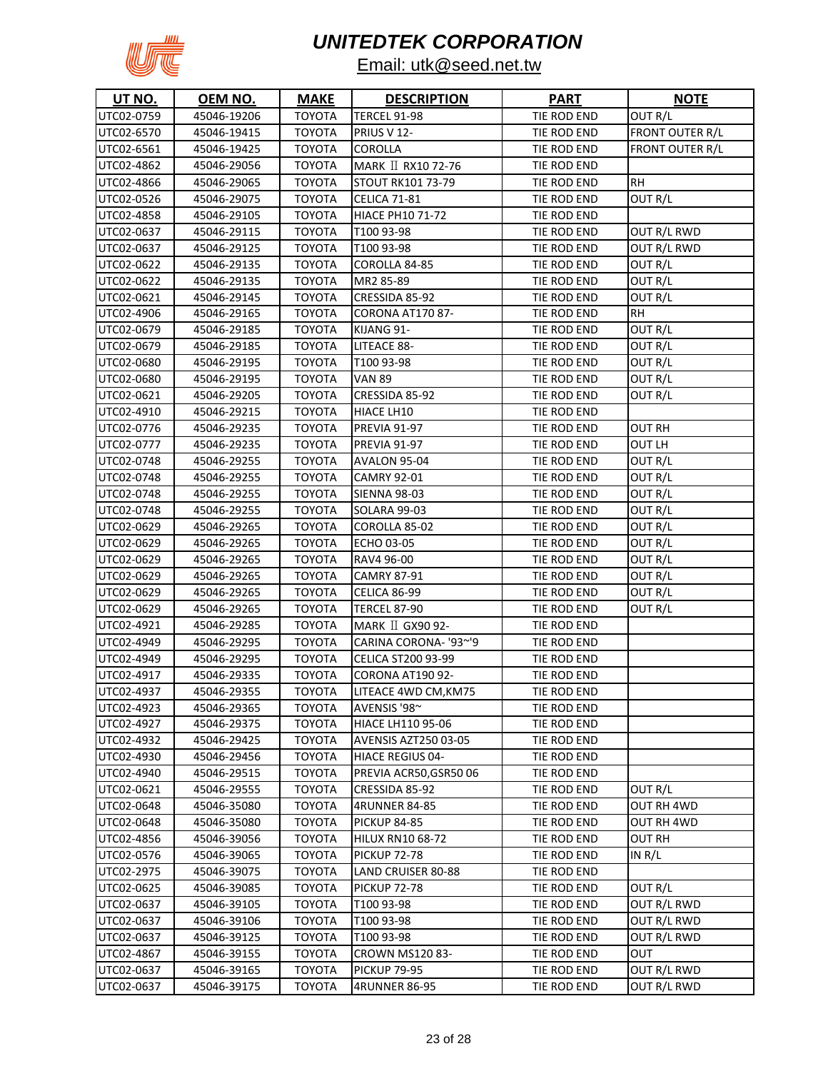

| <b>UT NO.</b> | OEM NO.     | <b>MAKE</b>   | <b>DESCRIPTION</b>        | <b>PART</b> | <u>NOTE</u>     |
|---------------|-------------|---------------|---------------------------|-------------|-----------------|
| UTC02-0759    | 45046-19206 | <b>TOYOTA</b> | <b>TERCEL 91-98</b>       | TIE ROD END | OUT R/L         |
| UTC02-6570    | 45046-19415 | <b>TOYOTA</b> | PRIUS V 12-               | TIE ROD END | FRONT OUTER R/L |
| UTC02-6561    | 45046-19425 | <b>TOYOTA</b> | <b>COROLLA</b>            | TIE ROD END | FRONT OUTER R/L |
| UTC02-4862    | 45046-29056 | ΤΟΥΟΤΑ        | MARK II RX10 72-76        | TIE ROD END |                 |
| UTC02-4866    | 45046-29065 | TOYOTA        | STOUT RK101 73-79         | TIE ROD END | <b>RH</b>       |
| UTC02-0526    | 45046-29075 | TOYOTA        | <b>CELICA 71-81</b>       | TIE ROD END | OUT R/L         |
| UTC02-4858    | 45046-29105 | <b>TOYOTA</b> | <b>HIACE PH10 71-72</b>   | TIE ROD END |                 |
| UTC02-0637    | 45046-29115 | TOYOTA        | T100 93-98                | TIE ROD END | OUT R/L RWD     |
| UTC02-0637    | 45046-29125 | <b>TOYOTA</b> | T100 93-98                | TIE ROD END | OUT R/L RWD     |
| UTC02-0622    | 45046-29135 | <b>TOYOTA</b> | COROLLA 84-85             | TIE ROD END | OUT R/L         |
| UTC02-0622    | 45046-29135 | <b>TOYOTA</b> | MR2 85-89                 | TIE ROD END | OUT R/L         |
| UTC02-0621    | 45046-29145 | <b>TOYOTA</b> | CRESSIDA 85-92            | TIE ROD END | OUT R/L         |
| UTC02-4906    | 45046-29165 | <b>TOYOTA</b> | CORONA AT170 87-          | TIE ROD END | <b>RH</b>       |
| UTC02-0679    | 45046-29185 | <b>TOYOTA</b> | KIJANG 91-                | TIE ROD END | OUT R/L         |
| UTC02-0679    | 45046-29185 | <b>TOYOTA</b> | LITEACE 88-               | TIE ROD END | OUT R/L         |
| UTC02-0680    | 45046-29195 | <b>TOYOTA</b> | T100 93-98                | TIE ROD END | OUT R/L         |
| UTC02-0680    | 45046-29195 | <b>TOYOTA</b> | <b>VAN 89</b>             | TIE ROD END | OUT R/L         |
| UTC02-0621    | 45046-29205 | <b>TOYOTA</b> | CRESSIDA 85-92            | TIE ROD END | OUT R/L         |
| UTC02-4910    | 45046-29215 | <b>TOYOTA</b> | HIACE LH10                | TIE ROD END |                 |
| UTC02-0776    | 45046-29235 | <b>TOYOTA</b> | <b>PREVIA 91-97</b>       | TIE ROD END | <b>OUT RH</b>   |
| UTC02-0777    | 45046-29235 | <b>TOYOTA</b> | <b>PREVIA 91-97</b>       | TIE ROD END | OUT LH          |
| UTC02-0748    | 45046-29255 | <b>TOYOTA</b> | AVALON 95-04              | TIE ROD END | OUT R/L         |
| UTC02-0748    | 45046-29255 | <b>TOYOTA</b> | <b>CAMRY 92-01</b>        | TIE ROD END | OUT R/L         |
| UTC02-0748    | 45046-29255 | ΤΟΥΟΤΑ        | <b>SIENNA 98-03</b>       | TIE ROD END | OUT R/L         |
| UTC02-0748    | 45046-29255 | <b>TOYOTA</b> | <b>SOLARA 99-03</b>       | TIE ROD END | OUT R/L         |
| UTC02-0629    | 45046-29265 | ΤΟΥΟΤΑ        | COROLLA 85-02             | TIE ROD END | OUT R/L         |
| UTC02-0629    | 45046-29265 | TOYOTA        | ECHO 03-05                | TIE ROD END | OUT R/L         |
| UTC02-0629    | 45046-29265 | <b>TOYOTA</b> | RAV4 96-00                | TIE ROD END | OUT R/L         |
| UTC02-0629    | 45046-29265 | TOYOTA        | <b>CAMRY 87-91</b>        | TIE ROD END | OUT R/L         |
| UTC02-0629    | 45046-29265 | <b>TOYOTA</b> | CELICA 86-99              | TIE ROD END | OUT R/L         |
| UTC02-0629    | 45046-29265 | <b>TOYOTA</b> | <b>TERCEL 87-90</b>       | TIE ROD END | OUT R/L         |
| UTC02-4921    | 45046-29285 | <b>TOYOTA</b> | MARK II GX90 92-          | TIE ROD END |                 |
| UTC02-4949    | 45046-29295 | <b>TOYOTA</b> | CARINA CORONA- '93~'9     | TIE ROD END |                 |
| UTC02-4949    | 45046-29295 | <b>TOYOTA</b> | <b>CELICA ST200 93-99</b> | TIE ROD END |                 |
| UTC02-4917    | 45046-29335 | <b>TOYOTA</b> | CORONA AT190 92-          | TIE ROD END |                 |
| UTC02-4937    | 45046-29355 | TOYOTA        | LITEACE 4WD CM, KM75      | TIE ROD END |                 |
| UTC02-4923    | 45046-29365 | <b>TOYOTA</b> | AVENSIS '98~              | TIE ROD END |                 |
| UTC02-4927    | 45046-29375 | <b>TOYOTA</b> | <b>HIACE LH110 95-06</b>  | TIE ROD END |                 |
| UTC02-4932    | 45046-29425 | <b>TOYOTA</b> | AVENSIS AZT250 03-05      | TIE ROD END |                 |
| UTC02-4930    | 45046-29456 | <b>TOYOTA</b> | <b>HIACE REGIUS 04-</b>   | TIE ROD END |                 |
| UTC02-4940    | 45046-29515 | <b>TOYOTA</b> | PREVIA ACR50, GSR5006     | TIE ROD END |                 |
| UTC02-0621    | 45046-29555 | <b>TOYOTA</b> | CRESSIDA 85-92            | TIE ROD END | OUT R/L         |
| UTC02-0648    | 45046-35080 | <b>TOYOTA</b> | <b>4RUNNER 84-85</b>      | TIE ROD END | OUT RH 4WD      |
| UTC02-0648    | 45046-35080 | <b>TOYOTA</b> | <b>PICKUP 84-85</b>       | TIE ROD END | OUT RH 4WD      |
| UTC02-4856    | 45046-39056 | <b>TOYOTA</b> | <b>HILUX RN10 68-72</b>   | TIE ROD END | OUT RH          |
| UTC02-0576    | 45046-39065 | <b>TOYOTA</b> | <b>PICKUP 72-78</b>       | TIE ROD END | IN R/L          |
| UTC02-2975    | 45046-39075 | <b>TOYOTA</b> | LAND CRUISER 80-88        | TIE ROD END |                 |
| UTC02-0625    | 45046-39085 | <b>TOYOTA</b> | <b>PICKUP 72-78</b>       | TIE ROD END | OUT R/L         |
| UTC02-0637    | 45046-39105 | <b>TOYOTA</b> | T100 93-98                | TIE ROD END | OUT R/L RWD     |
| UTC02-0637    | 45046-39106 | <b>TOYOTA</b> | T100 93-98                | TIE ROD END | OUT R/L RWD     |
| UTC02-0637    | 45046-39125 | <b>TOYOTA</b> | T100 93-98                | TIE ROD END | OUT R/L RWD     |
| UTC02-4867    | 45046-39155 | <b>TOYOTA</b> | <b>CROWN MS120 83-</b>    | TIE ROD END | OUT             |
| UTC02-0637    | 45046-39165 | <b>TOYOTA</b> | <b>PICKUP 79-95</b>       | TIE ROD END | OUT R/L RWD     |
| UTC02-0637    | 45046-39175 | <b>TOYOTA</b> | 4RUNNER 86-95             | TIE ROD END | OUT R/L RWD     |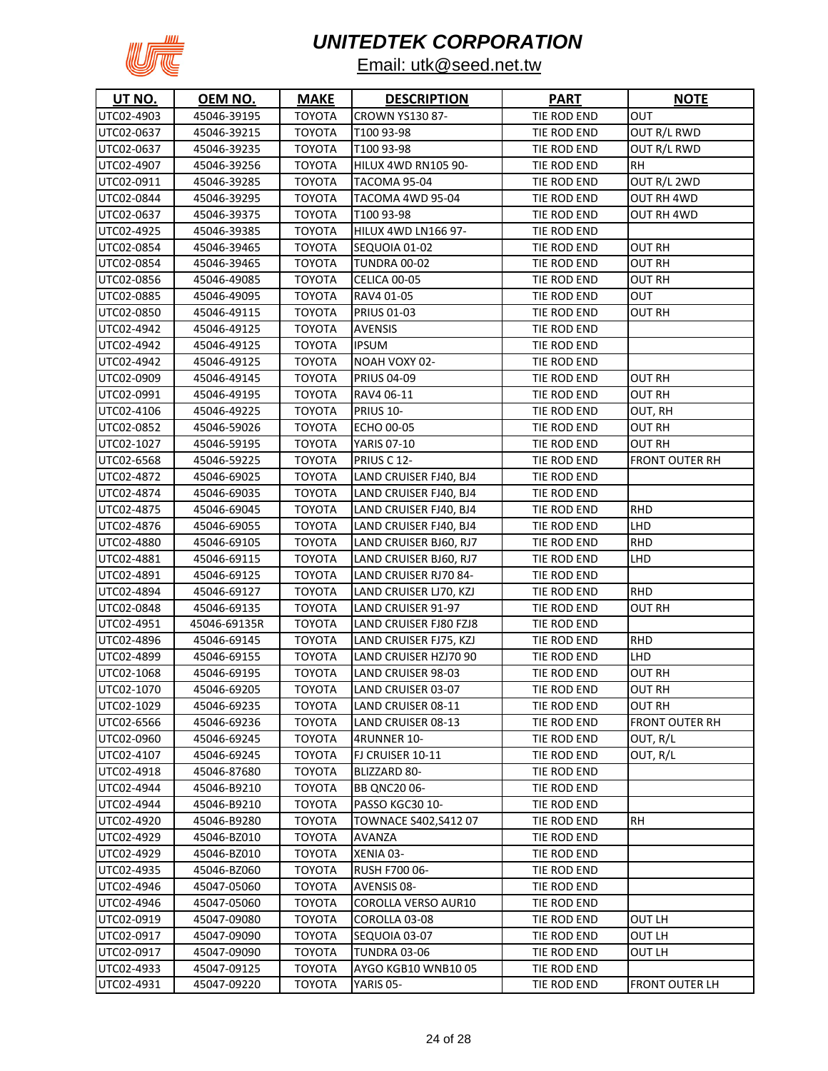

| UT NO.     | OEM NO.      | <b>MAKE</b>   | <b>DESCRIPTION</b>         | <b>PART</b> | <b>NOTE</b>    |
|------------|--------------|---------------|----------------------------|-------------|----------------|
| UTC02-4903 | 45046-39195  | <b>TOYOTA</b> | <b>CROWN YS130 87-</b>     | TIE ROD END | OUT            |
| UTC02-0637 | 45046-39215  | <b>TOYOTA</b> | T100 93-98                 | TIE ROD END | OUT R/L RWD    |
| UTC02-0637 | 45046-39235  | TOYOTA        | T100 93-98                 | TIE ROD END | OUT R/L RWD    |
| UTC02-4907 | 45046-39256  | <b>TOYOTA</b> | <b>HILUX 4WD RN105 90-</b> | TIE ROD END | RH             |
| UTC02-0911 | 45046-39285  | <b>TOYOTA</b> | TACOMA 95-04               | TIE ROD END | OUT R/L 2WD    |
| UTC02-0844 | 45046-39295  | TOYOTA        | TACOMA 4WD 95-04           | TIE ROD END | OUT RH 4WD     |
| UTC02-0637 | 45046-39375  | TOYOTA        | T100 93-98                 | TIE ROD END | OUT RH 4WD     |
| UTC02-4925 | 45046-39385  | TOYOTA        | <b>HILUX 4WD LN166 97-</b> | TIE ROD END |                |
| UTC02-0854 | 45046-39465  | TOYOTA        | SEQUOIA 01-02              | TIE ROD END | OUT RH         |
| UTC02-0854 | 45046-39465  | <b>TOYOTA</b> | <b>TUNDRA 00-02</b>        | TIE ROD END | OUT RH         |
| UTC02-0856 | 45046-49085  | <b>TOYOTA</b> | CELICA 00-05               | TIE ROD END | OUT RH         |
| UTC02-0885 | 45046-49095  | <b>TOYOTA</b> | RAV4 01-05                 | TIE ROD END | OUT            |
| UTC02-0850 | 45046-49115  | <b>TOYOTA</b> | <b>PRIUS 01-03</b>         | TIE ROD END | OUT RH         |
| UTC02-4942 | 45046-49125  | TOYOTA        | <b>AVENSIS</b>             | TIE ROD END |                |
| UTC02-4942 | 45046-49125  | <b>TOYOTA</b> | <b>IPSUM</b>               | TIE ROD END |                |
| UTC02-4942 | 45046-49125  | <b>TOYOTA</b> | NOAH VOXY 02-              | TIE ROD END |                |
| UTC02-0909 | 45046-49145  | <b>TOYOTA</b> | <b>PRIUS 04-09</b>         | TIE ROD END | OUT RH         |
| UTC02-0991 | 45046-49195  | <b>TOYOTA</b> | RAV4 06-11                 | TIE ROD END | OUT RH         |
| UTC02-4106 | 45046-49225  | <b>TOYOTA</b> | PRIUS 10-                  | TIE ROD END | OUT, RH        |
| UTC02-0852 | 45046-59026  | <b>TOYOTA</b> | ECHO 00-05                 | TIE ROD END | OUT RH         |
| UTC02-1027 | 45046-59195  | <b>TOYOTA</b> | <b>YARIS 07-10</b>         | TIE ROD END | OUT RH         |
| UTC02-6568 | 45046-59225  | <b>TOYOTA</b> | PRIUS C 12-                | TIE ROD END | FRONT OUTER RH |
| UTC02-4872 | 45046-69025  | <b>TOYOTA</b> | LAND CRUISER FJ40, BJ4     | TIE ROD END |                |
| UTC02-4874 | 45046-69035  | TOYOTA        | LAND CRUISER FJ40, BJ4     | TIE ROD END |                |
| UTC02-4875 | 45046-69045  | <b>TOYOTA</b> | LAND CRUISER FJ40, BJ4     | TIE ROD END | <b>RHD</b>     |
| UTC02-4876 | 45046-69055  | TOYOTA        | LAND CRUISER FJ40, BJ4     | TIE ROD END | LHD            |
| UTC02-4880 | 45046-69105  | TOYOTA        | LAND CRUISER BJ60, RJ7     | TIE ROD END | RHD            |
| UTC02-4881 | 45046-69115  | TOYOTA        | LAND CRUISER BJ60, RJ7     | TIE ROD END | LHD            |
| UTC02-4891 | 45046-69125  | TOYOTA        | LAND CRUISER RJ70 84-      | TIE ROD END |                |
| UTC02-4894 | 45046-69127  | TOYOTA        | LAND CRUISER LJ70, KZJ     | TIE ROD END | RHD            |
| UTC02-0848 | 45046-69135  | TOYOTA        | LAND CRUISER 91-97         | TIE ROD END | OUT RH         |
| UTC02-4951 | 45046-69135R | <b>TOYOTA</b> | LAND CRUISER FJ80 FZJ8     | TIE ROD END |                |
| UTC02-4896 | 45046-69145  | <b>TOYOTA</b> | LAND CRUISER FJ75, KZJ     | TIE ROD END | <b>RHD</b>     |
| UTC02-4899 | 45046-69155  | <b>TOYOTA</b> | LAND CRUISER HZJ70 90      | TIE ROD END | LHD            |
| UTC02-1068 | 45046-69195  | <b>TOYOTA</b> | LAND CRUISER 98-03         | TIE ROD END | <b>OUT RH</b>  |
| UTC02-1070 | 45046-69205  | <b>TOYOTA</b> | LAND CRUISER 03-07         | TIE ROD END | <b>OUT RH</b>  |
| UTC02-1029 | 45046-69235  | <b>TOYOTA</b> | LAND CRUISER 08-11         | TIE ROD END | OUT RH         |
| UTC02-6566 | 45046-69236  | <b>TOYOTA</b> | LAND CRUISER 08-13         | TIE ROD END | FRONT OUTER RH |
| UTC02-0960 | 45046-69245  | <b>TOYOTA</b> | 4RUNNER 10-                | TIE ROD END | OUT, R/L       |
| UTC02-4107 | 45046-69245  | <b>TOYOTA</b> | FJ CRUISER 10-11           | TIE ROD END | OUT, R/L       |
| UTC02-4918 | 45046-87680  | <b>TOYOTA</b> | BLIZZARD 80-               | TIE ROD END |                |
| UTC02-4944 | 45046-B9210  | <b>TOYOTA</b> | <b>BB QNC2006-</b>         | TIE ROD END |                |
| UTC02-4944 | 45046-B9210  | TOYOTA        | PASSO KGC30 10-            | TIE ROD END |                |
| UTC02-4920 | 45046-B9280  | <b>TOYOTA</b> | TOWNACE S402, S412 07      | TIE ROD END | RН             |
| UTC02-4929 | 45046-BZ010  | <b>TOYOTA</b> | AVANZA                     | TIE ROD END |                |
| UTC02-4929 | 45046-BZ010  | <b>TOYOTA</b> | XENIA 03-                  | TIE ROD END |                |
| UTC02-4935 | 45046-BZ060  | <b>TOYOTA</b> | RUSH F700 06-              | TIE ROD END |                |
| UTC02-4946 | 45047-05060  | <b>TOYOTA</b> | AVENSIS 08-                | TIE ROD END |                |
| UTC02-4946 | 45047-05060  | <b>TOYOTA</b> | COROLLA VERSO AUR10        | TIE ROD END |                |
| UTC02-0919 | 45047-09080  | TOYOTA        | COROLLA 03-08              | TIE ROD END | OUT LH         |
| UTC02-0917 | 45047-09090  | <b>TOYOTA</b> | SEQUOIA 03-07              | TIE ROD END | OUT LH         |
| UTC02-0917 | 45047-09090  | <b>TOYOTA</b> | TUNDRA 03-06               | TIE ROD END | OUT LH         |
| UTC02-4933 | 45047-09125  | <b>TOYOTA</b> | AYGO KGB10 WNB10 05        | TIE ROD END |                |
| UTC02-4931 | 45047-09220  | TOYOTA        | YARIS 05-                  | TIE ROD END | FRONT OUTER LH |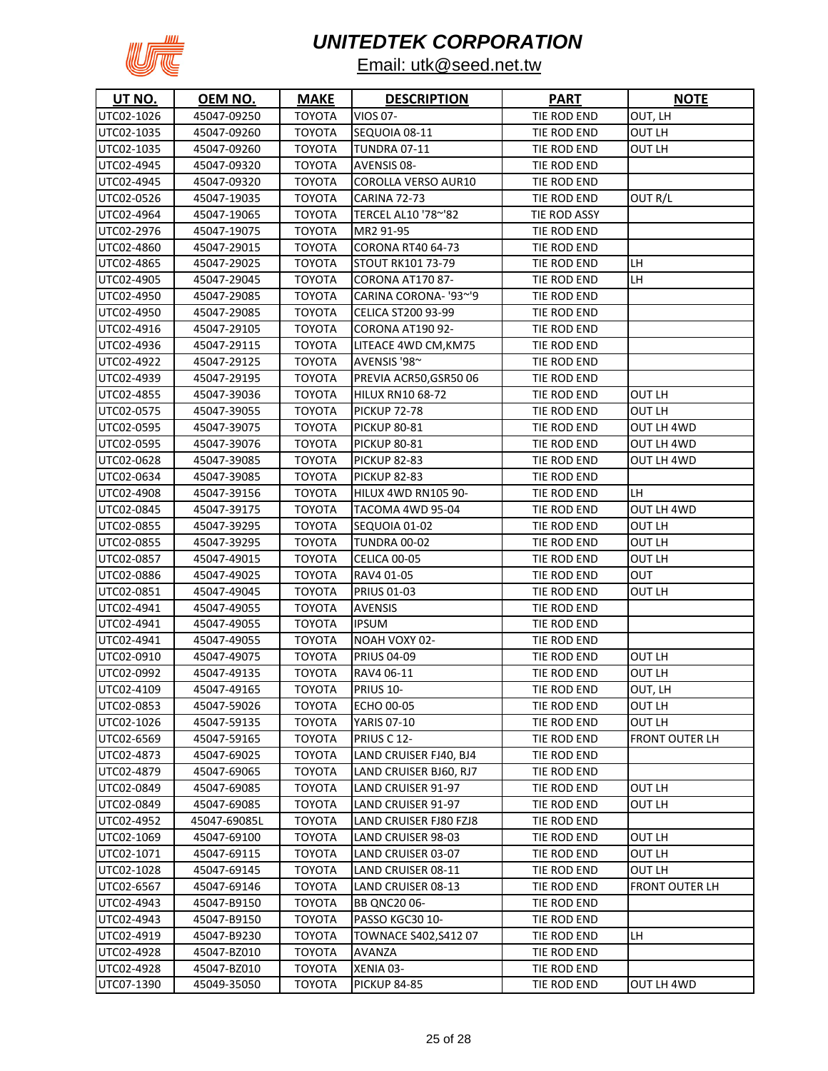

| UT NO.     | <u>OEM NO.</u> | <u>MAKE</u>   | <b>DESCRIPTION</b>         | <b>PART</b>  | <b>NOTE</b>           |
|------------|----------------|---------------|----------------------------|--------------|-----------------------|
| UTC02-1026 | 45047-09250    | <b>TOYOTA</b> | VIOS 07-                   | TIE ROD END  | OUT, LH               |
| UTC02-1035 | 45047-09260    | <b>TOYOTA</b> | SEQUOIA 08-11              | TIE ROD END  | OUT LH                |
| UTC02-1035 | 45047-09260    | <b>TOYOTA</b> | <b>TUNDRA 07-11</b>        | TIE ROD END  | OUT LH                |
| UTC02-4945 | 45047-09320    | <b>TOYOTA</b> | <b>AVENSIS 08-</b>         | TIE ROD END  |                       |
| UTC02-4945 | 45047-09320    | TOYOTA        | <b>COROLLA VERSO AUR10</b> | TIE ROD END  |                       |
| UTC02-0526 | 45047-19035    | TOYOTA        | <b>CARINA 72-73</b>        | TIE ROD END  | OUT R/L               |
| UTC02-4964 | 45047-19065    | TOYOTA        | TERCEL AL10 '78~'82        | TIE ROD ASSY |                       |
| UTC02-2976 | 45047-19075    | TOYOTA        | MR2 91-95                  | TIE ROD END  |                       |
| UTC02-4860 | 45047-29015    | TOYOTA        | CORONA RT40 64-73          | TIE ROD END  |                       |
| UTC02-4865 | 45047-29025    | TOYOTA        | <b>STOUT RK101 73-79</b>   | TIE ROD END  | LH                    |
| UTC02-4905 | 45047-29045    | <b>TOYOTA</b> | CORONA AT170 87-           | TIE ROD END  | LH                    |
| UTC02-4950 | 45047-29085    | TOYOTA        | CARINA CORONA- '93~'9      | TIE ROD END  |                       |
| UTC02-4950 | 45047-29085    | TOYOTA        | <b>CELICA ST200 93-99</b>  | TIE ROD END  |                       |
| UTC02-4916 | 45047-29105    | <b>TOYOTA</b> | CORONA AT190 92-           | TIE ROD END  |                       |
| UTC02-4936 | 45047-29115    | TOYOTA        | LITEACE 4WD CM, KM75       | TIE ROD END  |                       |
| UTC02-4922 | 45047-29125    | TOYOTA        | AVENSIS '98~               | TIE ROD END  |                       |
| UTC02-4939 | 45047-29195    | <b>TOYOTA</b> | PREVIA ACR50, GSR5006      | TIE ROD END  |                       |
| UTC02-4855 | 45047-39036    | TOYOTA        | <b>HILUX RN10 68-72</b>    | TIE ROD END  | OUT LH                |
| UTC02-0575 | 45047-39055    | <b>TOYOTA</b> | <b>PICKUP 72-78</b>        | TIE ROD END  | OUT LH                |
| UTC02-0595 | 45047-39075    | <b>TOYOTA</b> | <b>PICKUP 80-81</b>        | TIE ROD END  | OUT LH 4WD            |
| UTC02-0595 | 45047-39076    | TOYOTA        | <b>PICKUP 80-81</b>        | TIE ROD END  | OUT LH 4WD            |
| UTC02-0628 | 45047-39085    | <b>TOYOTA</b> | <b>PICKUP 82-83</b>        | TIE ROD END  | OUT LH 4WD            |
| UTC02-0634 | 45047-39085    | <b>TOYOTA</b> | <b>PICKUP 82-83</b>        | TIE ROD END  |                       |
| UTC02-4908 | 45047-39156    | <b>TOYOTA</b> | HILUX 4WD RN105 90-        | TIE ROD END  | LH                    |
| UTC02-0845 | 45047-39175    | <b>TOYOTA</b> | TACOMA 4WD 95-04           | TIE ROD END  | OUT LH 4WD            |
| UTC02-0855 | 45047-39295    | <b>TOYOTA</b> | SEQUOIA 01-02              | TIE ROD END  | OUT LH                |
| UTC02-0855 | 45047-39295    | <b>TOYOTA</b> | <b>TUNDRA 00-02</b>        | TIE ROD END  | OUT LH                |
| UTC02-0857 | 45047-49015    | TOYOTA        | CELICA 00-05               | TIE ROD END  | OUT LH                |
| UTC02-0886 | 45047-49025    | ΤΟΥΟΤΑ        | RAV4 01-05                 | TIE ROD END  | ουτ                   |
| UTC02-0851 | 45047-49045    | <b>TOYOTA</b> | <b>PRIUS 01-03</b>         | TIE ROD END  | OUT LH                |
| UTC02-4941 | 45047-49055    | <b>TOYOTA</b> | <b>AVENSIS</b>             | TIE ROD END  |                       |
| UTC02-4941 | 45047-49055    | ΤΟΥΟΤΑ        | <b>IPSUM</b>               | TIE ROD END  |                       |
| UTC02-4941 | 45047-49055    | TOYOTA        | <b>NOAH VOXY 02-</b>       | TIE ROD END  |                       |
| UTC02-0910 | 45047-49075    | TOYOTA        | <b>PRIUS 04-09</b>         | TIE ROD END  | OUT LH                |
| UTC02-0992 | 45047-49135    | TOYOTA        | RAV4 06-11                 | TIE ROD END  | OUT LH                |
| UTC02-4109 | 45047-49165    | <b>TOYOTA</b> | PRIUS 10-                  | TIE ROD END  | OUT, LH               |
| UTC02-0853 | 45047-59026    | <b>TOYOTA</b> | <b>ECHO 00-05</b>          | TIE ROD END  | OUT LH                |
| UTC02-1026 | 45047-59135    | <b>TOYOTA</b> | <b>YARIS 07-10</b>         | TIE ROD END  | OUT LH                |
| UTC02-6569 | 45047-59165    | <b>TOYOTA</b> | PRIUS C 12-                | TIE ROD END  | <b>FRONT OUTER LH</b> |
| UTC02-4873 | 45047-69025    | <b>TOYOTA</b> | LAND CRUISER FJ40, BJ4     | TIE ROD END  |                       |
| UTC02-4879 | 45047-69065    | <b>TOYOTA</b> | LAND CRUISER BJ60, RJ7     | TIE ROD END  |                       |
| UTC02-0849 | 45047-69085    | <b>TOYOTA</b> | LAND CRUISER 91-97         | TIE ROD END  | OUT LH                |
| UTC02-0849 | 45047-69085    | <b>TOYOTA</b> | LAND CRUISER 91-97         | TIE ROD END  | OUT LH                |
| UTC02-4952 | 45047-69085L   | <b>TOYOTA</b> | LAND CRUISER FJ80 FZJ8     | TIE ROD END  |                       |
| UTC02-1069 | 45047-69100    | <b>TOYOTA</b> | LAND CRUISER 98-03         | TIE ROD END  | OUT LH                |
| UTC02-1071 | 45047-69115    | <b>TOYOTA</b> | LAND CRUISER 03-07         | TIE ROD END  | OUT LH                |
| UTC02-1028 | 45047-69145    | <b>TOYOTA</b> | LAND CRUISER 08-11         | TIE ROD END  | OUT LH                |
| UTC02-6567 | 45047-69146    | <b>TOYOTA</b> | LAND CRUISER 08-13         | TIE ROD END  | FRONT OUTER LH        |
| UTC02-4943 | 45047-B9150    | <b>TOYOTA</b> | BB QNC2006-                | TIE ROD END  |                       |
| UTC02-4943 | 45047-B9150    | <b>TOYOTA</b> | PASSO KGC30 10-            | TIE ROD END  |                       |
| UTC02-4919 | 45047-B9230    | <b>TOYOTA</b> | TOWNACE S402, S412 07      | TIE ROD END  | LH                    |
| UTC02-4928 | 45047-BZ010    | <b>TOYOTA</b> | AVANZA                     | TIE ROD END  |                       |
| UTC02-4928 | 45047-BZ010    | <b>TOYOTA</b> | XENIA 03-                  | TIE ROD END  |                       |
| UTC07-1390 | 45049-35050    | <b>TOYOTA</b> | <b>PICKUP 84-85</b>        | TIE ROD END  | OUT LH 4WD            |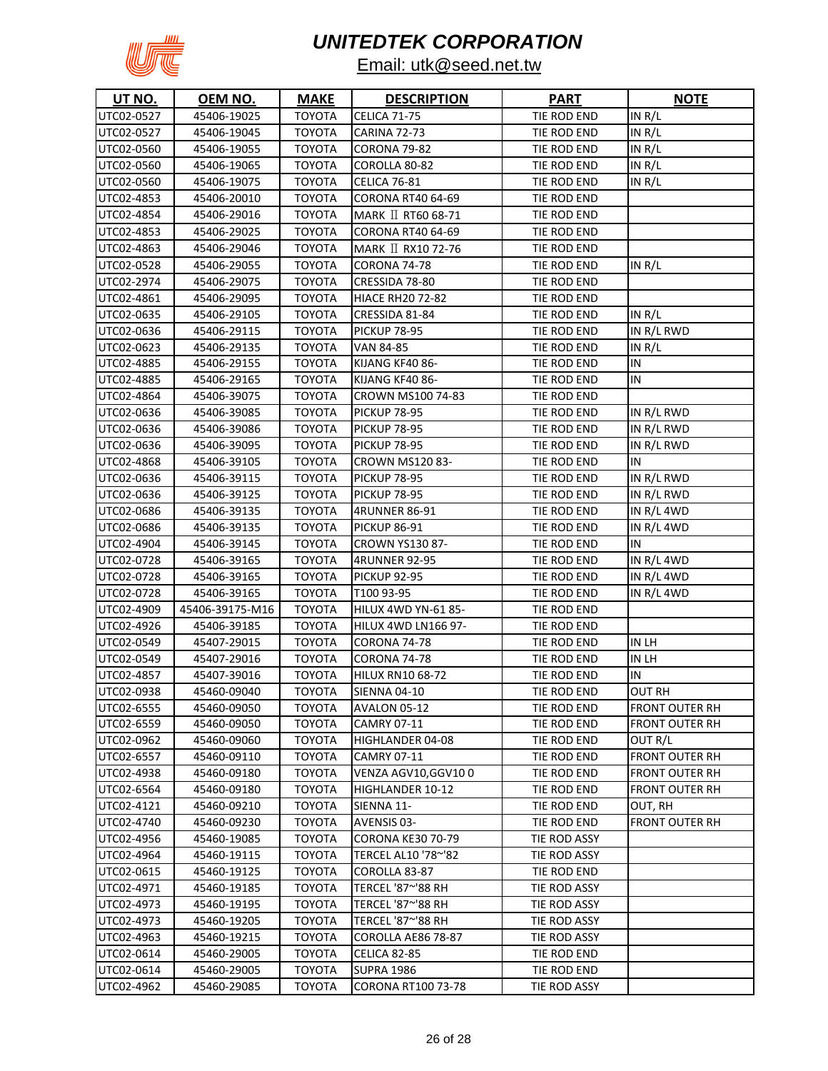

| <b>UT NO.</b>            | OEM NO.                    | <b>MAKE</b>                    | <b>DESCRIPTION</b>                              | <b>PART</b>                 | <b>NOTE</b>           |
|--------------------------|----------------------------|--------------------------------|-------------------------------------------------|-----------------------------|-----------------------|
| UTC02-0527               | 45406-19025                | <b>TOYOTA</b>                  | <b>CELICA 71-75</b>                             | TIE ROD END                 | IN R/L                |
| UTC02-0527               | 45406-19045                | <b>TOYOTA</b>                  | <b>CARINA 72-73</b>                             | TIE ROD END                 | IN $R/L$              |
| UTC02-0560               | 45406-19055                | TOYOTA                         | CORONA 79-82                                    | TIE ROD END                 | IN $R/L$              |
| UTC02-0560               | 45406-19065                | <b>TOYOTA</b>                  | COROLLA 80-82                                   | TIE ROD END                 | IN R/L                |
| UTC02-0560               | 45406-19075                | TOYOTA                         | <b>CELICA 76-81</b>                             | TIE ROD END                 | IN R/L                |
| UTC02-4853               | 45406-20010                | TOYOTA                         | <b>CORONA RT40 64-69</b>                        | TIE ROD END                 |                       |
| UTC02-4854               | 45406-29016                | TOYOTA                         | MARK II RT60 68-71                              | TIE ROD END                 |                       |
| UTC02-4853               | 45406-29025                | <b>TOYOTA</b>                  | CORONA RT40 64-69                               | TIE ROD END                 |                       |
| UTC02-4863               | 45406-29046                | <b>TOYOTA</b>                  | MARK II RX10 72-76                              | TIE ROD END                 |                       |
| UTC02-0528               | 45406-29055                | TOYOTA                         | CORONA 74-78                                    | TIE ROD END                 | IN R/L                |
| UTC02-2974               | 45406-29075                | <b>TOYOTA</b>                  | CRESSIDA 78-80                                  | TIE ROD END                 |                       |
| UTC02-4861               | 45406-29095                | <b>TOYOTA</b>                  | <b>HIACE RH20 72-82</b>                         | TIE ROD END                 |                       |
| UTC02-0635               | 45406-29105                | <b>TOYOTA</b>                  | CRESSIDA 81-84                                  | TIE ROD END                 | IN $R/L$              |
| UTC02-0636               | 45406-29115                | <b>TOYOTA</b>                  | <b>PICKUP 78-95</b>                             | TIE ROD END                 | IN R/L RWD            |
| UTC02-0623               | 45406-29135                | <b>TOYOTA</b>                  | VAN 84-85                                       | TIE ROD END                 | IN R/L                |
| UTC02-4885               | 45406-29155                | <b>TOYOTA</b>                  | KIJANG KF40 86-                                 | TIE ROD END                 | IN                    |
| UTC02-4885               | 45406-29165                | TOYOTA                         | KIJANG KF40 86-                                 | TIE ROD END                 | IN                    |
| UTC02-4864               | 45406-39075                | TOYOTA                         | CROWN MS100 74-83                               | TIE ROD END                 |                       |
| UTC02-0636               | 45406-39085                | <b>TOYOTA</b>                  | <b>PICKUP 78-95</b>                             | TIE ROD END                 | IN R/L RWD            |
| UTC02-0636               | 45406-39086                | TOYOTA                         | <b>PICKUP 78-95</b>                             | TIE ROD END                 | IN R/L RWD            |
| UTC02-0636               | 45406-39095                | <b>TOYOTA</b>                  | <b>PICKUP 78-95</b>                             | TIE ROD END                 | IN R/L RWD            |
| UTC02-4868               | 45406-39105                | TOYOTA                         | CROWN MS120 83-                                 | TIE ROD END                 | IN                    |
| UTC02-0636               | 45406-39115                | TOYOTA                         | <b>PICKUP 78-95</b>                             | TIE ROD END                 | IN R/L RWD            |
| UTC02-0636               | 45406-39125                | TOYOTA                         | <b>PICKUP 78-95</b>                             | TIE ROD END                 | IN R/L RWD            |
| UTC02-0686               | 45406-39135                | TOYOTA                         | <b>4RUNNER 86-91</b>                            | TIE ROD END                 | IN $R/L$ 4WD          |
| UTC02-0686               | 45406-39135                | TOYOTA                         | <b>PICKUP 86-91</b>                             | TIE ROD END                 | IN R/L 4WD            |
| UTC02-4904               | 45406-39145                | TOYOTA                         | <b>CROWN YS130 87-</b>                          | TIE ROD END                 | IN                    |
| UTC02-0728               | 45406-39165                | TOYOTA                         | <b>4RUNNER 92-95</b>                            | TIE ROD END                 | IN R/L 4WD            |
| UTC02-0728               | 45406-39165                | <b>TOYOTA</b>                  | <b>PICKUP 92-95</b>                             | TIE ROD END                 | IN R/L 4WD            |
| UTC02-0728               | 45406-39165                | TOYOTA                         | T100 93-95                                      | TIE ROD END                 | IN R/L 4WD            |
| UTC02-4909               | 45406-39175-M16            | <b>TOYOTA</b>                  | HILUX 4WD YN-61 85-                             | TIE ROD END                 |                       |
| UTC02-4926               | 45406-39185                | <b>TOYOTA</b>                  | HILUX 4WD LN166 97-                             | TIE ROD END                 |                       |
| UTC02-0549               | 45407-29015                | <b>TOYOTA</b>                  | CORONA 74-78                                    | TIE ROD END                 | IN LH                 |
| UTC02-0549               | 45407-29016                | <b>TOYOTA</b>                  | CORONA 74-78                                    | TIE ROD END                 | IN LH                 |
| UTC02-4857               | 45407-39016                | <b>TOYOTA</b>                  | <b>HILUX RN10 68-72</b>                         | TIE ROD END                 | IN                    |
| UTC02-0938               | 45460-09040                | TOYOTA                         | <b>SIENNA 04-10</b>                             | TIE ROD END                 | <b>OUT RH</b>         |
| UTC02-6555               | 45460-09050                | <b>TOYOTA</b>                  | AVALON 05-12                                    | TIE ROD END                 | <b>FRONT OUTER RH</b> |
| UTC02-6559               | 45460-09050                | <b>TOYOTA</b>                  | <b>CAMRY 07-11</b>                              | TIE ROD END                 | <b>FRONT OUTER RH</b> |
| UTC02-0962               | 45460-09060                | <b>TOYOTA</b>                  | HIGHLANDER 04-08                                | TIE ROD END                 | OUT R/L               |
| UTC02-6557               | 45460-09110                | <b>TOYOTA</b>                  | <b>CAMRY 07-11</b>                              | TIE ROD END                 | <b>FRONT OUTER RH</b> |
| UTC02-4938               | 45460-09180                | <b>TOYOTA</b>                  | VENZA AGV10, GGV100                             | TIE ROD END                 | <b>FRONT OUTER RH</b> |
| UTC02-6564               | 45460-09180                | <b>TOYOTA</b>                  | <b>HIGHLANDER 10-12</b>                         | TIE ROD END                 | FRONT OUTER RH        |
| UTC02-4121               | 45460-09210                | <b>TOYOTA</b>                  | SIENNA 11-                                      | TIE ROD END                 | OUT, RH               |
| UTC02-4740               | 45460-09230                | <b>TOYOTA</b>                  | AVENSIS 03-                                     | TIE ROD END                 | <b>FRONT OUTER RH</b> |
| UTC02-4956<br>UTC02-4964 | 45460-19085<br>45460-19115 | <b>TOYOTA</b><br><b>TOYOTA</b> | <b>CORONA KE30 70-79</b><br>TERCEL AL10 '78~'82 | TIE ROD ASSY                |                       |
| UTC02-0615               | 45460-19125                | <b>TOYOTA</b>                  | COROLLA 83-87                                   | TIE ROD ASSY<br>TIE ROD END |                       |
| UTC02-4971               | 45460-19185                | <b>TOYOTA</b>                  | TERCEL '87~'88 RH                               | TIE ROD ASSY                |                       |
| UTC02-4973               | 45460-19195                | <b>TOYOTA</b>                  | TERCEL '87~'88 RH                               | TIE ROD ASSY                |                       |
| UTC02-4973               | 45460-19205                | <b>TOYOTA</b>                  | TERCEL '87~'88 RH                               | TIE ROD ASSY                |                       |
| UTC02-4963               | 45460-19215                | <b>TOYOTA</b>                  | COROLLA AE86 78-87                              | TIE ROD ASSY                |                       |
| UTC02-0614               | 45460-29005                | <b>TOYOTA</b>                  | CELICA 82-85                                    | TIE ROD END                 |                       |
| UTC02-0614               | 45460-29005                | <b>TOYOTA</b>                  | <b>SUPRA 1986</b>                               | TIE ROD END                 |                       |
| UTC02-4962               | 45460-29085                | <b>TOYOTA</b>                  | CORONA RT100 73-78                              | TIE ROD ASSY                |                       |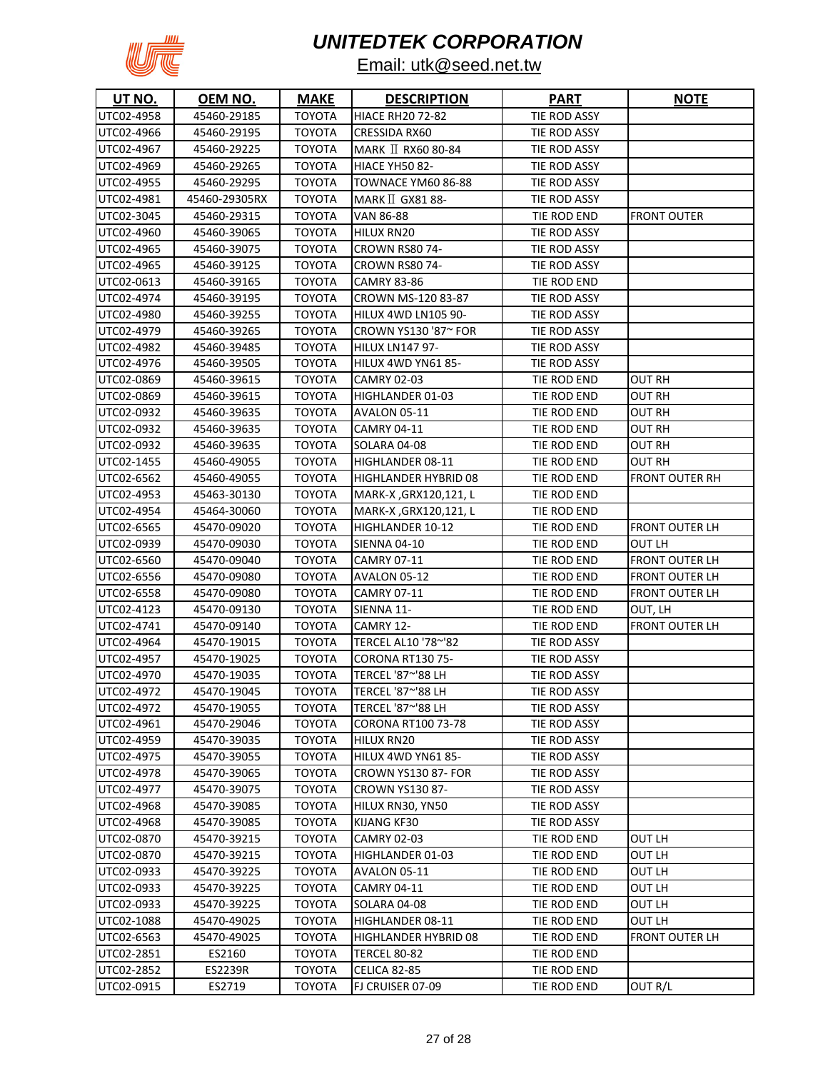

| UT NO.                   | OEM NO.                    | <b>MAKE</b>                    | <b>DESCRIPTION</b>              | <b>PART</b>                | <u>NOTE</u>           |
|--------------------------|----------------------------|--------------------------------|---------------------------------|----------------------------|-----------------------|
| UTC02-4958               | 45460-29185                | <b>TOYOTA</b>                  | <b>HIACE RH20 72-82</b>         | TIE ROD ASSY               |                       |
| UTC02-4966               | 45460-29195                | TOYOTA                         | CRESSIDA RX60                   | TIE ROD ASSY               |                       |
| UTC02-4967               | 45460-29225                | TOYOTA                         | MARK II RX60 80-84              | TIE ROD ASSY               |                       |
| UTC02-4969               | 45460-29265                | TOYOTA                         | <b>HIACE YH50 82-</b>           | TIE ROD ASSY               |                       |
| UTC02-4955               | 45460-29295                | TOYOTA                         | TOWNACE YM60 86-88              | TIE ROD ASSY               |                       |
| UTC02-4981               | 45460-29305RX              | TOYOTA                         | $MARK \perp$ GX81 88-           | TIE ROD ASSY               |                       |
| UTC02-3045               | 45460-29315                | TOYOTA                         | VAN 86-88                       | TIE ROD END                | FRONT OUTER           |
| UTC02-4960               | 45460-39065                | <b>TOYOTA</b>                  | HILUX RN20                      | TIE ROD ASSY               |                       |
| UTC02-4965               | 45460-39075                | <b>TOYOTA</b>                  | <b>CROWN RS80 74-</b>           | TIE ROD ASSY               |                       |
| UTC02-4965               | 45460-39125                | <b>TOYOTA</b>                  | <b>CROWN RS80 74-</b>           | TIE ROD ASSY               |                       |
| UTC02-0613               | 45460-39165                | <b>TOYOTA</b>                  | <b>CAMRY 83-86</b>              | TIE ROD END                |                       |
| UTC02-4974               | 45460-39195                | <b>TOYOTA</b>                  | CROWN MS-120 83-87              | TIE ROD ASSY               |                       |
| UTC02-4980               | 45460-39255                | <b>TOYOTA</b>                  | HILUX 4WD LN105 90-             | TIE ROD ASSY               |                       |
| UTC02-4979               | 45460-39265                | TOYOTA                         | CROWN YS130 '87~ FOR            | TIE ROD ASSY               |                       |
| UTC02-4982               | 45460-39485                | TOYOTA                         | <b>HILUX LN147 97-</b>          | TIE ROD ASSY               |                       |
| UTC02-4976               | 45460-39505                | TOYOTA                         | HILUX 4WD YN61 85-              | TIE ROD ASSY               |                       |
| UTC02-0869               | 45460-39615                | <b>TOYOTA</b>                  | CAMRY 02-03                     | TIE ROD END                | OUT RH                |
| UTC02-0869               | 45460-39615                | TOYOTA                         | HIGHLANDER 01-03                | TIE ROD END                | OUT RH                |
| UTC02-0932               | 45460-39635                | ΤΟΥΟΤΑ                         | AVALON 05-11                    | TIE ROD END                | OUT RH                |
| UTC02-0932               | 45460-39635                | <b>TOYOTA</b>                  | CAMRY 04-11                     | TIE ROD END                | OUT RH                |
| UTC02-0932               | 45460-39635                | TOYOTA                         | SOLARA 04-08                    | TIE ROD END                | OUT RH                |
| UTC02-1455               | 45460-49055                | ΤΟΥΟΤΑ                         | HIGHLANDER 08-11                | TIE ROD END                | OUT RH                |
| UTC02-6562               | 45460-49055                | TOYOTA                         | HIGHLANDER HYBRID 08            | TIE ROD END                | FRONT OUTER RH        |
| UTC02-4953               | 45463-30130                | TOYOTA                         | MARK-X, GRX120, 121, L          | TIE ROD END                |                       |
| UTC02-4954               | 45464-30060                | TOYOTA                         | MARK-X, GRX120, 121, L          | TIE ROD END                |                       |
| UTC02-6565               | 45470-09020                | TOYOTA                         | HIGHLANDER 10-12                | TIE ROD END                | FRONT OUTER LH        |
| UTC02-0939               | 45470-09030                | TOYOTA                         | <b>SIENNA 04-10</b>             | TIE ROD END                | OUT LH                |
| UTC02-6560               | 45470-09040                | TOYOTA                         | CAMRY 07-11                     | TIE ROD END                | FRONT OUTER LH        |
| UTC02-6556               | 45470-09080                | <b>TOYOTA</b>                  | AVALON 05-12                    | TIE ROD END                | FRONT OUTER LH        |
| UTC02-6558               | 45470-09080                | TOYOTA                         | <b>CAMRY 07-11</b>              | TIE ROD END                | FRONT OUTER LH        |
| UTC02-4123               | 45470-09130                | TOYOTA                         | SIENNA 11-                      | TIE ROD END                | OUT, LH               |
| UTC02-4741               | 45470-09140                | <b>TOYOTA</b>                  | CAMRY 12-                       | TIE ROD END                | <b>FRONT OUTER LH</b> |
| UTC02-4964               | 45470-19015                | <b>TOYOTA</b>                  | TERCEL AL10 '78~'82             | TIE ROD ASSY               |                       |
| UTC02-4957               | 45470-19025                | TOYOTA                         | <b>CORONA RT130 75-</b>         | TIE ROD ASSY               |                       |
| UTC02-4970               | 45470-19035                | <b>TOYOTA</b>                  | TERCEL '87~'88 LH               | TIE ROD ASSY               |                       |
| UTC02-4972               | 45470-19045                | TOYOTA                         | TERCEL '87~'88 LH               | TIE ROD ASSY               |                       |
| UTC02-4972               | 45470-19055                | <b>TOYOTA</b>                  | TERCEL '87~'88 LH               | TIE ROD ASSY               |                       |
| UTC02-4961               | 45470-29046                | <b>TOYOTA</b>                  | <b>CORONA RT100 73-78</b>       | TIE ROD ASSY               |                       |
| UTC02-4959               | 45470-39035                | <b>TOYOTA</b>                  | HILUX RN20                      | TIE ROD ASSY               |                       |
| UTC02-4975               | 45470-39055                | <b>TOYOTA</b>                  | HILUX 4WD YN61 85-              | TIE ROD ASSY               |                       |
| UTC02-4978               | 45470-39065                | <b>TOYOTA</b>                  | CROWN YS130 87- FOR             | TIE ROD ASSY               |                       |
| UTC02-4977               | 45470-39075                | <b>TOYOTA</b><br><b>TOYOTA</b> | <b>CROWN YS130 87-</b>          | TIE ROD ASSY               |                       |
| UTC02-4968<br>UTC02-4968 | 45470-39085                |                                | HILUX RN30, YN50                | TIE ROD ASSY               |                       |
|                          | 45470-39085                | <b>TOYOTA</b>                  | KIJANG KF30                     | TIE ROD ASSY               | OUT LH                |
| UTC02-0870<br>UTC02-0870 | 45470-39215                | <b>TOYOTA</b><br>TOYOTA        | CAMRY 02-03<br>HIGHLANDER 01-03 | TIE ROD END<br>TIE ROD END | OUT LH                |
| UTC02-0933               | 45470-39215<br>45470-39225 | <b>TOYOTA</b>                  | AVALON 05-11                    | TIE ROD END                | OUT LH                |
| UTC02-0933               | 45470-39225                | <b>TOYOTA</b>                  | CAMRY 04-11                     | TIE ROD END                | OUT LH                |
| UTC02-0933               | 45470-39225                | <b>TOYOTA</b>                  | SOLARA 04-08                    | TIE ROD END                | OUT LH                |
| UTC02-1088               | 45470-49025                | <b>TOYOTA</b>                  | HIGHLANDER 08-11                | TIE ROD END                | OUT LH                |
| UTC02-6563               | 45470-49025                | <b>TOYOTA</b>                  | HIGHLANDER HYBRID 08            | TIE ROD END                | FRONT OUTER LH        |
| UTC02-2851               | ES2160                     | <b>TOYOTA</b>                  | <b>TERCEL 80-82</b>             | TIE ROD END                |                       |
| UTC02-2852               | ES2239R                    | <b>TOYOTA</b>                  | CELICA 82-85                    | TIE ROD END                |                       |
| UTC02-0915               | ES2719                     | <b>TOYOTA</b>                  | FJ CRUISER 07-09                | TIE ROD END                | OUT R/L               |